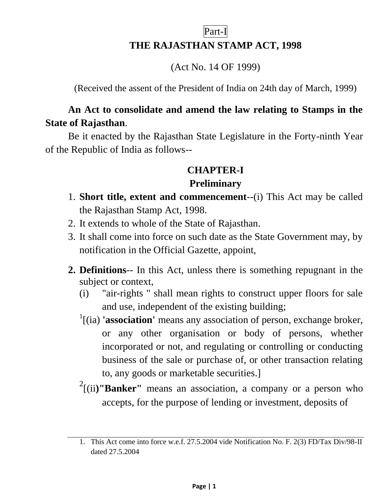# Part-I **THE RAJASTHAN STAMP ACT, 1998**

(Act No. 14 OF 1999)

(Received the assent of the President of India on 24th day of March, 1999)

#### **An Act to consolidate and amend the law relating to Stamps in the State of Rajasthan**.

Be it enacted by the Rajasthan State Legislature in the Forty-ninth Year of the Republic of India as follows--

#### **CHAPTER-I**

#### **Preliminary**

- 1. **Short title, extent and commencement**--(i) This Act may be called the Rajasthan Stamp Act, 1998.
- 2. It extends to whole of the State of Rajasthan.
- 3. It shall come into force on such date as the State Government may, by notification in the Official Gazette, appoint,
- **2. Definitions**-- In this Act, unless there is something repugnant in the subject or context,
	- (i) "air-rights " shall mean rights to construct upper floors for sale and use, independent of the existing building;
	- <sup>1</sup>[(ia) **'association'** means any association of person, exchange broker, or any other organisation or body of persons, whether incorporated or not, and regulating or controlling or conducting business of the sale or purchase of, or other transaction relating to, any goods or marketable securities.]
	- <sup>2</sup>[(ii)"**Banker**" means an association, a company or a person who accepts, for the purpose of lending or investment, deposits of

<sup>1.</sup> This Act come into force w.e.f. 27.5.2004 vide Notification No. F. 2(3) FD/Tax Div/98-II dated 27.5.2004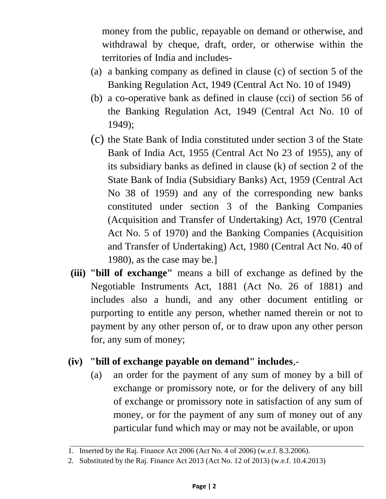money from the public, repayable on demand or otherwise, and withdrawal by cheque, draft, order, or otherwise within the territories of India and includes-

- (a) a banking company as defined in clause (c) of section 5 of the Banking Regulation Act, 1949 (Central Act No. 10 of 1949)
- (b) a co-operative bank as defined in clause (cci) of section 56 of the Banking Regulation Act, 1949 (Central Act No. 10 of 1949);
- (c) the State Bank of India constituted under section 3 of the State Bank of India Act, 1955 (Central Act No 23 of 1955), any of its subsidiary banks as defined in clause (k) of section 2 of the State Bank of India (Subsidiary Banks) Act, 1959 (Central Act No 38 of 1959) and any of the corresponding new banks constituted under section 3 of the Banking Companies (Acquisition and Transfer of Undertaking) Act, 1970 (Central Act No. 5 of 1970) and the Banking Companies (Acquisition and Transfer of Undertaking) Act, 1980 (Central Act No. 40 of 1980), as the case may be.]
- **(iii) "bill of exchange"** means a bill of exchange as defined by the Negotiable Instruments Act, 1881 (Act No. 26 of 1881) and includes also a hundi, and any other document entitling or purporting to entitle any person, whether named therein or not to payment by any other person of, or to draw upon any other person for, any sum of money;

#### **(iv) "bill of exchange payable on demand" includes**,-

(a) an order for the payment of any sum of money by a bill of exchange or promissory note, or for the delivery of any bill of exchange or promissory note in satisfaction of any sum of money, or for the payment of any sum of money out of any particular fund which may or may not be available, or upon

<sup>1.</sup> Inserted by the Raj. Finance Act 2006 (Act No. 4 of 2006) (w.e.f. 8.3.2006).

<sup>2.</sup> Substituted by the Raj. Finance Act 2013 (Act No. 12 of 2013) (w.e.f. 10.4.2013)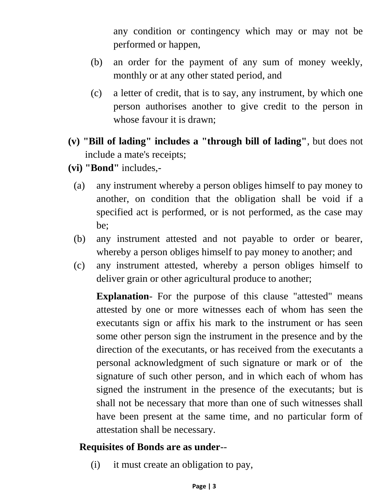any condition or contingency which may or may not be performed or happen,

- (b) an order for the payment of any sum of money weekly, monthly or at any other stated period, and
- (c) a letter of credit, that is to say, any instrument, by which one person authorises another to give credit to the person in whose favour it is drawn;
- **(v) "Bill of lading" includes a "through bill of lading"**, but does not include a mate's receipts;
- **(vi) "Bond"** includes,-
	- (a) any instrument whereby a person obliges himself to pay money to another, on condition that the obligation shall be void if a specified act is performed, or is not performed, as the case may be;
	- (b) any instrument attested and not payable to order or bearer, whereby a person obliges himself to pay money to another; and
	- (c) any instrument attested, whereby a person obliges himself to deliver grain or other agricultural produce to another;

**Explanation**- For the purpose of this clause "attested" means attested by one or more witnesses each of whom has seen the executants sign or affix his mark to the instrument or has seen some other person sign the instrument in the presence and by the direction of the executants, or has received from the executants a personal acknowledgment of such signature or mark or of the signature of such other person, and in which each of whom has signed the instrument in the presence of the executants; but is shall not be necessary that more than one of such witnesses shall have been present at the same time, and no particular form of attestation shall be necessary.

#### **Requisites of Bonds are as under**--

(i) it must create an obligation to pay,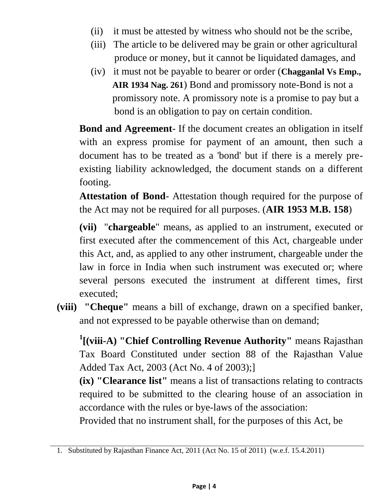- (ii) it must be attested by witness who should not be the scribe,
- (iii) The article to be delivered may be grain or other agricultural produce or money, but it cannot be liquidated damages, and
- (iv) it must not be payable to bearer or order (**Chagganlal Vs Emp., AIR 1934 Nag. 261**) Bond and promissory note-Bond is not a promissory note. A promissory note is a promise to pay but a bond is an obligation to pay on certain condition.

**Bond and Agreement**- If the document creates an obligation in itself with an express promise for payment of an amount, then such a document has to be treated as a 'bond' but if there is a merely preexisting liability acknowledged, the document stands on a different footing.

**Attestation of Bond**- Attestation though required for the purpose of the Act may not be required for all purposes. (**AIR 1953 M.B. 158**)

**(vii)** "**chargeable**" means, as applied to an instrument, executed or first executed after the commencement of this Act, chargeable under this Act, and, as applied to any other instrument, chargeable under the law in force in India when such instrument was executed or; where several persons executed the instrument at different times, first executed;

**(viii) "Cheque"** means a bill of exchange, drawn on a specified banker, and not expressed to be payable otherwise than on demand;

**1 [(viii-A) "Chief Controlling Revenue Authority"** means Rajasthan Tax Board Constituted under section 88 of the Rajasthan Value Added Tax Act, 2003 (Act No. 4 of 2003);]

**(ix) "Clearance list"** means a list of transactions relating to contracts required to be submitted to the clearing house of an association in accordance with the rules or bye-laws of the association:

Provided that no instrument shall, for the purposes of this Act, be

<sup>1.</sup> Substituted by Rajasthan Finance Act, 2011 (Act No. 15 of 2011) (w.e.f. 15.4.2011)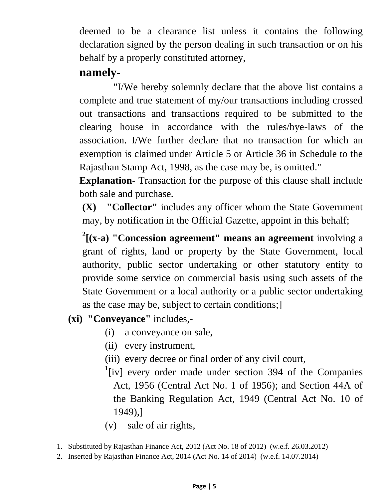deemed to be a clearance list unless it contains the following declaration signed by the person dealing in such transaction or on his behalf by a properly constituted attorney,

# **namely**-

"I/We hereby solemnly declare that the above list contains a complete and true statement of my/our transactions including crossed out transactions and transactions required to be submitted to the clearing house in accordance with the rules/bye-laws of the association. I/We further declare that no transaction for which an exemption is claimed under Article 5 or Article 36 in Schedule to the Rajasthan Stamp Act, 1998, as the case may be, is omitted."

**Explanation**- Transaction for the purpose of this clause shall include both sale and purchase.

**(X) "Collector"** includes any officer whom the State Government may, by notification in the Official Gazette, appoint in this behalf;

**2 [(x-a) "Concession agreement" means an agreement** involving a grant of rights, land or property by the State Government, local authority, public sector undertaking or other statutory entity to provide some service on commercial basis using such assets of the State Government or a local authority or a public sector undertaking as the case may be, subject to certain conditions;]

- **(xi) "Conveyance"** includes,-
	- (i) a conveyance on sale,
	- (ii) every instrument,
	- (iii) every decree or final order of any civil court,
	- <sup>1</sup>[iv] every order made under section 394 of the Companies Act, 1956 (Central Act No. 1 of 1956); and Section 44A of the Banking Regulation Act, 1949 (Central Act No. 10 of 1949),]
	- (v) sale of air rights,

<sup>1.</sup> Substituted by Rajasthan Finance Act, 2012 (Act No. 18 of 2012) (w.e.f. 26.03.2012)

<sup>2.</sup> Inserted by Rajasthan Finance Act, 2014 (Act No. 14 of 2014) (w.e.f. 14.07.2014)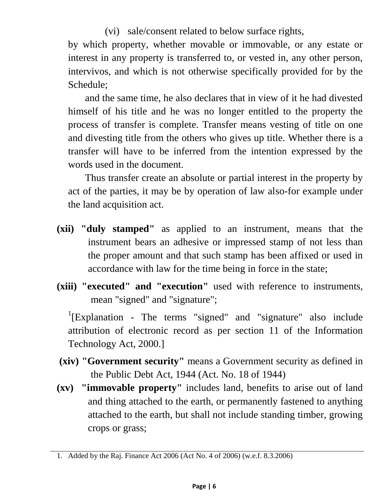(vi) sale/consent related to below surface rights,

by which property, whether movable or immovable, or any estate or interest in any property is transferred to, or vested in, any other person, intervivos, and which is not otherwise specifically provided for by the Schedule;

and the same time, he also declares that in view of it he had divested himself of his title and he was no longer entitled to the property the process of transfer is complete. Transfer means vesting of title on one and divesting title from the others who gives up title. Whether there is a transfer will have to be inferred from the intention expressed by the words used in the document.

Thus transfer create an absolute or partial interest in the property by act of the parties, it may be by operation of law also-for example under the land acquisition act.

- **(xii) "duly stamped"** as applied to an instrument, means that the instrument bears an adhesive or impressed stamp of not less than the proper amount and that such stamp has been affixed or used in accordance with law for the time being in force in the state;
- **(xiii) "executed" and "execution"** used with reference to instruments, mean "signed" and "signature";

<sup>1</sup>[Explanation - The terms "signed" and "signature" also include attribution of electronic record as per section 11 of the Information Technology Act, 2000.]

- **(xiv) "Government security"** means a Government security as defined in the Public Debt Act, 1944 (Act. No. 18 of 1944)
- **(xv) "immovable property"** includes land, benefits to arise out of land and thing attached to the earth, or permanently fastened to anything attached to the earth, but shall not include standing timber, growing crops or grass;

<sup>1.</sup> Added by the Raj. Finance Act 2006 (Act No. 4 of 2006) (w.e.f. 8.3.2006)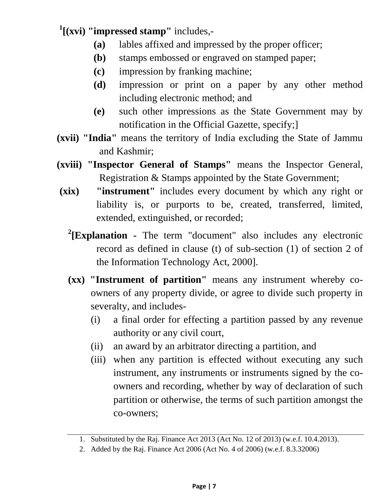**1 [(xvi) "impressed stamp"** includes,-

- **(a)** lables affixed and impressed by the proper officer;
- **(b)** stamps embossed or engraved on stamped paper;
- **(c)** impression by franking machine;
- **(d)** impression or print on a paper by any other method including electronic method; and
- **(e)** such other impressions as the State Government may by notification in the Official Gazette, specify;]
- **(xvii) "India"** means the territory of India excluding the State of Jammu and Kashmir;
- **(xviii) "Inspector General of Stamps"** means the Inspector General, Registration & Stamps appointed by the State Government;
- **(xix) "instrument"** includes every document by which any right or liability is, or purports to be, created, transferred, limited, extended, extinguished, or recorded;
	- **2 [Explanation -** The term "document" also includes any electronic record as defined in clause (t) of sub-section (1) of section 2 of the Information Technology Act, 2000].
	- **(xx) "Instrument of partition"** means any instrument whereby coowners of any property divide, or agree to divide such property in severalty, and includes-
		- (i) a final order for effecting a partition passed by any revenue authority or any civil court,
		- (ii) an award by an arbitrator directing a partition, and
		- (iii) when any partition is effected without executing any such instrument, any instruments or instruments signed by the coowners and recording, whether by way of declaration of such partition or otherwise, the terms of such partition amongst the co-owners;

<sup>1.</sup> Substituted by the Raj. Finance Act 2013 (Act No. 12 of 2013) (w.e.f. 10.4.2013).

<sup>2.</sup> Added by the Raj. Finance Act 2006 (Act No. 4 of 2006) (w.e.f. 8.3.32006)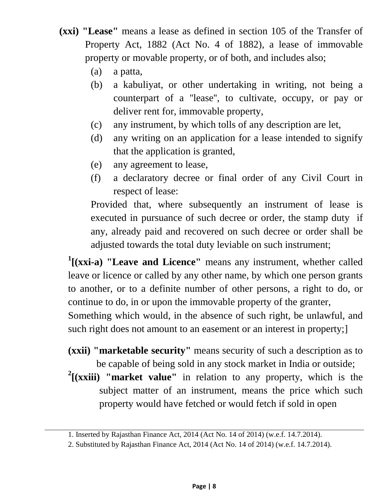- **(xxi) "Lease"** means a lease as defined in section 105 of the Transfer of Property Act, 1882 (Act No. 4 of 1882), a lease of immovable property or movable property, or of both, and includes also;
	- (a) a patta,
	- (b) a kabuliyat, or other undertaking in writing, not being a counterpart of a ''lease'', to cultivate, occupy, or pay or deliver rent for, immovable property,
	- (c) any instrument, by which tolls of any description are let,
	- (d) any writing on an application for a lease intended to signify that the application is granted,
	- (e) any agreement to lease,
	- (f) a declaratory decree or final order of any Civil Court in respect of lease:

Provided that, where subsequently an instrument of lease is executed in pursuance of such decree or order, the stamp duty if any, already paid and recovered on such decree or order shall be adjusted towards the total duty leviable on such instrument;

<sup>1</sup>[(xxi-a) "Leave and Licence" means any instrument, whether called leave or licence or called by any other name, by which one person grants to another, or to a definite number of other persons, a right to do, or continue to do, in or upon the immovable property of the granter, Something which would, in the absence of such right, be unlawful, and such right does not amount to an easement or an interest in property;]

- **(xxii) "marketable security"** means security of such a description as to be capable of being sold in any stock market in India or outside;
- **2 [(xxiii) "market value"** in relation to any property, which is the subject matter of an instrument, means the price which such property would have fetched or would fetch if sold in open

<sup>1.</sup> Inserted by Rajasthan Finance Act, 2014 (Act No. 14 of 2014) (w.e.f. 14.7.2014).

<sup>2.</sup> Substituted by Rajasthan Finance Act, 2014 (Act No. 14 of 2014) (w.e.f. 14.7.2014).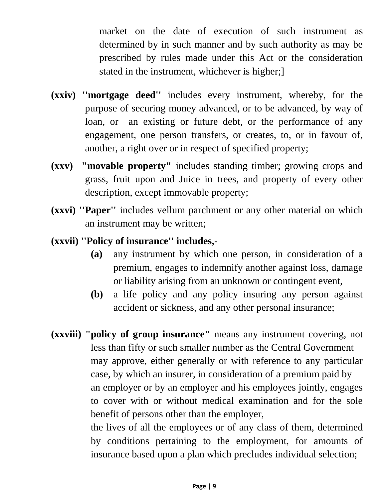market on the date of execution of such instrument as determined by in such manner and by such authority as may be prescribed by rules made under this Act or the consideration stated in the instrument, whichever is higher;]

- **(xxiv) ''mortgage deed''** includes every instrument, whereby, for the purpose of securing money advanced, or to be advanced, by way of loan, or an existing or future debt, or the performance of any engagement, one person transfers, or creates, to, or in favour of, another, a right over or in respect of specified property;
- **(xxv) "movable property"** includes standing timber; growing crops and grass, fruit upon and Juice in trees, and property of every other description, except immovable property;
- **(xxvi) ''Paper''** includes vellum parchment or any other material on which an instrument may be written;
- **(xxvii) ''Policy of insurance'' includes,-**
	- **(a)** any instrument by which one person, in consideration of a premium, engages to indemnify another against loss, damage or liability arising from an unknown or contingent event,
	- **(b)** a life policy and any policy insuring any person against accident or sickness, and any other personal insurance;
- **(xxviii) "policy of group insurance"** means any instrument covering, not less than fifty or such smaller number as the Central Government may approve, either generally or with reference to any particular case, by which an insurer, in consideration of a premium paid by an employer or by an employer and his employees jointly, engages to cover with or without medical examination and for the sole benefit of persons other than the employer, the lives of all the employees or of any class of them, determined

by conditions pertaining to the employment, for amounts of insurance based upon a plan which precludes individual selection;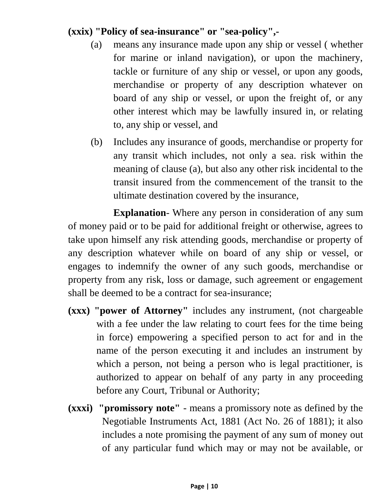#### **(xxix) "Policy of sea-insurance" or "sea-policy",-**

- (a) means any insurance made upon any ship or vessel ( whether for marine or inland navigation), or upon the machinery, tackle or furniture of any ship or vessel, or upon any goods, merchandise or property of any description whatever on board of any ship or vessel, or upon the freight of, or any other interest which may be lawfully insured in, or relating to, any ship or vessel, and
- (b) Includes any insurance of goods, merchandise or property for any transit which includes, not only a sea. risk within the meaning of clause (a), but also any other risk incidental to the transit insured from the commencement of the transit to the ultimate destination covered by the insurance,

**Explanation**- Where any person in consideration of any sum of money paid or to be paid for additional freight or otherwise, agrees to take upon himself any risk attending goods, merchandise or property of any description whatever while on board of any ship or vessel, or engages to indemnify the owner of any such goods, merchandise or property from any risk, loss or damage, such agreement or engagement shall be deemed to be a contract for sea-insurance;

- **(xxx) "power of Attorney"** includes any instrument, (not chargeable with a fee under the law relating to court fees for the time being in force) empowering a specified person to act for and in the name of the person executing it and includes an instrument by which a person, not being a person who is legal practitioner, is authorized to appear on behalf of any party in any proceeding before any Court, Tribunal or Authority;
- **(xxxi) "promissory note"**  means a promissory note as defined by the Negotiable Instruments Act, 1881 (Act No. 26 of 1881); it also includes a note promising the payment of any sum of money out of any particular fund which may or may not be available, or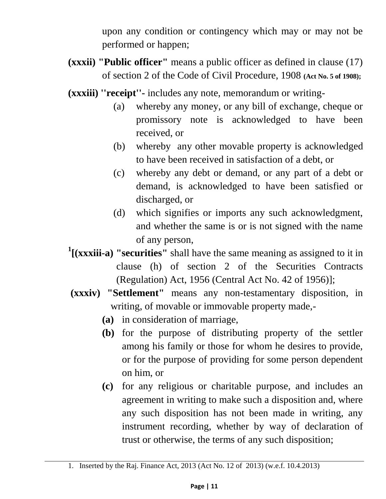upon any condition or contingency which may or may not be performed or happen;

- **(xxxii) "Public officer"** means a public officer as defined in clause (17) of section 2 of the Code of Civil Procedure, 1908 **(Act No. 5 of 1908);**
- **(xxxiii) ''receipt''-** includes any note, memorandum or writing-
	- (a) whereby any money, or any bill of exchange, cheque or promissory note is acknowledged to have been received, or
	- (b) whereby any other movable property is acknowledged to have been received in satisfaction of a debt, or
	- (c) whereby any debt or demand, or any part of a debt or demand, is acknowledged to have been satisfied or discharged, or
	- (d) which signifies or imports any such acknowledgment, and whether the same is or is not signed with the name of any person,
- <sup>1</sup>[(xxxiii-a) "securities" shall have the same meaning as assigned to it in clause (h) of section 2 of the Securities Contracts (Regulation) Act, 1956 (Central Act No. 42 of 1956)];
- **(xxxiv) "Settlement"** means any non-testamentary disposition, in writing, of movable or immovable property made,-
	- **(a)** in consideration of marriage,
	- **(b)** for the purpose of distributing property of the settler among his family or those for whom he desires to provide, or for the purpose of providing for some person dependent on him, or
	- **(c)** for any religious or charitable purpose, and includes an agreement in writing to make such a disposition and, where any such disposition has not been made in writing, any instrument recording, whether by way of declaration of trust or otherwise, the terms of any such disposition;

<sup>1.</sup> Inserted by the Raj. Finance Act, 2013 (Act No. 12 of 2013) (w.e.f. 10.4.2013)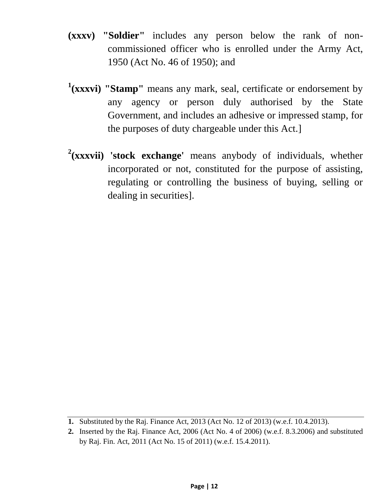- **(xxxv) "Soldier"** includes any person below the rank of noncommissioned officer who is enrolled under the Army Act, 1950 (Act No. 46 of 1950); and
- <sup>1</sup>(xxxvi) "Stamp" means any mark, seal, certificate or endorsement by any agency or person duly authorised by the State Government, and includes an adhesive or impressed stamp, for the purposes of duty chargeable under this Act.]
- **2 (xxxvii) 'stock exchange'** means anybody of individuals, whether incorporated or not, constituted for the purpose of assisting, regulating or controlling the business of buying, selling or dealing in securities].

**<sup>1.</sup>** Substituted by the Raj. Finance Act, 2013 (Act No. 12 of 2013) (w.e.f. 10.4.2013).

**<sup>2.</sup>** Inserted by the Raj. Finance Act, 2006 (Act No. 4 of 2006) (w.e.f. 8.3.2006) and substituted by Raj. Fin. Act, 2011 (Act No. 15 of 2011) (w.e.f. 15.4.2011).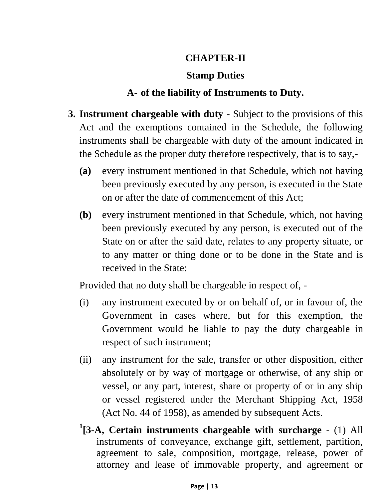#### **CHAPTER-II**

#### **Stamp Duties**

#### **A- of the liability of Instruments to Duty.**

- **3. Instrument chargeable with duty -** Subject to the provisions of this Act and the exemptions contained in the Schedule, the following instruments shall be chargeable with duty of the amount indicated in the Schedule as the proper duty therefore respectively, that is to say,-
	- **(a)** every instrument mentioned in that Schedule, which not having been previously executed by any person, is executed in the State on or after the date of commencement of this Act;
	- **(b)** every instrument mentioned in that Schedule, which, not having been previously executed by any person, is executed out of the State on or after the said date, relates to any property situate, or to any matter or thing done or to be done in the State and is received in the State:

Provided that no duty shall be chargeable in respect of, -

- (i) any instrument executed by or on behalf of, or in favour of, the Government in cases where, but for this exemption, the Government would be liable to pay the duty chargeable in respect of such instrument;
- (ii) any instrument for the sale, transfer or other disposition, either absolutely or by way of mortgage or otherwise, of any ship or vessel, or any part, interest, share or property of or in any ship or vessel registered under the Merchant Shipping Act, 1958 (Act No. 44 of 1958), as amended by subsequent Acts.
- **1 [3-A, Certain instruments chargeable with surcharge** (1) All instruments of conveyance, exchange gift, settlement, partition, agreement to sale, composition, mortgage, release, power of attorney and lease of immovable property, and agreement or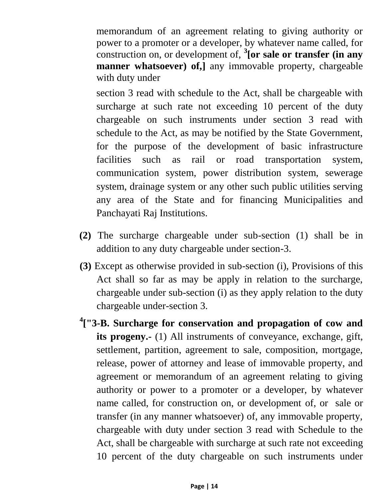memorandum of an agreement relating to giving authority or power to a promoter or a developer, by whatever name called, for construction on, or development of, **<sup>3</sup> [or sale or transfer (in any manner whatsoever) of,** any immovable property, chargeable with duty under

section 3 read with schedule to the Act, shall be chargeable with surcharge at such rate not exceeding 10 percent of the duty chargeable on such instruments under section 3 read with schedule to the Act, as may be notified by the State Government, for the purpose of the development of basic infrastructure facilities such as rail or road transportation system, communication system, power distribution system, sewerage system, drainage system or any other such public utilities serving any area of the State and for financing Municipalities and Panchayati Raj Institutions.

- **(2)** The surcharge chargeable under sub-section (1) shall be in addition to any duty chargeable under section-3.
- **(3)** Except as otherwise provided in sub-section (i), Provisions of this Act shall so far as may be apply in relation to the surcharge, chargeable under sub-section (i) as they apply relation to the duty chargeable under-section 3.
- **4 ["3-B. Surcharge for conservation and propagation of cow and its progeny.-** (1) All instruments of conveyance, exchange, gift, settlement, partition, agreement to sale, composition, mortgage, release, power of attorney and lease of immovable property, and agreement or memorandum of an agreement relating to giving authority or power to a promoter or a developer, by whatever name called, for construction on, or development of, or sale or transfer (in any manner whatsoever) of, any immovable property, chargeable with duty under section 3 read with Schedule to the Act, shall be chargeable with surcharge at such rate not exceeding 10 percent of the duty chargeable on such instruments under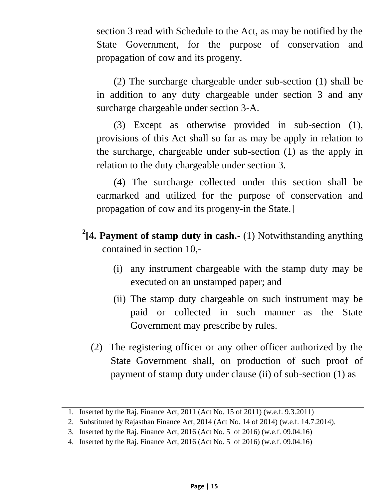section 3 read with Schedule to the Act, as may be notified by the State Government, for the purpose of conservation and propagation of cow and its progeny.

(2) The surcharge chargeable under sub-section (1) shall be in addition to any duty chargeable under section 3 and any surcharge chargeable under section 3-A.

(3) Except as otherwise provided in sub-section (1), provisions of this Act shall so far as may be apply in relation to the surcharge, chargeable under sub-section (1) as the apply in relation to the duty chargeable under section 3.

(4) The surcharge collected under this section shall be earmarked and utilized for the purpose of conservation and propagation of cow and its progeny-in the State.]

- **2 [4. Payment of stamp duty in cash.** (1) Notwithstanding anything contained in section 10,-
	- (i) any instrument chargeable with the stamp duty may be executed on an unstamped paper; and
	- (ii) The stamp duty chargeable on such instrument may be paid or collected in such manner as the State Government may prescribe by rules.
	- (2) The registering officer or any other officer authorized by the State Government shall, on production of such proof of payment of stamp duty under clause (ii) of sub-section (1) as

<sup>1.</sup> Inserted by the Raj. Finance Act, 2011 (Act No. 15 of 2011) (w.e.f. 9.3.2011)

<sup>2.</sup> Substituted by Rajasthan Finance Act, 2014 (Act No. 14 of 2014) (w.e.f. 14.7.2014).

<sup>3.</sup> Inserted by the Raj. Finance Act, 2016 (Act No. 5 of 2016) (w.e.f. 09.04.16)

<sup>4.</sup> Inserted by the Raj. Finance Act, 2016 (Act No. 5 of 2016) (w.e.f. 09.04.16)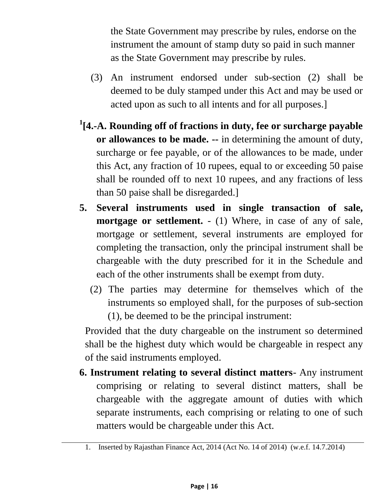the State Government may prescribe by rules, endorse on the instrument the amount of stamp duty so paid in such manner as the State Government may prescribe by rules.

- (3) An instrument endorsed under sub-section (2) shall be deemed to be duly stamped under this Act and may be used or acted upon as such to all intents and for all purposes.]
- **1 [4.-A. Rounding off of fractions in duty, fee or surcharge payable or allowances to be made. --** in determining the amount of duty, surcharge or fee payable, or of the allowances to be made, under this Act, any fraction of 10 rupees, equal to or exceeding 50 paise shall be rounded off to next 10 rupees, and any fractions of less than 50 paise shall be disregarded.]
- **5. Several instruments used in single transaction of sale, mortgage or settlement.** - (1) Where, in case of any of sale, mortgage or settlement, several instruments are employed for completing the transaction, only the principal instrument shall be chargeable with the duty prescribed for it in the Schedule and each of the other instruments shall be exempt from duty.
	- (2) The parties may determine for themselves which of the instruments so employed shall, for the purposes of sub-section (1), be deemed to be the principal instrument:

Provided that the duty chargeable on the instrument so determined shall be the highest duty which would be chargeable in respect any of the said instruments employed.

**6. Instrument relating to several distinct matters**- Any instrument comprising or relating to several distinct matters, shall be chargeable with the aggregate amount of duties with which separate instruments, each comprising or relating to one of such matters would be chargeable under this Act.

<sup>1.</sup> Inserted by Rajasthan Finance Act, 2014 (Act No. 14 of 2014) (w.e.f. 14.7.2014)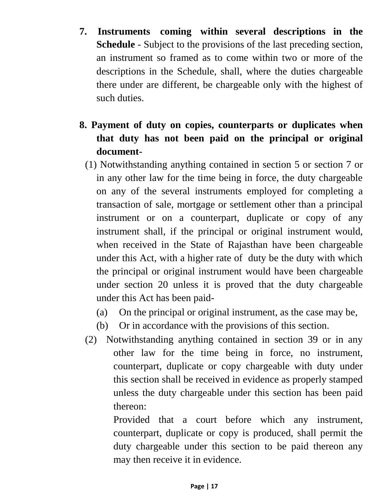- **7. Instruments coming within several descriptions in the Schedule** - Subject to the provisions of the last preceding section, an instrument so framed as to come within two or more of the descriptions in the Schedule, shall, where the duties chargeable there under are different, be chargeable only with the highest of such duties.
- **8. Payment of duty on copies, counterparts or duplicates when that duty has not been paid on the principal or original document-**
	- (1) Notwithstanding anything contained in section 5 or section 7 or in any other law for the time being in force, the duty chargeable on any of the several instruments employed for completing a transaction of sale, mortgage or settlement other than a principal instrument or on a counterpart, duplicate or copy of any instrument shall, if the principal or original instrument would, when received in the State of Rajasthan have been chargeable under this Act, with a higher rate of duty be the duty with which the principal or original instrument would have been chargeable under section 20 unless it is proved that the duty chargeable under this Act has been paid-
		- (a) On the principal or original instrument, as the case may be,
		- (b) Or in accordance with the provisions of this section.
	- (2) Notwithstanding anything contained in section 39 or in any other law for the time being in force, no instrument, counterpart, duplicate or copy chargeable with duty under this section shall be received in evidence as properly stamped unless the duty chargeable under this section has been paid thereon:

Provided that a court before which any instrument, counterpart, duplicate or copy is produced, shall permit the duty chargeable under this section to be paid thereon any may then receive it in evidence.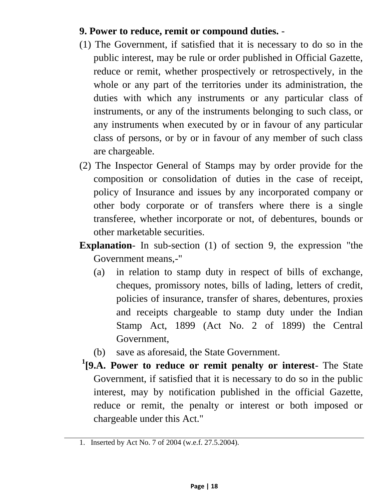#### **9. Power to reduce, remit or compound duties.** -

- (1) The Government, if satisfied that it is necessary to do so in the public interest, may be rule or order published in Official Gazette, reduce or remit, whether prospectively or retrospectively, in the whole or any part of the territories under its administration, the duties with which any instruments or any particular class of instruments, or any of the instruments belonging to such class, or any instruments when executed by or in favour of any particular class of persons, or by or in favour of any member of such class are chargeable.
- (2) The Inspector General of Stamps may by order provide for the composition or consolidation of duties in the case of receipt, policy of Insurance and issues by any incorporated company or other body corporate or of transfers where there is a single transferee, whether incorporate or not, of debentures, bounds or other marketable securities.
- **Explanation** In sub-section (1) of section 9, the expression "the Government means,-"
	- (a) in relation to stamp duty in respect of bills of exchange, cheques, promissory notes, bills of lading, letters of credit, policies of insurance, transfer of shares, debentures, proxies and receipts chargeable to stamp duty under the Indian Stamp Act, 1899 (Act No. 2 of 1899) the Central Government,
	- (b) save as aforesaid, the State Government.
- **1 [9.A. Power to reduce or remit penalty or interest** The State Government, if satisfied that it is necessary to do so in the public interest, may by notification published in the official Gazette, reduce or remit, the penalty or interest or both imposed or chargeable under this Act."

<sup>1.</sup> Inserted by Act No. 7 of 2004 (w.e.f. 27.5.2004).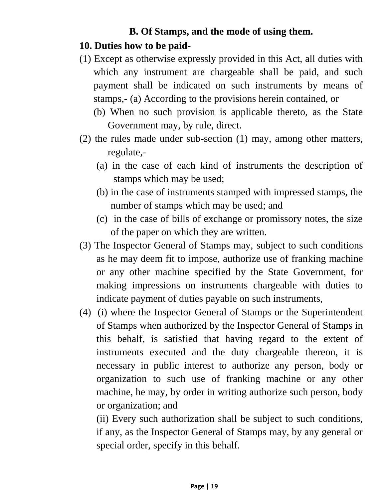#### **B. Of Stamps, and the mode of using them.**

#### **10. Duties how to be paid-**

- (1) Except as otherwise expressly provided in this Act, all duties with which any instrument are chargeable shall be paid, and such payment shall be indicated on such instruments by means of stamps,- (a) According to the provisions herein contained, or
	- (b) When no such provision is applicable thereto, as the State Government may, by rule, direct.
- (2) the rules made under sub-section (1) may, among other matters, regulate,-
	- (a) in the case of each kind of instruments the description of stamps which may be used;
	- (b) in the case of instruments stamped with impressed stamps, the number of stamps which may be used; and
	- (c) in the case of bills of exchange or promissory notes, the size of the paper on which they are written.
- (3) The Inspector General of Stamps may, subject to such conditions as he may deem fit to impose, authorize use of franking machine or any other machine specified by the State Government, for making impressions on instruments chargeable with duties to indicate payment of duties payable on such instruments,
- (4) (i) where the Inspector General of Stamps or the Superintendent of Stamps when authorized by the Inspector General of Stamps in this behalf, is satisfied that having regard to the extent of instruments executed and the duty chargeable thereon, it is necessary in public interest to authorize any person, body or organization to such use of franking machine or any other machine, he may, by order in writing authorize such person, body or organization; and

(ii) Every such authorization shall be subject to such conditions, if any, as the Inspector General of Stamps may, by any general or special order, specify in this behalf.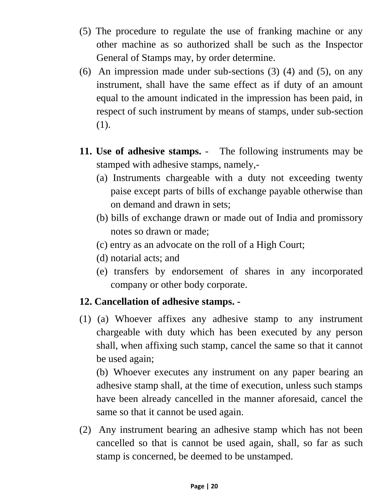- (5) The procedure to regulate the use of franking machine or any other machine as so authorized shall be such as the Inspector General of Stamps may, by order determine.
- (6) An impression made under sub-sections (3) (4) and (5), on any instrument, shall have the same effect as if duty of an amount equal to the amount indicated in the impression has been paid, in respect of such instrument by means of stamps, under sub-section (1).
- **11. Use of adhesive stamps.** The following instruments may be stamped with adhesive stamps, namely,-
	- (a) Instruments chargeable with a duty not exceeding twenty paise except parts of bills of exchange payable otherwise than on demand and drawn in sets;
	- (b) bills of exchange drawn or made out of India and promissory notes so drawn or made;
	- (c) entry as an advocate on the roll of a High Court;
	- (d) notarial acts; and
	- (e) transfers by endorsement of shares in any incorporated company or other body corporate.

#### **12. Cancellation of adhesive stamps. -**

(1) (a) Whoever affixes any adhesive stamp to any instrument chargeable with duty which has been executed by any person shall, when affixing such stamp, cancel the same so that it cannot be used again;

(b) Whoever executes any instrument on any paper bearing an adhesive stamp shall, at the time of execution, unless such stamps have been already cancelled in the manner aforesaid, cancel the same so that it cannot be used again.

(2) Any instrument bearing an adhesive stamp which has not been cancelled so that is cannot be used again, shall, so far as such stamp is concerned, be deemed to be unstamped.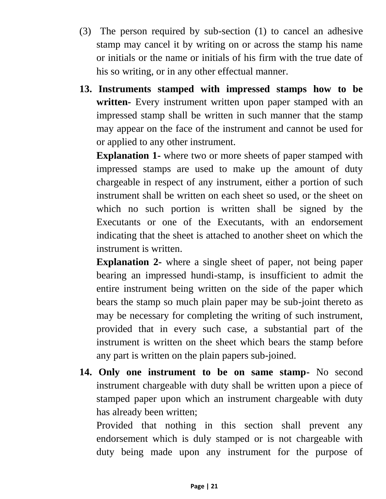- (3) The person required by sub-section (1) to cancel an adhesive stamp may cancel it by writing on or across the stamp his name or initials or the name or initials of his firm with the true date of his so writing, or in any other effectual manner.
- **13. Instruments stamped with impressed stamps how to be written-** Every instrument written upon paper stamped with an impressed stamp shall be written in such manner that the stamp may appear on the face of the instrument and cannot be used for or applied to any other instrument.

**Explanation 1-** where two or more sheets of paper stamped with impressed stamps are used to make up the amount of duty chargeable in respect of any instrument, either a portion of such instrument shall be written on each sheet so used, or the sheet on which no such portion is written shall be signed by the Executants or one of the Executants, with an endorsement indicating that the sheet is attached to another sheet on which the instrument is written.

**Explanation 2-** where a single sheet of paper, not being paper bearing an impressed hundi-stamp, is insufficient to admit the entire instrument being written on the side of the paper which bears the stamp so much plain paper may be sub-joint thereto as may be necessary for completing the writing of such instrument, provided that in every such case, a substantial part of the instrument is written on the sheet which bears the stamp before any part is written on the plain papers sub-joined.

**14. Only one instrument to be on same stamp-** No second instrument chargeable with duty shall be written upon a piece of stamped paper upon which an instrument chargeable with duty has already been written;

Provided that nothing in this section shall prevent any endorsement which is duly stamped or is not chargeable with duty being made upon any instrument for the purpose of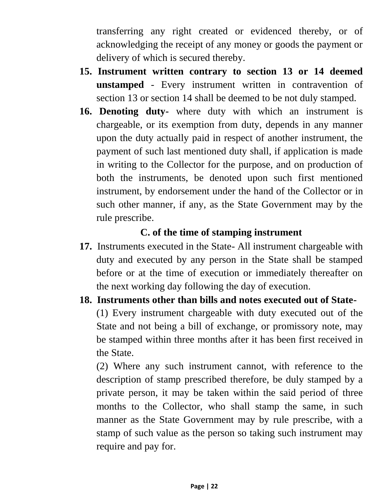transferring any right created or evidenced thereby, or of acknowledging the receipt of any money or goods the payment or delivery of which is secured thereby.

- **15. Instrument written contrary to section 13 or 14 deemed unstamped** - Every instrument written in contravention of section 13 or section 14 shall be deemed to be not duly stamped.
- **16. Denoting duty-** where duty with which an instrument is chargeable, or its exemption from duty, depends in any manner upon the duty actually paid in respect of another instrument, the payment of such last mentioned duty shall, if application is made in writing to the Collector for the purpose, and on production of both the instruments, be denoted upon such first mentioned instrument, by endorsement under the hand of the Collector or in such other manner, if any, as the State Government may by the rule prescribe.

#### **C. of the time of stamping instrument**

- **17.** Instruments executed in the State- All instrument chargeable with duty and executed by any person in the State shall be stamped before or at the time of execution or immediately thereafter on the next working day following the day of execution.
- **18. Instruments other than bills and notes executed out of State-** (1) Every instrument chargeable with duty executed out of the State and not being a bill of exchange, or promissory note, may be stamped within three months after it has been first received in the State.

(2) Where any such instrument cannot, with reference to the description of stamp prescribed therefore, be duly stamped by a private person, it may be taken within the said period of three months to the Collector, who shall stamp the same, in such manner as the State Government may by rule prescribe, with a stamp of such value as the person so taking such instrument may require and pay for.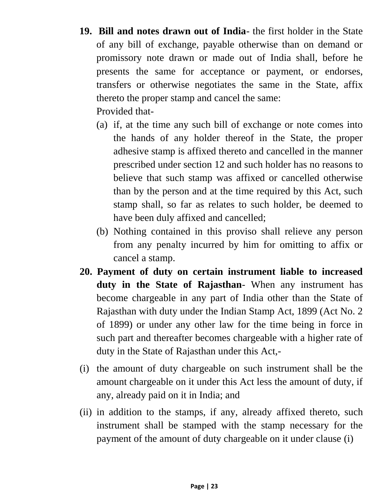- **19. Bill and notes drawn out of India** the first holder in the State of any bill of exchange, payable otherwise than on demand or promissory note drawn or made out of India shall, before he presents the same for acceptance or payment, or endorses, transfers or otherwise negotiates the same in the State, affix thereto the proper stamp and cancel the same: Provided that-
	- (a) if, at the time any such bill of exchange or note comes into the hands of any holder thereof in the State, the proper adhesive stamp is affixed thereto and cancelled in the manner prescribed under section 12 and such holder has no reasons to believe that such stamp was affixed or cancelled otherwise than by the person and at the time required by this Act, such stamp shall, so far as relates to such holder, be deemed to have been duly affixed and cancelled;
	- (b) Nothing contained in this proviso shall relieve any person from any penalty incurred by him for omitting to affix or cancel a stamp.
- **20. Payment of duty on certain instrument liable to increased duty in the State of Rajasthan**- When any instrument has become chargeable in any part of India other than the State of Rajasthan with duty under the Indian Stamp Act, 1899 (Act No. 2 of 1899) or under any other law for the time being in force in such part and thereafter becomes chargeable with a higher rate of duty in the State of Rajasthan under this Act,-
- (i) the amount of duty chargeable on such instrument shall be the amount chargeable on it under this Act less the amount of duty, if any, already paid on it in India; and
- (ii) in addition to the stamps, if any, already affixed thereto, such instrument shall be stamped with the stamp necessary for the payment of the amount of duty chargeable on it under clause (i)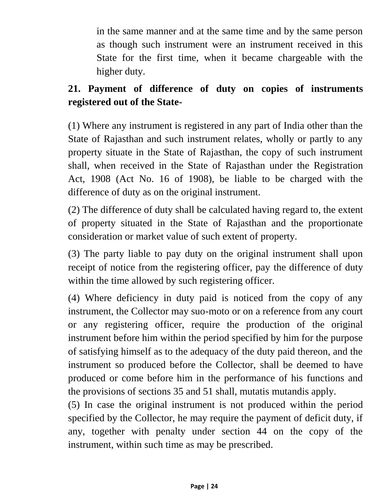in the same manner and at the same time and by the same person as though such instrument were an instrument received in this State for the first time, when it became chargeable with the higher duty.

### **21. Payment of difference of duty on copies of instruments registered out of the State-**

(1) Where any instrument is registered in any part of India other than the State of Rajasthan and such instrument relates, wholly or partly to any property situate in the State of Rajasthan, the copy of such instrument shall, when received in the State of Rajasthan under the Registration Act, 1908 (Act No. 16 of 1908), be liable to be charged with the difference of duty as on the original instrument.

(2) The difference of duty shall be calculated having regard to, the extent of property situated in the State of Rajasthan and the proportionate consideration or market value of such extent of property.

(3) The party liable to pay duty on the original instrument shall upon receipt of notice from the registering officer, pay the difference of duty within the time allowed by such registering officer.

(4) Where deficiency in duty paid is noticed from the copy of any instrument, the Collector may suo-moto or on a reference from any court or any registering officer, require the production of the original instrument before him within the period specified by him for the purpose of satisfying himself as to the adequacy of the duty paid thereon, and the instrument so produced before the Collector, shall be deemed to have produced or come before him in the performance of his functions and the provisions of sections 35 and 51 shall, mutatis mutandis apply.

(5) In case the original instrument is not produced within the period specified by the Collector, he may require the payment of deficit duty, if any, together with penalty under section 44 on the copy of the instrument, within such time as may be prescribed.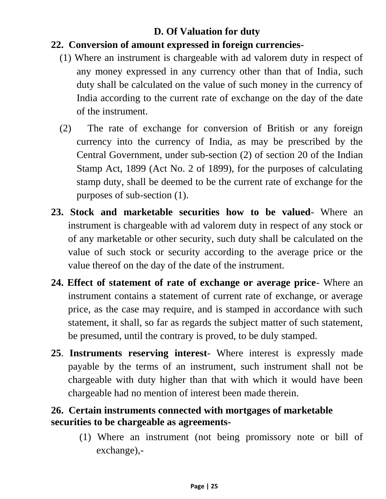#### **D. Of Valuation for duty**

#### **22. Conversion of amount expressed in foreign currencies-**

- (1) Where an instrument is chargeable with ad valorem duty in respect of any money expressed in any currency other than that of India, such duty shall be calculated on the value of such money in the currency of India according to the current rate of exchange on the day of the date of the instrument.
- (2) The rate of exchange for conversion of British or any foreign currency into the currency of India, as may be prescribed by the Central Government, under sub-section (2) of section 20 of the Indian Stamp Act, 1899 (Act No. 2 of 1899), for the purposes of calculating stamp duty, shall be deemed to be the current rate of exchange for the purposes of sub-section (1).
- **23. Stock and marketable securities how to be valued** Where an instrument is chargeable with ad valorem duty in respect of any stock or of any marketable or other security, such duty shall be calculated on the value of such stock or security according to the average price or the value thereof on the day of the date of the instrument.
- **24. Effect of statement of rate of exchange or average price** Where an instrument contains a statement of current rate of exchange, or average price, as the case may require, and is stamped in accordance with such statement, it shall, so far as regards the subject matter of such statement, be presumed, until the contrary is proved, to be duly stamped.
- **25**. **Instruments reserving interest** Where interest is expressly made payable by the terms of an instrument, such instrument shall not be chargeable with duty higher than that with which it would have been chargeable had no mention of interest been made therein.

#### **26. Certain instruments connected with mortgages of marketable securities to be chargeable as agreements-**

(1) Where an instrument (not being promissory note or bill of exchange),-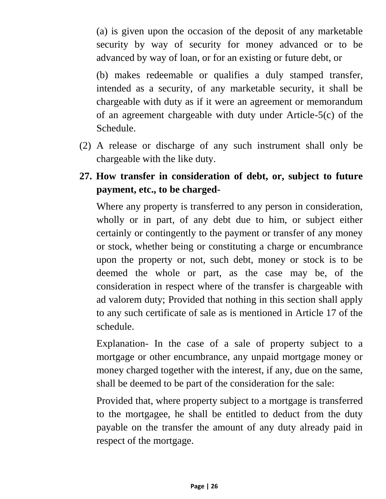(a) is given upon the occasion of the deposit of any marketable security by way of security for money advanced or to be advanced by way of loan, or for an existing or future debt, or

(b) makes redeemable or qualifies a duly stamped transfer, intended as a security, of any marketable security, it shall be chargeable with duty as if it were an agreement or memorandum of an agreement chargeable with duty under Article-5(c) of the Schedule.

- (2) A release or discharge of any such instrument shall only be chargeable with the like duty.
- **27. How transfer in consideration of debt, or, subject to future payment, etc., to be charged-**

Where any property is transferred to any person in consideration, wholly or in part, of any debt due to him, or subject either certainly or contingently to the payment or transfer of any money or stock, whether being or constituting a charge or encumbrance upon the property or not, such debt, money or stock is to be deemed the whole or part, as the case may be, of the consideration in respect where of the transfer is chargeable with ad valorem duty; Provided that nothing in this section shall apply to any such certificate of sale as is mentioned in Article 17 of the schedule.

Explanation- In the case of a sale of property subject to a mortgage or other encumbrance, any unpaid mortgage money or money charged together with the interest, if any, due on the same, shall be deemed to be part of the consideration for the sale:

Provided that, where property subject to a mortgage is transferred to the mortgagee, he shall be entitled to deduct from the duty payable on the transfer the amount of any duty already paid in respect of the mortgage.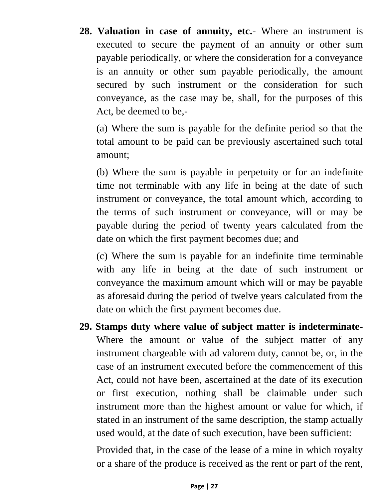**28. Valuation in case of annuity, etc.**- Where an instrument is executed to secure the payment of an annuity or other sum payable periodically, or where the consideration for a conveyance is an annuity or other sum payable periodically, the amount secured by such instrument or the consideration for such conveyance, as the case may be, shall, for the purposes of this Act, be deemed to be,-

(a) Where the sum is payable for the definite period so that the total amount to be paid can be previously ascertained such total amount;

(b) Where the sum is payable in perpetuity or for an indefinite time not terminable with any life in being at the date of such instrument or conveyance, the total amount which, according to the terms of such instrument or conveyance, will or may be payable during the period of twenty years calculated from the date on which the first payment becomes due; and

(c) Where the sum is payable for an indefinite time terminable with any life in being at the date of such instrument or conveyance the maximum amount which will or may be payable as aforesaid during the period of twelve years calculated from the date on which the first payment becomes due.

**29. Stamps duty where value of subject matter is indeterminate-**Where the amount or value of the subject matter of any instrument chargeable with ad valorem duty, cannot be, or, in the case of an instrument executed before the commencement of this Act, could not have been, ascertained at the date of its execution or first execution, nothing shall be claimable under such instrument more than the highest amount or value for which, if stated in an instrument of the same description, the stamp actually used would, at the date of such execution, have been sufficient:

Provided that, in the case of the lease of a mine in which royalty or a share of the produce is received as the rent or part of the rent,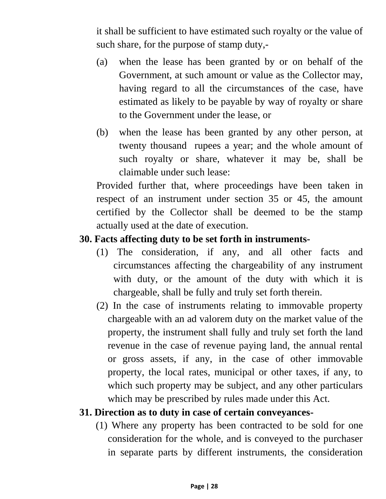it shall be sufficient to have estimated such royalty or the value of such share, for the purpose of stamp duty,-

- (a) when the lease has been granted by or on behalf of the Government, at such amount or value as the Collector may, having regard to all the circumstances of the case, have estimated as likely to be payable by way of royalty or share to the Government under the lease, or
- (b) when the lease has been granted by any other person, at twenty thousand rupees a year; and the whole amount of such royalty or share, whatever it may be, shall be claimable under such lease:

Provided further that, where proceedings have been taken in respect of an instrument under section 35 or 45, the amount certified by the Collector shall be deemed to be the stamp actually used at the date of execution.

#### **30. Facts affecting duty to be set forth in instruments-**

- (1) The consideration, if any, and all other facts and circumstances affecting the chargeability of any instrument with duty, or the amount of the duty with which it is chargeable, shall be fully and truly set forth therein.
- (2) In the case of instruments relating to immovable property chargeable with an ad valorem duty on the market value of the property, the instrument shall fully and truly set forth the land revenue in the case of revenue paying land, the annual rental or gross assets, if any, in the case of other immovable property, the local rates, municipal or other taxes, if any, to which such property may be subject, and any other particulars which may be prescribed by rules made under this Act.

#### **31. Direction as to duty in case of certain conveyances-**

 (1) Where any property has been contracted to be sold for one consideration for the whole, and is conveyed to the purchaser in separate parts by different instruments, the consideration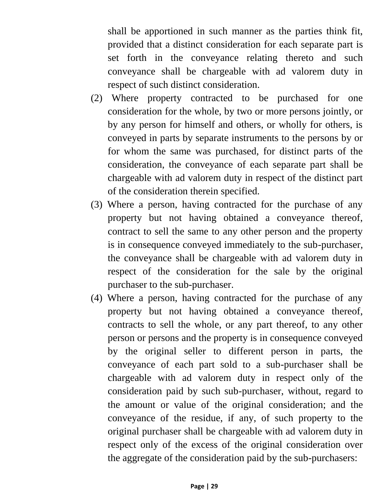shall be apportioned in such manner as the parties think fit, provided that a distinct consideration for each separate part is set forth in the conveyance relating thereto and such conveyance shall be chargeable with ad valorem duty in respect of such distinct consideration.

- (2) Where property contracted to be purchased for one consideration for the whole, by two or more persons jointly, or by any person for himself and others, or wholly for others, is conveyed in parts by separate instruments to the persons by or for whom the same was purchased, for distinct parts of the consideration, the conveyance of each separate part shall be chargeable with ad valorem duty in respect of the distinct part of the consideration therein specified.
- (3) Where a person, having contracted for the purchase of any property but not having obtained a conveyance thereof, contract to sell the same to any other person and the property is in consequence conveyed immediately to the sub-purchaser, the conveyance shall be chargeable with ad valorem duty in respect of the consideration for the sale by the original purchaser to the sub-purchaser.
- (4) Where a person, having contracted for the purchase of any property but not having obtained a conveyance thereof, contracts to sell the whole, or any part thereof, to any other person or persons and the property is in consequence conveyed by the original seller to different person in parts, the conveyance of each part sold to a sub-purchaser shall be chargeable with ad valorem duty in respect only of the consideration paid by such sub-purchaser, without, regard to the amount or value of the original consideration; and the conveyance of the residue, if any, of such property to the original purchaser shall be chargeable with ad valorem duty in respect only of the excess of the original consideration over the aggregate of the consideration paid by the sub-purchasers: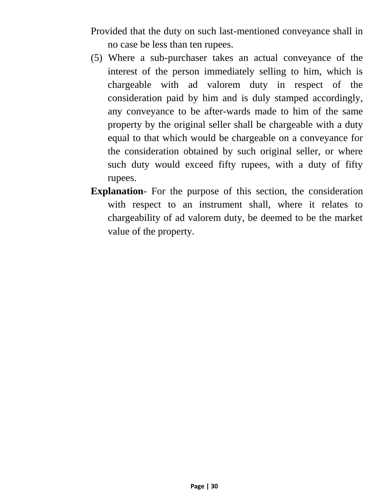Provided that the duty on such last-mentioned conveyance shall in no case be less than ten rupees.

- (5) Where a sub-purchaser takes an actual conveyance of the interest of the person immediately selling to him, which is chargeable with ad valorem duty in respect of the consideration paid by him and is duly stamped accordingly, any conveyance to be after-wards made to him of the same property by the original seller shall be chargeable with a duty equal to that which would be chargeable on a conveyance for the consideration obtained by such original seller, or where such duty would exceed fifty rupees, with a duty of fifty rupees.
- **Explanation** For the purpose of this section, the consideration with respect to an instrument shall, where it relates to chargeability of ad valorem duty, be deemed to be the market value of the property.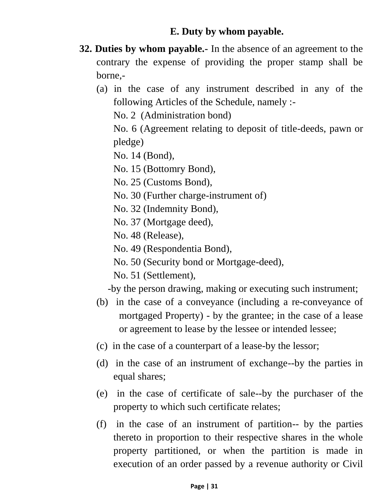#### **E. Duty by whom payable.**

- **32. Duties by whom payable.-** In the absence of an agreement to the contrary the expense of providing the proper stamp shall be borne,-
	- (a) in the case of any instrument described in any of the following Articles of the Schedule, namely :-

No. 2 (Administration bond)

No. 6 (Agreement relating to deposit of title-deeds, pawn or pledge)

No. 14 (Bond),

No. 15 (Bottomry Bond),

No. 25 (Customs Bond),

- No. 30 (Further charge-instrument of)
- No. 32 (Indemnity Bond),

No. 37 (Mortgage deed),

No. 48 (Release),

No. 49 (Respondentia Bond),

No. 50 (Security bond or Mortgage-deed),

No. 51 (Settlement),

-by the person drawing, making or executing such instrument;

- (b) in the case of a conveyance (including a re-conveyance of mortgaged Property) - by the grantee; in the case of a lease or agreement to lease by the lessee or intended lessee;
- (c) in the case of a counterpart of a lease-by the lessor;
- (d) in the case of an instrument of exchange--by the parties in equal shares;
- (e) in the case of certificate of sale--by the purchaser of the property to which such certificate relates;
- (f) in the case of an instrument of partition-- by the parties thereto in proportion to their respective shares in the whole property partitioned, or when the partition is made in execution of an order passed by a revenue authority or Civil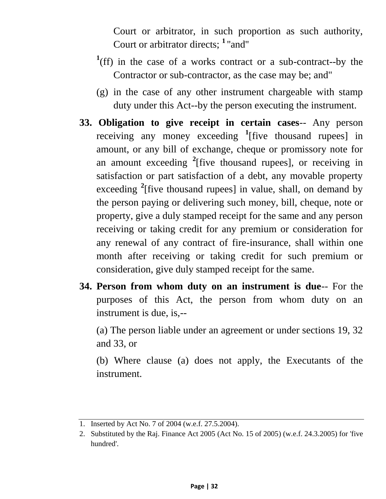Court or arbitrator, in such proportion as such authority, Court or arbitrator directs; **<sup>1</sup>**''and''

- <sup>1</sup>(ff) in the case of a works contract or a sub-contract--by the Contractor or sub-contractor, as the case may be; and"
- (g) in the case of any other instrument chargeable with stamp duty under this Act--by the person executing the instrument.
- **33. Obligation to give receipt in certain cases**-- Any person receiving any money exceeding **<sup>1</sup>** [five thousand rupees] in amount, or any bill of exchange, cheque or promissory note for an amount exceeding **<sup>2</sup>** [five thousand rupees], or receiving in satisfaction or part satisfaction of a debt, any movable property exceeding **<sup>2</sup>** [five thousand rupees] in value, shall, on demand by the person paying or delivering such money, bill, cheque, note or property, give a duly stamped receipt for the same and any person receiving or taking credit for any premium or consideration for any renewal of any contract of fire-insurance, shall within one month after receiving or taking credit for such premium or consideration, give duly stamped receipt for the same.
- **34. Person from whom duty on an instrument is due**-- For the purposes of this Act, the person from whom duty on an instrument is due, is,--

(a) The person liable under an agreement or under sections 19, 32 and 33, or

(b) Where clause (a) does not apply, the Executants of the instrument.

<sup>1.</sup> Inserted by Act No. 7 of 2004 (w.e.f. 27.5.2004).

<sup>2.</sup> Substituted by the Raj. Finance Act 2005 (Act No. 15 of 2005) (w.e.f. 24.3.2005) for 'five hundred'.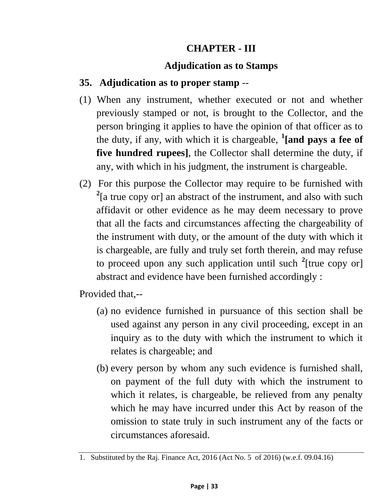#### **CHAPTER - III**

#### **Adjudication as to Stamps**

#### **35. Adjudication as to proper stamp** --

- (1) When any instrument, whether executed or not and whether previously stamped or not, is brought to the Collector, and the person bringing it applies to have the opinion of that officer as to the duty, if any, with which it is chargeable, **<sup>1</sup> [and pays a fee of five hundred rupees]**, the Collector shall determine the duty, if any, with which in his judgment, the instrument is chargeable.
- (2) For this purpose the Collector may require to be furnished with <sup>2</sup>[a true copy or] an abstract of the instrument, and also with such affidavit or other evidence as he may deem necessary to prove that all the facts and circumstances affecting the chargeability of the instrument with duty, or the amount of the duty with which it is chargeable, are fully and truly set forth therein, and may refuse to proceed upon any such application until such **<sup>2</sup>** [true copy or] abstract and evidence have been furnished accordingly :

Provided that,--

- (a) no evidence furnished in pursuance of this section shall be used against any person in any civil proceeding, except in an inquiry as to the duty with which the instrument to which it relates is chargeable; and
- (b) every person by whom any such evidence is furnished shall, on payment of the full duty with which the instrument to which it relates, is chargeable, be relieved from any penalty which he may have incurred under this Act by reason of the omission to state truly in such instrument any of the facts or circumstances aforesaid.

<sup>1.</sup> Substituted by the Raj. Finance Act, 2016 (Act No. 5 of 2016) (w.e.f. 09.04.16)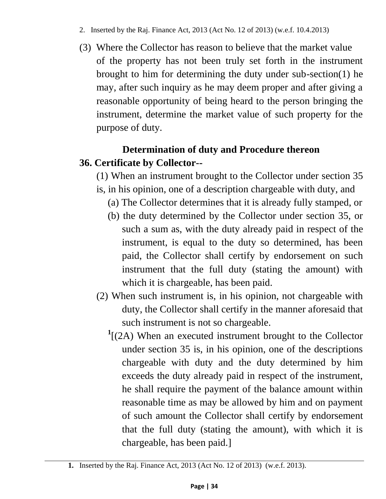- 2. Inserted by the Raj. Finance Act, 2013 (Act No. 12 of 2013) (w.e.f. 10.4.2013)
- (3) Where the Collector has reason to believe that the market value of the property has not been truly set forth in the instrument brought to him for determining the duty under sub-section(1) he may, after such inquiry as he may deem proper and after giving a reasonable opportunity of being heard to the person bringing the instrument, determine the market value of such property for the purpose of duty.

# **Determination of duty and Procedure thereon 36. Certificate by Collector--**

(1) When an instrument brought to the Collector under section 35

- is, in his opinion, one of a description chargeable with duty, and
	- (a) The Collector determines that it is already fully stamped, or
	- (b) the duty determined by the Collector under section 35, or such a sum as, with the duty already paid in respect of the instrument, is equal to the duty so determined, has been paid, the Collector shall certify by endorsement on such instrument that the full duty (stating the amount) with which it is chargeable, has been paid.
- (2) When such instrument is, in his opinion, not chargeable with duty, the Collector shall certify in the manner aforesaid that such instrument is not so chargeable.
	- **1** [(2A) When an executed instrument brought to the Collector under section 35 is, in his opinion, one of the descriptions chargeable with duty and the duty determined by him exceeds the duty already paid in respect of the instrument, he shall require the payment of the balance amount within reasonable time as may be allowed by him and on payment of such amount the Collector shall certify by endorsement that the full duty (stating the amount), with which it is chargeable, has been paid.]

**<sup>1.</sup>** Inserted by the Raj. Finance Act, 2013 (Act No. 12 of 2013) (w.e.f. 2013).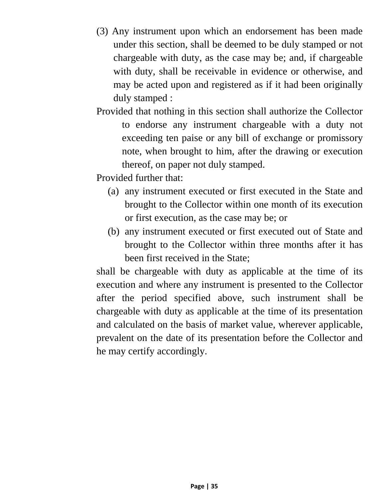- (3) Any instrument upon which an endorsement has been made under this section, shall be deemed to be duly stamped or not chargeable with duty, as the case may be; and, if chargeable with duty, shall be receivable in evidence or otherwise, and may be acted upon and registered as if it had been originally duly stamped :
- Provided that nothing in this section shall authorize the Collector to endorse any instrument chargeable with a duty not exceeding ten paise or any bill of exchange or promissory note, when brought to him, after the drawing or execution thereof, on paper not duly stamped.

Provided further that:

- (a) any instrument executed or first executed in the State and brought to the Collector within one month of its execution or first execution, as the case may be; or
- (b) any instrument executed or first executed out of State and brought to the Collector within three months after it has been first received in the State;

shall be chargeable with duty as applicable at the time of its execution and where any instrument is presented to the Collector after the period specified above, such instrument shall be chargeable with duty as applicable at the time of its presentation and calculated on the basis of market value, wherever applicable, prevalent on the date of its presentation before the Collector and he may certify accordingly.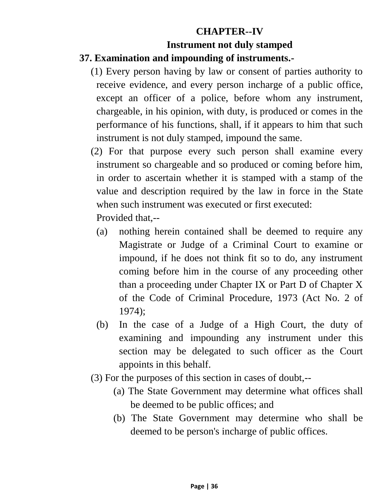# **CHAPTER--IV Instrument not duly stamped**

#### **37. Examination and impounding of instruments.-**

- (1) Every person having by law or consent of parties authority to receive evidence, and every person incharge of a public office, except an officer of a police, before whom any instrument, chargeable, in his opinion, with duty, is produced or comes in the performance of his functions, shall, if it appears to him that such instrument is not duly stamped, impound the same.
- (2) For that purpose every such person shall examine every instrument so chargeable and so produced or coming before him, in order to ascertain whether it is stamped with a stamp of the value and description required by the law in force in the State when such instrument was executed or first executed:

Provided that,--

- (a) nothing herein contained shall be deemed to require any Magistrate or Judge of a Criminal Court to examine or impound, if he does not think fit so to do, any instrument coming before him in the course of any proceeding other than a proceeding under Chapter IX or Part D of Chapter X of the Code of Criminal Procedure, 1973 (Act No. 2 of 1974);
- (b) In the case of a Judge of a High Court, the duty of examining and impounding any instrument under this section may be delegated to such officer as the Court appoints in this behalf.
- (3) For the purposes of this section in cases of doubt,--
	- (a) The State Government may determine what offices shall be deemed to be public offices; and
	- (b) The State Government may determine who shall be deemed to be person's incharge of public offices.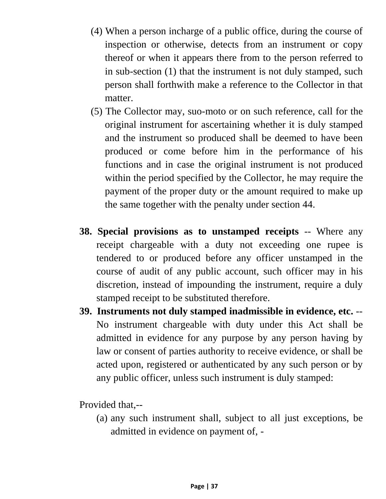- (4) When a person incharge of a public office, during the course of inspection or otherwise, detects from an instrument or copy thereof or when it appears there from to the person referred to in sub-section (1) that the instrument is not duly stamped, such person shall forthwith make a reference to the Collector in that matter.
- (5) The Collector may, suo-moto or on such reference, call for the original instrument for ascertaining whether it is duly stamped and the instrument so produced shall be deemed to have been produced or come before him in the performance of his functions and in case the original instrument is not produced within the period specified by the Collector, he may require the payment of the proper duty or the amount required to make up the same together with the penalty under section 44.
- **38. Special provisions as to unstamped receipts** -- Where any receipt chargeable with a duty not exceeding one rupee is tendered to or produced before any officer unstamped in the course of audit of any public account, such officer may in his discretion, instead of impounding the instrument, require a duly stamped receipt to be substituted therefore.
- **39. Instruments not duly stamped inadmissible in evidence, etc.** -- No instrument chargeable with duty under this Act shall be admitted in evidence for any purpose by any person having by law or consent of parties authority to receive evidence, or shall be acted upon, registered or authenticated by any such person or by any public officer, unless such instrument is duly stamped:

Provided that,--

(a) any such instrument shall, subject to all just exceptions, be admitted in evidence on payment of, -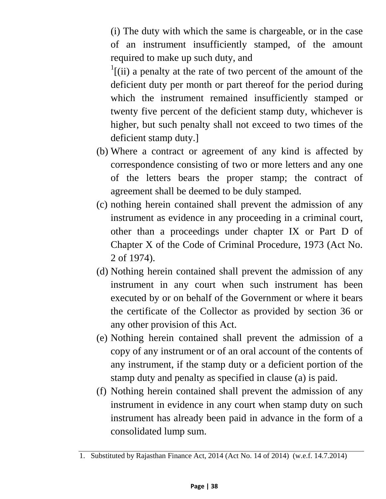(i) The duty with which the same is chargeable, or in the case of an instrument insufficiently stamped, of the amount required to make up such duty, and

 $\frac{1}{1}$ [(ii) a penalty at the rate of two percent of the amount of the deficient duty per month or part thereof for the period during which the instrument remained insufficiently stamped or twenty five percent of the deficient stamp duty, whichever is higher, but such penalty shall not exceed to two times of the deficient stamp duty.]

- (b) Where a contract or agreement of any kind is affected by correspondence consisting of two or more letters and any one of the letters bears the proper stamp; the contract of agreement shall be deemed to be duly stamped.
- (c) nothing herein contained shall prevent the admission of any instrument as evidence in any proceeding in a criminal court, other than a proceedings under chapter IX or Part D of Chapter X of the Code of Criminal Procedure, 1973 (Act No. 2 of 1974).
- (d) Nothing herein contained shall prevent the admission of any instrument in any court when such instrument has been executed by or on behalf of the Government or where it bears the certificate of the Collector as provided by section 36 or any other provision of this Act.
- (e) Nothing herein contained shall prevent the admission of a copy of any instrument or of an oral account of the contents of any instrument, if the stamp duty or a deficient portion of the stamp duty and penalty as specified in clause (a) is paid.
- (f) Nothing herein contained shall prevent the admission of any instrument in evidence in any court when stamp duty on such instrument has already been paid in advance in the form of a consolidated lump sum.

<sup>1.</sup> Substituted by Rajasthan Finance Act, 2014 (Act No. 14 of 2014) (w.e.f. 14.7.2014)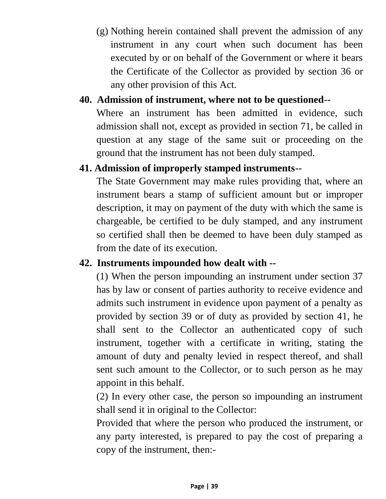(g) Nothing herein contained shall prevent the admission of any instrument in any court when such document has been executed by or on behalf of the Government or where it bears the Certificate of the Collector as provided by section 36 or any other provision of this Act.

### **40. Admission of instrument, where not to be questioned--**

Where an instrument has been admitted in evidence, such admission shall not, except as provided in section 71, be called in question at any stage of the same suit or proceeding on the ground that the instrument has not been duly stamped.

#### **41. Admission of improperly stamped instruments--**

The State Government may make rules providing that, where an instrument bears a stamp of sufficient amount but or improper description, it may on payment of the duty with which the same is chargeable, be certified to be duly stamped, and any instrument so certified shall then be deemed to have been duly stamped as from the date of its execution.

### **42. Instruments impounded how dealt with --**

(1) When the person impounding an instrument under section 37 has by law or consent of parties authority to receive evidence and admits such instrument in evidence upon payment of a penalty as provided by section 39 or of duty as provided by section 41, he shall sent to the Collector an authenticated copy of such instrument, together with a certificate in writing, stating the amount of duty and penalty levied in respect thereof, and shall sent such amount to the Collector, or to such person as he may appoint in this behalf.

(2) In every other case, the person so impounding an instrument shall send it in original to the Collector:

Provided that where the person who produced the instrument, or any party interested, is prepared to pay the cost of preparing a copy of the instrument, then:-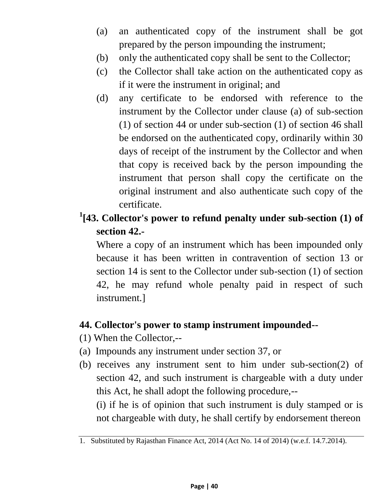- (a) an authenticated copy of the instrument shall be got prepared by the person impounding the instrument;
- (b) only the authenticated copy shall be sent to the Collector;
- (c) the Collector shall take action on the authenticated copy as if it were the instrument in original; and
- (d) any certificate to be endorsed with reference to the instrument by the Collector under clause (a) of sub-section (1) of section 44 or under sub-section (1) of section 46 shall be endorsed on the authenticated copy, ordinarily within 30 days of receipt of the instrument by the Collector and when that copy is received back by the person impounding the instrument that person shall copy the certificate on the original instrument and also authenticate such copy of the certificate.
- **1 [43. Collector's power to refund penalty under sub-section (1) of section 42.-**

Where a copy of an instrument which has been impounded only because it has been written in contravention of section 13 or section 14 is sent to the Collector under sub-section (1) of section 42, he may refund whole penalty paid in respect of such instrument.]

## **44. Collector's power to stamp instrument impounded--**

- (1) When the Collector,--
- (a) Impounds any instrument under section 37, or
- (b) receives any instrument sent to him under sub-section(2) of section 42, and such instrument is chargeable with a duty under this Act, he shall adopt the following procedure,--

(i) if he is of opinion that such instrument is duly stamped or is not chargeable with duty, he shall certify by endorsement thereon

<sup>1.</sup> Substituted by Rajasthan Finance Act, 2014 (Act No. 14 of 2014) (w.e.f. 14.7.2014).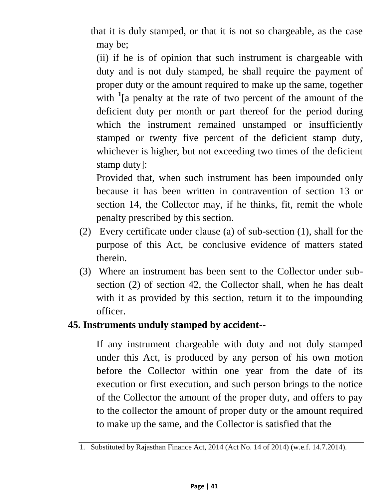that it is duly stamped, or that it is not so chargeable, as the case may be;

(ii) if he is of opinion that such instrument is chargeable with duty and is not duly stamped, he shall require the payment of proper duty or the amount required to make up the same, together with <sup>1</sup> [a penalty at the rate of two percent of the amount of the deficient duty per month or part thereof for the period during which the instrument remained unstamped or insufficiently stamped or twenty five percent of the deficient stamp duty, whichever is higher, but not exceeding two times of the deficient stamp duty]:

Provided that, when such instrument has been impounded only because it has been written in contravention of section 13 or section 14, the Collector may, if he thinks, fit, remit the whole penalty prescribed by this section.

- (2) Every certificate under clause (a) of sub-section (1), shall for the purpose of this Act, be conclusive evidence of matters stated therein.
- (3) Where an instrument has been sent to the Collector under subsection (2) of section 42, the Collector shall, when he has dealt with it as provided by this section, return it to the impounding officer.

### **45. Instruments unduly stamped by accident--**

If any instrument chargeable with duty and not duly stamped under this Act, is produced by any person of his own motion before the Collector within one year from the date of its execution or first execution, and such person brings to the notice of the Collector the amount of the proper duty, and offers to pay to the collector the amount of proper duty or the amount required to make up the same, and the Collector is satisfied that the

<sup>1.</sup> Substituted by Rajasthan Finance Act, 2014 (Act No. 14 of 2014) (w.e.f. 14.7.2014).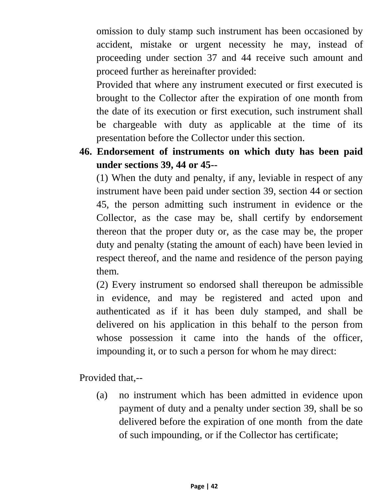omission to duly stamp such instrument has been occasioned by accident, mistake or urgent necessity he may, instead of proceeding under section 37 and 44 receive such amount and proceed further as hereinafter provided:

Provided that where any instrument executed or first executed is brought to the Collector after the expiration of one month from the date of its execution or first execution, such instrument shall be chargeable with duty as applicable at the time of its presentation before the Collector under this section.

**46. Endorsement of instruments on which duty has been paid under sections 39, 44 or 45--**

(1) When the duty and penalty, if any, leviable in respect of any instrument have been paid under section 39, section 44 or section 45, the person admitting such instrument in evidence or the Collector, as the case may be, shall certify by endorsement thereon that the proper duty or, as the case may be, the proper duty and penalty (stating the amount of each) have been levied in respect thereof, and the name and residence of the person paying them.

(2) Every instrument so endorsed shall thereupon be admissible in evidence, and may be registered and acted upon and authenticated as if it has been duly stamped, and shall be delivered on his application in this behalf to the person from whose possession it came into the hands of the officer, impounding it, or to such a person for whom he may direct:

Provided that,--

(a) no instrument which has been admitted in evidence upon payment of duty and a penalty under section 39, shall be so delivered before the expiration of one month from the date of such impounding, or if the Collector has certificate;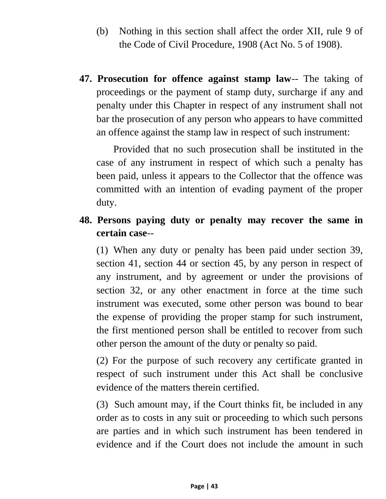- (b) Nothing in this section shall affect the order XII, rule 9 of the Code of Civil Procedure, 1908 (Act No. 5 of 1908).
- **47. Prosecution for offence against stamp law**-- The taking of proceedings or the payment of stamp duty, surcharge if any and penalty under this Chapter in respect of any instrument shall not bar the prosecution of any person who appears to have committed an offence against the stamp law in respect of such instrument:

Provided that no such prosecution shall be instituted in the case of any instrument in respect of which such a penalty has been paid, unless it appears to the Collector that the offence was committed with an intention of evading payment of the proper duty.

**48. Persons paying duty or penalty may recover the same in certain case**--

(1) When any duty or penalty has been paid under section 39, section 41, section 44 or section 45, by any person in respect of any instrument, and by agreement or under the provisions of section 32, or any other enactment in force at the time such instrument was executed, some other person was bound to bear the expense of providing the proper stamp for such instrument, the first mentioned person shall be entitled to recover from such other person the amount of the duty or penalty so paid.

(2) For the purpose of such recovery any certificate granted in respect of such instrument under this Act shall be conclusive evidence of the matters therein certified.

(3) Such amount may, if the Court thinks fit, be included in any order as to costs in any suit or proceeding to which such persons are parties and in which such instrument has been tendered in evidence and if the Court does not include the amount in such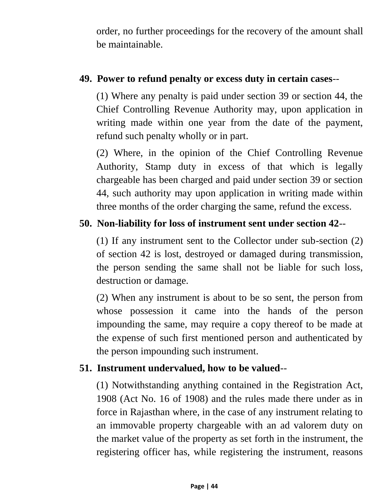order, no further proceedings for the recovery of the amount shall be maintainable.

### **49. Power to refund penalty or excess duty in certain cases**--

(1) Where any penalty is paid under section 39 or section 44, the Chief Controlling Revenue Authority may, upon application in writing made within one year from the date of the payment, refund such penalty wholly or in part.

(2) Where, in the opinion of the Chief Controlling Revenue Authority, Stamp duty in excess of that which is legally chargeable has been charged and paid under section 39 or section 44, such authority may upon application in writing made within three months of the order charging the same, refund the excess.

### **50. Non-liability for loss of instrument sent under section 42**--

(1) If any instrument sent to the Collector under sub-section (2) of section 42 is lost, destroyed or damaged during transmission, the person sending the same shall not be liable for such loss, destruction or damage.

(2) When any instrument is about to be so sent, the person from whose possession it came into the hands of the person impounding the same, may require a copy thereof to be made at the expense of such first mentioned person and authenticated by the person impounding such instrument.

## **51. Instrument undervalued, how to be valued**--

(1) Notwithstanding anything contained in the Registration Act, 1908 (Act No. 16 of 1908) and the rules made there under as in force in Rajasthan where, in the case of any instrument relating to an immovable property chargeable with an ad valorem duty on the market value of the property as set forth in the instrument, the registering officer has, while registering the instrument, reasons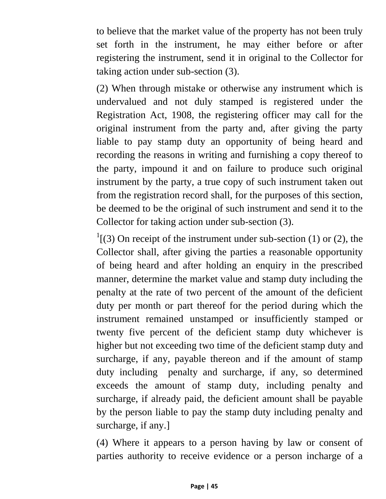to believe that the market value of the property has not been truly set forth in the instrument, he may either before or after registering the instrument, send it in original to the Collector for taking action under sub-section (3).

(2) When through mistake or otherwise any instrument which is undervalued and not duly stamped is registered under the Registration Act, 1908, the registering officer may call for the original instrument from the party and, after giving the party liable to pay stamp duty an opportunity of being heard and recording the reasons in writing and furnishing a copy thereof to the party, impound it and on failure to produce such original instrument by the party, a true copy of such instrument taken out from the registration record shall, for the purposes of this section, be deemed to be the original of such instrument and send it to the Collector for taking action under sub-section (3).

 $\frac{1}{1}$ [(3) On receipt of the instrument under sub-section (1) or (2), the Collector shall, after giving the parties a reasonable opportunity of being heard and after holding an enquiry in the prescribed manner, determine the market value and stamp duty including the penalty at the rate of two percent of the amount of the deficient duty per month or part thereof for the period during which the instrument remained unstamped or insufficiently stamped or twenty five percent of the deficient stamp duty whichever is higher but not exceeding two time of the deficient stamp duty and surcharge, if any, payable thereon and if the amount of stamp duty including penalty and surcharge, if any, so determined exceeds the amount of stamp duty, including penalty and surcharge, if already paid, the deficient amount shall be payable by the person liable to pay the stamp duty including penalty and surcharge, if any.]

(4) Where it appears to a person having by law or consent of parties authority to receive evidence or a person incharge of a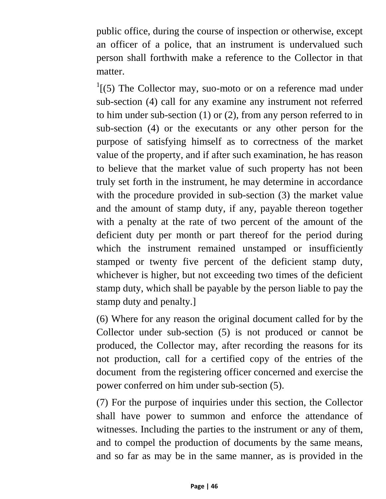public office, during the course of inspection or otherwise, except an officer of a police, that an instrument is undervalued such person shall forthwith make a reference to the Collector in that matter.

 $\frac{1}{1}$ [(5) The Collector may, suo-moto or on a reference mad under sub-section (4) call for any examine any instrument not referred to him under sub-section (1) or (2), from any person referred to in sub-section (4) or the executants or any other person for the purpose of satisfying himself as to correctness of the market value of the property, and if after such examination, he has reason to believe that the market value of such property has not been truly set forth in the instrument, he may determine in accordance with the procedure provided in sub-section (3) the market value and the amount of stamp duty, if any, payable thereon together with a penalty at the rate of two percent of the amount of the deficient duty per month or part thereof for the period during which the instrument remained unstamped or insufficiently stamped or twenty five percent of the deficient stamp duty, whichever is higher, but not exceeding two times of the deficient stamp duty, which shall be payable by the person liable to pay the stamp duty and penalty.]

(6) Where for any reason the original document called for by the Collector under sub-section (5) is not produced or cannot be produced, the Collector may, after recording the reasons for its not production, call for a certified copy of the entries of the document from the registering officer concerned and exercise the power conferred on him under sub-section (5).

(7) For the purpose of inquiries under this section, the Collector shall have power to summon and enforce the attendance of witnesses. Including the parties to the instrument or any of them, and to compel the production of documents by the same means, and so far as may be in the same manner, as is provided in the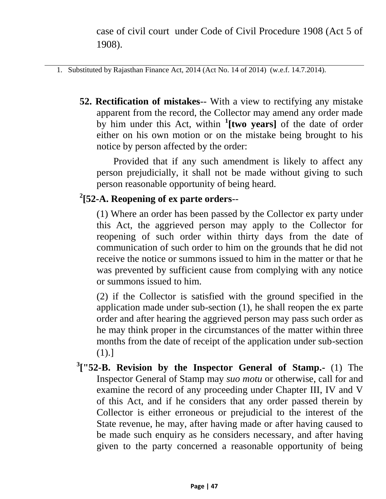case of civil court under Code of Civil Procedure 1908 (Act 5 of 1908).

- 1. Substituted by Rajasthan Finance Act, 2014 (Act No. 14 of 2014) (w.e.f. 14.7.2014).
	- **52. Rectification of mistakes**-- With a view to rectifying any mistake apparent from the record, the Collector may amend any order made by him under this Act, within **<sup>1</sup> [two years]** of the date of order either on his own motion or on the mistake being brought to his notice by person affected by the order:

Provided that if any such amendment is likely to affect any person prejudicially, it shall not be made without giving to such person reasonable opportunity of being heard.

## **2 [52-A. Reopening of ex parte orders**--

(1) Where an order has been passed by the Collector ex party under this Act, the aggrieved person may apply to the Collector for reopening of such order within thirty days from the date of communication of such order to him on the grounds that he did not receive the notice or summons issued to him in the matter or that he was prevented by sufficient cause from complying with any notice or summons issued to him.

(2) if the Collector is satisfied with the ground specified in the application made under sub-section (1), he shall reopen the ex parte order and after hearing the aggrieved person may pass such order as he may think proper in the circumstances of the matter within three months from the date of receipt of the application under sub-section (1).]

**3 ["52-B. Revision by the Inspector General of Stamp.-** (1) The Inspector General of Stamp may *suo motu* or otherwise, call for and examine the record of any proceeding under Chapter III, IV and V of this Act, and if he considers that any order passed therein by Collector is either erroneous or prejudicial to the interest of the State revenue, he may, after having made or after having caused to be made such enquiry as he considers necessary, and after having given to the party concerned a reasonable opportunity of being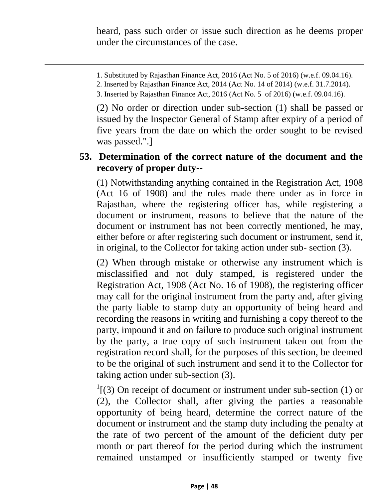heard, pass such order or issue such direction as he deems proper under the circumstances of the case.

- 1. Substituted by Rajasthan Finance Act, 2016 (Act No. 5 of 2016) (w.e.f. 09.04.16).
- 2. Inserted by Rajasthan Finance Act, 2014 (Act No. 14 of 2014) (w.e.f. 31.7.2014).

(2) No order or direction under sub-section (1) shall be passed or issued by the Inspector General of Stamp after expiry of a period of five years from the date on which the order sought to be revised was passed.".]

#### **53. Determination of the correct nature of the document and the recovery of proper duty--**

(1) Notwithstanding anything contained in the Registration Act, 1908 (Act 16 of 1908) and the rules made there under as in force in Rajasthan, where the registering officer has, while registering a document or instrument, reasons to believe that the nature of the document or instrument has not been correctly mentioned, he may, either before or after registering such document or instrument, send it, in original, to the Collector for taking action under sub- section (3).

(2) When through mistake or otherwise any instrument which is misclassified and not duly stamped, is registered under the Registration Act, 1908 (Act No. 16 of 1908), the registering officer may call for the original instrument from the party and, after giving the party liable to stamp duty an opportunity of being heard and recording the reasons in writing and furnishing a copy thereof to the party, impound it and on failure to produce such original instrument by the party, a true copy of such instrument taken out from the registration record shall, for the purposes of this section, be deemed to be the original of such instrument and send it to the Collector for taking action under sub-section (3).

 $\frac{1}{3}$  On receipt of document or instrument under sub-section (1) or (2), the Collector shall, after giving the parties a reasonable opportunity of being heard, determine the correct nature of the document or instrument and the stamp duty including the penalty at the rate of two percent of the amount of the deficient duty per month or part thereof for the period during which the instrument remained unstamped or insufficiently stamped or twenty five

<sup>3.</sup> Inserted by Rajasthan Finance Act, 2016 (Act No. 5 of 2016) (w.e.f. 09.04.16).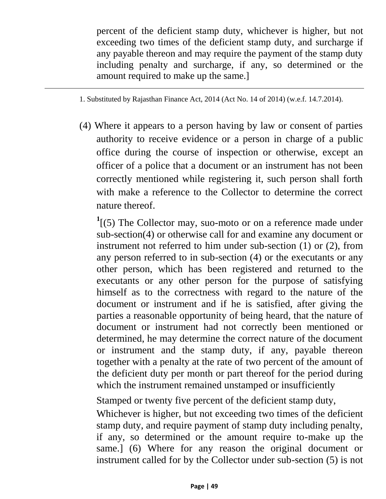percent of the deficient stamp duty, whichever is higher, but not exceeding two times of the deficient stamp duty, and surcharge if any payable thereon and may require the payment of the stamp duty including penalty and surcharge, if any, so determined or the amount required to make up the same.]

- 1. Substituted by Rajasthan Finance Act, 2014 (Act No. 14 of 2014) (w.e.f. 14.7.2014).
- (4) Where it appears to a person having by law or consent of parties authority to receive evidence or a person in charge of a public office during the course of inspection or otherwise, except an officer of a police that a document or an instrument has not been correctly mentioned while registering it, such person shall forth with make a reference to the Collector to determine the correct nature thereof.

<sup>1</sup>[(5) The Collector may, suo-moto or on a reference made under sub-section(4) or otherwise call for and examine any document or instrument not referred to him under sub-section (1) or (2), from any person referred to in sub-section (4) or the executants or any other person, which has been registered and returned to the executants or any other person for the purpose of satisfying himself as to the correctness with regard to the nature of the document or instrument and if he is satisfied, after giving the parties a reasonable opportunity of being heard, that the nature of document or instrument had not correctly been mentioned or determined, he may determine the correct nature of the document or instrument and the stamp duty, if any, payable thereon together with a penalty at the rate of two percent of the amount of the deficient duty per month or part thereof for the period during which the instrument remained unstamped or insufficiently

Stamped or twenty five percent of the deficient stamp duty,

Whichever is higher, but not exceeding two times of the deficient stamp duty, and require payment of stamp duty including penalty, if any, so determined or the amount require to-make up the same.] (6) Where for any reason the original document or instrument called for by the Collector under sub-section (5) is not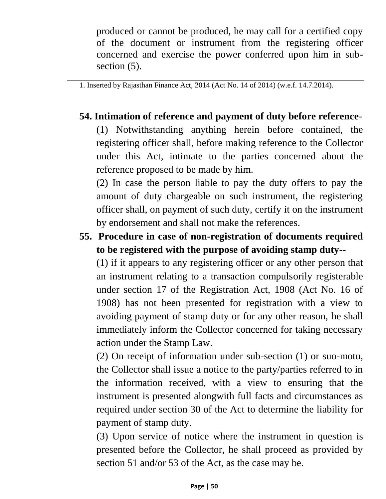produced or cannot be produced, he may call for a certified copy of the document or instrument from the registering officer concerned and exercise the power conferred upon him in subsection  $(5)$ .

1. Inserted by Rajasthan Finance Act, 2014 (Act No. 14 of 2014) (w.e.f. 14.7.2014).

## **54. Intimation of reference and payment of duty before reference**-

(1) Notwithstanding anything herein before contained, the registering officer shall, before making reference to the Collector under this Act, intimate to the parties concerned about the reference proposed to be made by him.

(2) In case the person liable to pay the duty offers to pay the amount of duty chargeable on such instrument, the registering officer shall, on payment of such duty, certify it on the instrument by endorsement and shall not make the references.

**55. Procedure in case of non-registration of documents required to be registered with the purpose of avoiding stamp duty--**

(1) if it appears to any registering officer or any other person that an instrument relating to a transaction compulsorily registerable under section 17 of the Registration Act, 1908 (Act No. 16 of 1908) has not been presented for registration with a view to avoiding payment of stamp duty or for any other reason, he shall immediately inform the Collector concerned for taking necessary action under the Stamp Law.

(2) On receipt of information under sub-section (1) or suo-motu, the Collector shall issue a notice to the party/parties referred to in the information received, with a view to ensuring that the instrument is presented alongwith full facts and circumstances as required under section 30 of the Act to determine the liability for payment of stamp duty.

(3) Upon service of notice where the instrument in question is presented before the Collector, he shall proceed as provided by section 51 and/or 53 of the Act, as the case may be.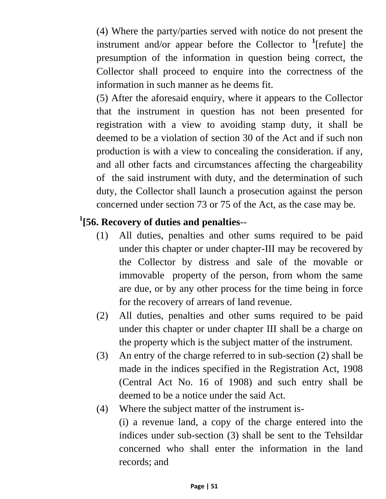(4) Where the party/parties served with notice do not present the instrument and/or appear before the Collector to **<sup>1</sup>** [refute] the presumption of the information in question being correct, the Collector shall proceed to enquire into the correctness of the information in such manner as he deems fit.

(5) After the aforesaid enquiry, where it appears to the Collector that the instrument in question has not been presented for registration with a view to avoiding stamp duty, it shall be deemed to be a violation of section 30 of the Act and if such non production is with a view to concealing the consideration. if any, and all other facts and circumstances affecting the chargeability of the said instrument with duty, and the determination of such duty, the Collector shall launch a prosecution against the person concerned under section 73 or 75 of the Act, as the case may be.

## **1 [56. Recovery of duties and penalties**--

- (1) All duties, penalties and other sums required to be paid under this chapter or under chapter-III may be recovered by the Collector by distress and sale of the movable or immovable property of the person, from whom the same are due, or by any other process for the time being in force for the recovery of arrears of land revenue.
- (2) All duties, penalties and other sums required to be paid under this chapter or under chapter III shall be a charge on the property which is the subject matter of the instrument.
- (3) An entry of the charge referred to in sub-section (2) shall be made in the indices specified in the Registration Act, 1908 (Central Act No. 16 of 1908) and such entry shall be deemed to be a notice under the said Act.
- (4) Where the subject matter of the instrument is- (i) a revenue land, a copy of the charge entered into the indices under sub-section (3) shall be sent to the Tehsildar concerned who shall enter the information in the land records; and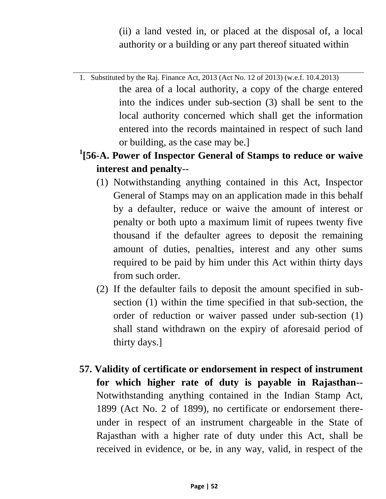(ii) a land vested in, or placed at the disposal of, a local authority or a building or any part thereof situated within

- 1. Substituted by the Raj. Finance Act, 2013 (Act No. 12 of 2013) (w.e.f. 10.4.2013) the area of a local authority, a copy of the charge entered into the indices under sub-section (3) shall be sent to the local authority concerned which shall get the information entered into the records maintained in respect of such land or building, as the case may be.]
- **1 [56-A. Power of Inspector General of Stamps to reduce or waive interest and penalty**--
	- (1) Notwithstanding anything contained in this Act, Inspector General of Stamps may on an application made in this behalf by a defaulter, reduce or waive the amount of interest or penalty or both upto a maximum limit of rupees twenty five thousand if the defaulter agrees to deposit the remaining amount of duties, penalties, interest and any other sums required to be paid by him under this Act within thirty days from such order.
	- (2) If the defaulter fails to deposit the amount specified in subsection (1) within the time specified in that sub-section, the order of reduction or waiver passed under sub-section (1) shall stand withdrawn on the expiry of aforesaid period of thirty days.]
- **57. Validity of certificate or endorsement in respect of instrument for which higher rate of duty is payable in Rajasthan--** Notwithstanding anything contained in the Indian Stamp Act, 1899 (Act No. 2 of 1899), no certificate or endorsement thereunder in respect of an instrument chargeable in the State of Rajasthan with a higher rate of duty under this Act, shall be received in evidence, or be, in any way, valid, in respect of the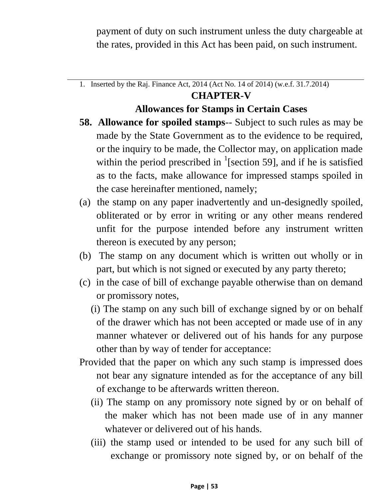payment of duty on such instrument unless the duty chargeable at the rates, provided in this Act has been paid, on such instrument.

1. Inserted by the Raj. Finance Act, 2014 (Act No. 14 of 2014) (w.e.f. 31.7.2014)

### **CHAPTER-V**

### **Allowances for Stamps in Certain Cases**

- **58. Allowance for spoiled stamps**-- Subject to such rules as may be made by the State Government as to the evidence to be required, or the inquiry to be made, the Collector may, on application made within the period prescribed in  $\frac{1}{2}$ [section 59], and if he is satisfied as to the facts, make allowance for impressed stamps spoiled in the case hereinafter mentioned, namely;
- (a) the stamp on any paper inadvertently and un-designedly spoiled, obliterated or by error in writing or any other means rendered unfit for the purpose intended before any instrument written thereon is executed by any person;
- (b) The stamp on any document which is written out wholly or in part, but which is not signed or executed by any party thereto;
- (c) in the case of bill of exchange payable otherwise than on demand or promissory notes,
	- (i) The stamp on any such bill of exchange signed by or on behalf of the drawer which has not been accepted or made use of in any manner whatever or delivered out of his hands for any purpose other than by way of tender for acceptance:
- Provided that the paper on which any such stamp is impressed does not bear any signature intended as for the acceptance of any bill of exchange to be afterwards written thereon.
	- (ii) The stamp on any promissory note signed by or on behalf of the maker which has not been made use of in any manner whatever or delivered out of his hands.
	- (iii) the stamp used or intended to be used for any such bill of exchange or promissory note signed by, or on behalf of the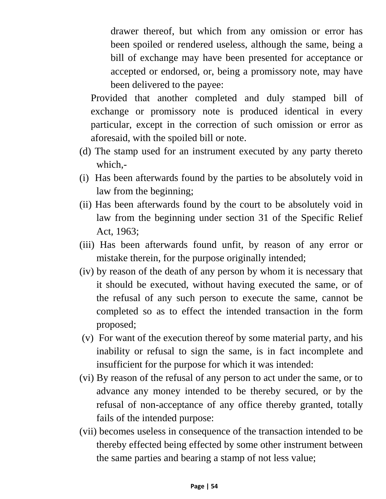drawer thereof, but which from any omission or error has been spoiled or rendered useless, although the same, being a bill of exchange may have been presented for acceptance or accepted or endorsed, or, being a promissory note, may have been delivered to the payee:

Provided that another completed and duly stamped bill of exchange or promissory note is produced identical in every particular, except in the correction of such omission or error as aforesaid, with the spoiled bill or note.

- (d) The stamp used for an instrument executed by any party thereto which,-
- (i) Has been afterwards found by the parties to be absolutely void in law from the beginning;
- (ii) Has been afterwards found by the court to be absolutely void in law from the beginning under section 31 of the Specific Relief Act, 1963;
- (iii) Has been afterwards found unfit, by reason of any error or mistake therein, for the purpose originally intended;
- (iv) by reason of the death of any person by whom it is necessary that it should be executed, without having executed the same, or of the refusal of any such person to execute the same, cannot be completed so as to effect the intended transaction in the form proposed;
- (v) For want of the execution thereof by some material party, and his inability or refusal to sign the same, is in fact incomplete and insufficient for the purpose for which it was intended:
- (vi) By reason of the refusal of any person to act under the same, or to advance any money intended to be thereby secured, or by the refusal of non-acceptance of any office thereby granted, totally fails of the intended purpose:
- (vii) becomes useless in consequence of the transaction intended to be thereby effected being effected by some other instrument between the same parties and bearing a stamp of not less value;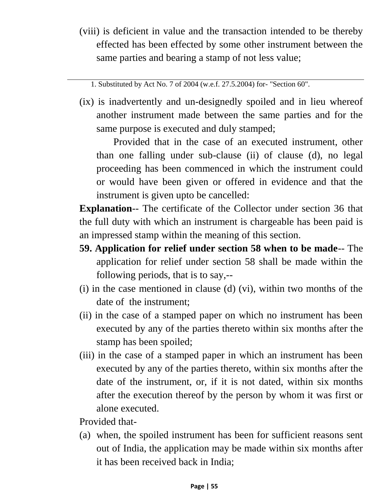(viii) is deficient in value and the transaction intended to be thereby effected has been effected by some other instrument between the same parties and bearing a stamp of not less value;

1. Substituted by Act No. 7 of 2004 (w.e.f. 27.5.2004) for- "Section 60".

(ix) is inadvertently and un-designedly spoiled and in lieu whereof another instrument made between the same parties and for the same purpose is executed and duly stamped;

Provided that in the case of an executed instrument, other than one falling under sub-clause (ii) of clause (d), no legal proceeding has been commenced in which the instrument could or would have been given or offered in evidence and that the instrument is given upto be cancelled:

**Explanation**-- The certificate of the Collector under section 36 that the full duty with which an instrument is chargeable has been paid is an impressed stamp within the meaning of this section.

- **59. Application for relief under section 58 when to be made**-- The application for relief under section 58 shall be made within the following periods, that is to say,--
- (i) in the case mentioned in clause (d) (vi), within two months of the date of the instrument;
- (ii) in the case of a stamped paper on which no instrument has been executed by any of the parties thereto within six months after the stamp has been spoiled;
- (iii) in the case of a stamped paper in which an instrument has been executed by any of the parties thereto, within six months after the date of the instrument, or, if it is not dated, within six months after the execution thereof by the person by whom it was first or alone executed.

Provided that-

(a) when, the spoiled instrument has been for sufficient reasons sent out of India, the application may be made within six months after it has been received back in India;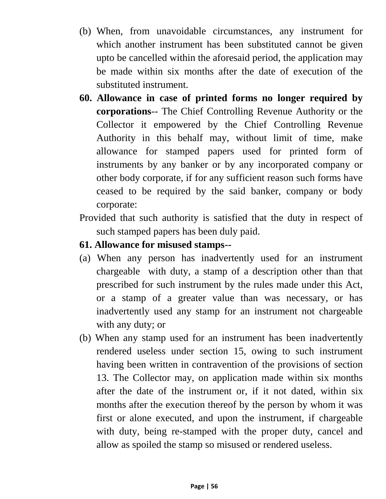- (b) When, from unavoidable circumstances, any instrument for which another instrument has been substituted cannot be given upto be cancelled within the aforesaid period, the application may be made within six months after the date of execution of the substituted instrument.
- **60. Allowance in case of printed forms no longer required by corporations**-- The Chief Controlling Revenue Authority or the Collector it empowered by the Chief Controlling Revenue Authority in this behalf may, without limit of time, make allowance for stamped papers used for printed form of instruments by any banker or by any incorporated company or other body corporate, if for any sufficient reason such forms have ceased to be required by the said banker, company or body corporate:
- Provided that such authority is satisfied that the duty in respect of such stamped papers has been duly paid.
- **61. Allowance for misused stamps--**
- (a) When any person has inadvertently used for an instrument chargeable with duty, a stamp of a description other than that prescribed for such instrument by the rules made under this Act, or a stamp of a greater value than was necessary, or has inadvertently used any stamp for an instrument not chargeable with any duty; or
- (b) When any stamp used for an instrument has been inadvertently rendered useless under section 15, owing to such instrument having been written in contravention of the provisions of section 13. The Collector may, on application made within six months after the date of the instrument or, if it not dated, within six months after the execution thereof by the person by whom it was first or alone executed, and upon the instrument, if chargeable with duty, being re-stamped with the proper duty, cancel and allow as spoiled the stamp so misused or rendered useless.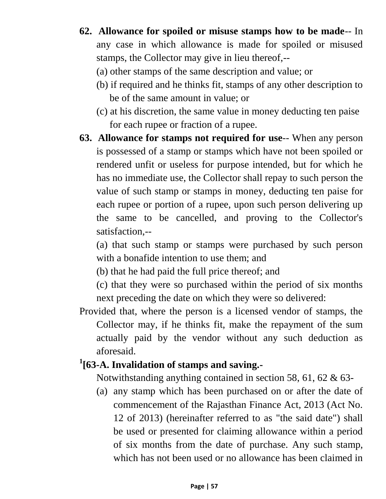**62. Allowance for spoiled or misuse stamps how to be made**-- In any case in which allowance is made for spoiled or misused stamps, the Collector may give in lieu thereof,--

(a) other stamps of the same description and value; or

- (b) if required and he thinks fit, stamps of any other description to be of the same amount in value; or
- (c) at his discretion, the same value in money deducting ten paise for each rupee or fraction of a rupee.
- **63. Allowance for stamps not required for use**-- When any person is possessed of a stamp or stamps which have not been spoiled or rendered unfit or useless for purpose intended, but for which he has no immediate use, the Collector shall repay to such person the value of such stamp or stamps in money, deducting ten paise for each rupee or portion of a rupee, upon such person delivering up the same to be cancelled, and proving to the Collector's satisfaction,--

(a) that such stamp or stamps were purchased by such person with a bonafide intention to use them; and

- (b) that he had paid the full price thereof; and
- (c) that they were so purchased within the period of six months next preceding the date on which they were so delivered:
- Provided that, where the person is a licensed vendor of stamps, the Collector may, if he thinks fit, make the repayment of the sum actually paid by the vendor without any such deduction as aforesaid.

# **1 [63-A. Invalidation of stamps and saving.-**

Notwithstanding anything contained in section 58, 61, 62 & 63-

(a) any stamp which has been purchased on or after the date of commencement of the Rajasthan Finance Act, 2013 (Act No. 12 of 2013) (hereinafter referred to as "the said date") shall be used or presented for claiming allowance within a period of six months from the date of purchase. Any such stamp, which has not been used or no allowance has been claimed in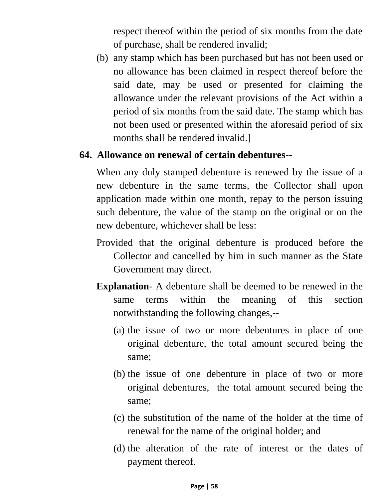respect thereof within the period of six months from the date of purchase, shall be rendered invalid;

(b) any stamp which has been purchased but has not been used or no allowance has been claimed in respect thereof before the said date, may be used or presented for claiming the allowance under the relevant provisions of the Act within a period of six months from the said date. The stamp which has not been used or presented within the aforesaid period of six months shall be rendered invalid.]

#### **64. Allowance on renewal of certain debentures**--

When any duly stamped debenture is renewed by the issue of a new debenture in the same terms, the Collector shall upon application made within one month, repay to the person issuing such debenture, the value of the stamp on the original or on the new debenture, whichever shall be less:

- Provided that the original debenture is produced before the Collector and cancelled by him in such manner as the State Government may direct.
- **Explanation** A debenture shall be deemed to be renewed in the same terms within the meaning of this section notwithstanding the following changes,--
	- (a) the issue of two or more debentures in place of one original debenture, the total amount secured being the same;
	- (b) the issue of one debenture in place of two or more original debentures, the total amount secured being the same;
	- (c) the substitution of the name of the holder at the time of renewal for the name of the original holder; and
	- (d) the alteration of the rate of interest or the dates of payment thereof.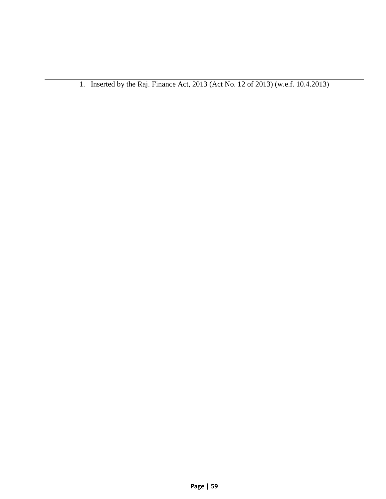1. Inserted by the Raj. Finance Act, 2013 (Act No. 12 of 2013) (w.e.f. 10.4.2013)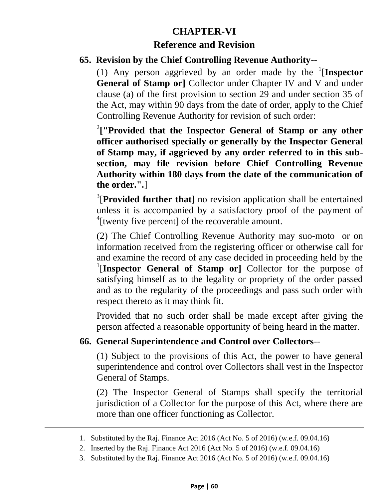# **CHAPTER-VI Reference and Revision**

#### **65. Revision by the Chief Controlling Revenue Authority**--

(1) Any person aggrieved by an order made by the  $\frac{1}{1}$ **Inspector General of Stamp or]** Collector under Chapter IV and V and under clause (a) of the first provision to section 29 and under section 35 of the Act, may within 90 days from the date of order, apply to the Chief Controlling Revenue Authority for revision of such order:

2 **["Provided that the Inspector General of Stamp or any other officer authorised specially or generally by the Inspector General of Stamp may, if aggrieved by any order referred to in this subsection, may file revision before Chief Controlling Revenue Authority within 180 days from the date of the communication of the order.".**]

<sup>3</sup>[Provided further that] no revision application shall be entertained unless it is accompanied by a satisfactory proof of the payment of <sup>4</sup>[twenty five percent] of the recoverable amount.

(2) The Chief Controlling Revenue Authority may suo-moto or on information received from the registering officer or otherwise call for and examine the record of any case decided in proceeding held by the <sup>1</sup>[Inspector General of Stamp or] Collector for the purpose of satisfying himself as to the legality or propriety of the order passed and as to the regularity of the proceedings and pass such order with respect thereto as it may think fit.

Provided that no such order shall be made except after giving the person affected a reasonable opportunity of being heard in the matter.

#### **66. General Superintendence and Control over Collectors**--

(1) Subject to the provisions of this Act, the power to have general superintendence and control over Collectors shall vest in the Inspector General of Stamps.

(2) The Inspector General of Stamps shall specify the territorial jurisdiction of a Collector for the purpose of this Act, where there are more than one officer functioning as Collector.

<sup>1.</sup> Substituted by the Raj. Finance Act 2016 (Act No. 5 of 2016) (w.e.f. 09.04.16)

<sup>2.</sup> Inserted by the Raj. Finance Act 2016 (Act No. 5 of 2016) (w.e.f. 09.04.16)

<sup>3.</sup> Substituted by the Raj. Finance Act 2016 (Act No. 5 of 2016) (w.e.f. 09.04.16)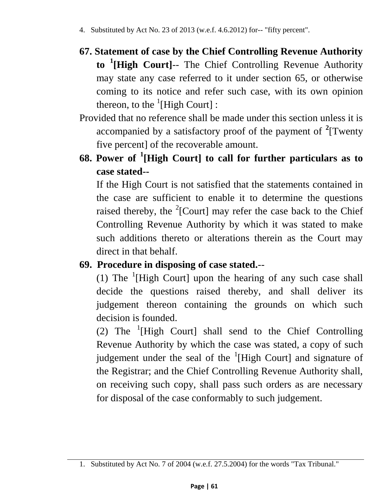- **67. Statement of case by the Chief Controlling Revenue Authority to <sup>1</sup> [High Court]**-- The Chief Controlling Revenue Authority may state any case referred to it under section 65, or otherwise coming to its notice and refer such case, with its own opinion thereon, to the  ${}^{1}$ [High Court] :
- Provided that no reference shall be made under this section unless it is accompanied by a satisfactory proof of the payment of **<sup>2</sup>** [Twenty five percent] of the recoverable amount.
- **68. Power of <sup>1</sup> [High Court] to call for further particulars as to case stated--**

If the High Court is not satisfied that the statements contained in the case are sufficient to enable it to determine the questions raised thereby, the  $2$ [Court] may refer the case back to the Chief Controlling Revenue Authority by which it was stated to make such additions thereto or alterations therein as the Court may direct in that behalf.

## **69. Procedure in disposing of case stated.**--

(1) The  $(1)$  The  $(1)$  High Court] upon the hearing of any such case shall decide the questions raised thereby, and shall deliver its judgement thereon containing the grounds on which such decision is founded.

(2) The  $(1)$  High Court] shall send to the Chief Controlling Revenue Authority by which the case was stated, a copy of such judgement under the seal of the  ${}^{1}$ [High Court] and signature of the Registrar; and the Chief Controlling Revenue Authority shall, on receiving such copy, shall pass such orders as are necessary for disposal of the case conformably to such judgement.

<sup>1.</sup> Substituted by Act No. 7 of 2004 (w.e.f. 27.5.2004) for the words "Tax Tribunal."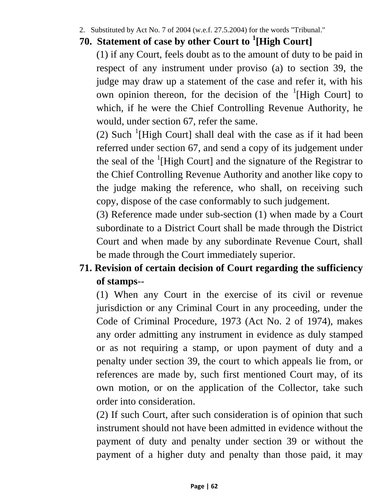2. Substituted by Act No. 7 of 2004 (w.e.f. 27.5.2004) for the words "Tribunal."

## **70. Statement of case by other Court to <sup>1</sup> [High Court]**

(1) if any Court, feels doubt as to the amount of duty to be paid in respect of any instrument under proviso (a) to section 39, the judge may draw up a statement of the case and refer it, with his own opinion thereon, for the decision of the  ${}^{1}$ [High Court] to which, if he were the Chief Controlling Revenue Authority, he would, under section 67, refer the same.

(2) Such  $\frac{1}{1}$ [High Court] shall deal with the case as if it had been referred under section 67, and send a copy of its judgement under the seal of the  ${}^{1}$ [High Court] and the signature of the Registrar to the Chief Controlling Revenue Authority and another like copy to the judge making the reference, who shall, on receiving such copy, dispose of the case conformably to such judgement.

(3) Reference made under sub-section (1) when made by a Court subordinate to a District Court shall be made through the District Court and when made by any subordinate Revenue Court, shall be made through the Court immediately superior.

# **71. Revision of certain decision of Court regarding the sufficiency of stamps**--

(1) When any Court in the exercise of its civil or revenue jurisdiction or any Criminal Court in any proceeding, under the Code of Criminal Procedure, 1973 (Act No. 2 of 1974), makes any order admitting any instrument in evidence as duly stamped or as not requiring a stamp, or upon payment of duty and a penalty under section 39, the court to which appeals lie from, or references are made by, such first mentioned Court may, of its own motion, or on the application of the Collector, take such order into consideration.

(2) If such Court, after such consideration is of opinion that such instrument should not have been admitted in evidence without the payment of duty and penalty under section 39 or without the payment of a higher duty and penalty than those paid, it may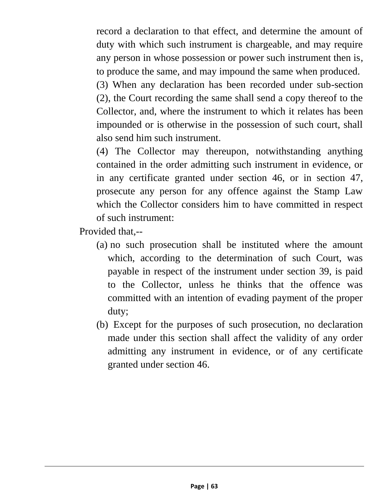record a declaration to that effect, and determine the amount of duty with which such instrument is chargeable, and may require any person in whose possession or power such instrument then is, to produce the same, and may impound the same when produced.

(3) When any declaration has been recorded under sub-section (2), the Court recording the same shall send a copy thereof to the Collector, and, where the instrument to which it relates has been impounded or is otherwise in the possession of such court, shall also send him such instrument.

(4) The Collector may thereupon, notwithstanding anything contained in the order admitting such instrument in evidence, or in any certificate granted under section 46, or in section 47, prosecute any person for any offence against the Stamp Law which the Collector considers him to have committed in respect of such instrument:

Provided that,--

- (a) no such prosecution shall be instituted where the amount which, according to the determination of such Court, was payable in respect of the instrument under section 39, is paid to the Collector, unless he thinks that the offence was committed with an intention of evading payment of the proper duty;
- (b) Except for the purposes of such prosecution, no declaration made under this section shall affect the validity of any order admitting any instrument in evidence, or of any certificate granted under section 46.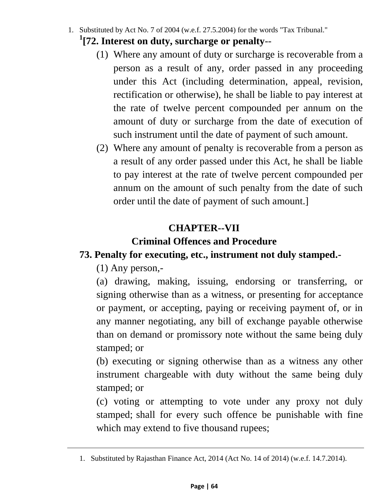- 1. Substituted by Act No. 7 of 2004 (w.e.f. 27.5.2004) for the words "Tax Tribunal."
	- **1 [72. Interest on duty, surcharge or penalty**--
		- (1) Where any amount of duty or surcharge is recoverable from a person as a result of any, order passed in any proceeding under this Act (including determination, appeal, revision, rectification or otherwise), he shall be liable to pay interest at the rate of twelve percent compounded per annum on the amount of duty or surcharge from the date of execution of such instrument until the date of payment of such amount.
		- (2) Where any amount of penalty is recoverable from a person as a result of any order passed under this Act, he shall be liable to pay interest at the rate of twelve percent compounded per annum on the amount of such penalty from the date of such order until the date of payment of such amount.]

## **CHAPTER--VII**

## **Criminal Offences and Procedure**

## **73. Penalty for executing, etc., instrument not duly stamped.-**

(1) Any person,-

(a) drawing, making, issuing, endorsing or transferring, or signing otherwise than as a witness, or presenting for acceptance or payment, or accepting, paying or receiving payment of, or in any manner negotiating, any bill of exchange payable otherwise than on demand or promissory note without the same being duly stamped; or

(b) executing or signing otherwise than as a witness any other instrument chargeable with duty without the same being duly stamped; or

(c) voting or attempting to vote under any proxy not duly stamped; shall for every such offence be punishable with fine which may extend to five thousand rupees;

<sup>1.</sup> Substituted by Rajasthan Finance Act, 2014 (Act No. 14 of 2014) (w.e.f. 14.7.2014).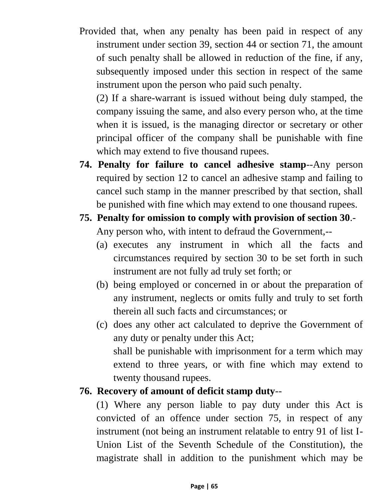Provided that, when any penalty has been paid in respect of any instrument under section 39, section 44 or section 71, the amount of such penalty shall be allowed in reduction of the fine, if any, subsequently imposed under this section in respect of the same instrument upon the person who paid such penalty.

(2) If a share-warrant is issued without being duly stamped, the company issuing the same, and also every person who, at the time when it is issued, is the managing director or secretary or other principal officer of the company shall be punishable with fine which may extend to five thousand rupees.

- **74. Penalty for failure to cancel adhesive stamp**--Any person required by section 12 to cancel an adhesive stamp and failing to cancel such stamp in the manner prescribed by that section, shall be punished with fine which may extend to one thousand rupees.
- **75. Penalty for omission to comply with provision of section 30**.- Any person who, with intent to defraud the Government,--
	- (a) executes any instrument in which all the facts and circumstances required by section 30 to be set forth in such instrument are not fully ad truly set forth; or
	- (b) being employed or concerned in or about the preparation of any instrument, neglects or omits fully and truly to set forth therein all such facts and circumstances; or
	- (c) does any other act calculated to deprive the Government of any duty or penalty under this Act; shall be punishable with imprisonment for a term which may extend to three years, or with fine which may extend to twenty thousand rupees.

### **76. Recovery of amount of deficit stamp duty**--

(1) Where any person liable to pay duty under this Act is convicted of an offence under section 75, in respect of any instrument (not being an instrument relatable to entry 91 of list I-Union List of the Seventh Schedule of the Constitution), the magistrate shall in addition to the punishment which may be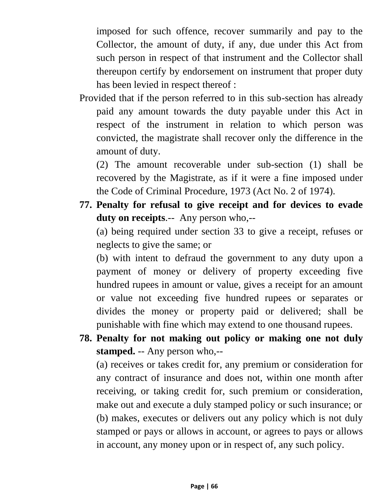imposed for such offence, recover summarily and pay to the Collector, the amount of duty, if any, due under this Act from such person in respect of that instrument and the Collector shall thereupon certify by endorsement on instrument that proper duty has been levied in respect thereof :

Provided that if the person referred to in this sub-section has already paid any amount towards the duty payable under this Act in respect of the instrument in relation to which person was convicted, the magistrate shall recover only the difference in the amount of duty.

(2) The amount recoverable under sub-section (1) shall be recovered by the Magistrate, as if it were a fine imposed under the Code of Criminal Procedure, 1973 (Act No. 2 of 1974).

**77. Penalty for refusal to give receipt and for devices to evade duty on receipts**.-- Any person who,--

(a) being required under section 33 to give a receipt, refuses or neglects to give the same; or

(b) with intent to defraud the government to any duty upon a payment of money or delivery of property exceeding five hundred rupees in amount or value, gives a receipt for an amount or value not exceeding five hundred rupees or separates or divides the money or property paid or delivered; shall be punishable with fine which may extend to one thousand rupees.

**78. Penalty for not making out policy or making one not duly stamped.** -- Any person who,--

(a) receives or takes credit for, any premium or consideration for any contract of insurance and does not, within one month after receiving, or taking credit for, such premium or consideration, make out and execute a duly stamped policy or such insurance; or (b) makes, executes or delivers out any policy which is not duly stamped or pays or allows in account, or agrees to pays or allows in account, any money upon or in respect of, any such policy.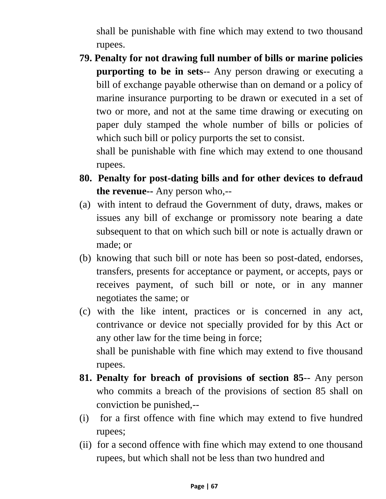shall be punishable with fine which may extend to two thousand rupees.

**79. Penalty for not drawing full number of bills or marine policies purporting to be in sets**-- Any person drawing or executing a bill of exchange payable otherwise than on demand or a policy of marine insurance purporting to be drawn or executed in a set of two or more, and not at the same time drawing or executing on paper duly stamped the whole number of bills or policies of which such bill or policy purports the set to consist.

shall be punishable with fine which may extend to one thousand rupees.

- **80. Penalty for post-dating bills and for other devices to defraud the revenue--** Any person who,--
- (a) with intent to defraud the Government of duty, draws, makes or issues any bill of exchange or promissory note bearing a date subsequent to that on which such bill or note is actually drawn or made; or
- (b) knowing that such bill or note has been so post-dated, endorses, transfers, presents for acceptance or payment, or accepts, pays or receives payment, of such bill or note, or in any manner negotiates the same; or
- (c) with the like intent, practices or is concerned in any act, contrivance or device not specially provided for by this Act or any other law for the time being in force; shall be punishable with fine which may extend to five thousand rupees.
- **81. Penalty for breach of provisions of section 85**-- Any person who commits a breach of the provisions of section 85 shall on conviction be punished,--
- (i) for a first offence with fine which may extend to five hundred rupees;
- (ii) for a second offence with fine which may extend to one thousand rupees, but which shall not be less than two hundred and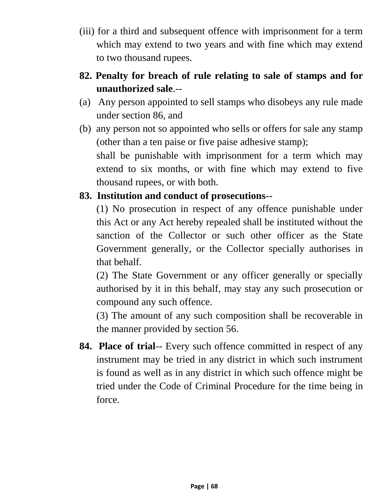- (iii) for a third and subsequent offence with imprisonment for a term which may extend to two years and with fine which may extend to two thousand rupees.
- **82. Penalty for breach of rule relating to sale of stamps and for unauthorized sale**.--
- (a) Any person appointed to sell stamps who disobeys any rule made under section 86, and
- (b) any person not so appointed who sells or offers for sale any stamp (other than a ten paise or five paise adhesive stamp); shall be punishable with imprisonment for a term which may extend to six months, or with fine which may extend to five thousand rupees, or with both.

### **83. Institution and conduct of prosecutions--**

(1) No prosecution in respect of any offence punishable under this Act or any Act hereby repealed shall be instituted without the sanction of the Collector or such other officer as the State Government generally, or the Collector specially authorises in that behalf.

(2) The State Government or any officer generally or specially authorised by it in this behalf, may stay any such prosecution or compound any such offence.

(3) The amount of any such composition shall be recoverable in the manner provided by section 56.

**84. Place of trial**-- Every such offence committed in respect of any instrument may be tried in any district in which such instrument is found as well as in any district in which such offence might be tried under the Code of Criminal Procedure for the time being in force.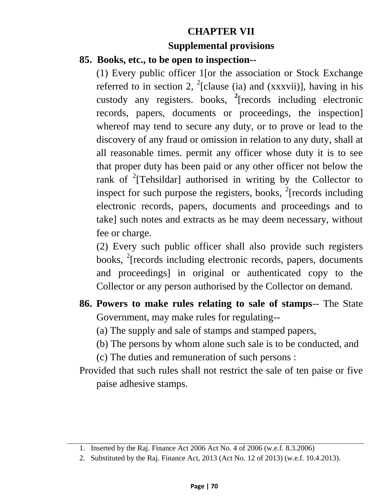## **CHAPTER VII**

#### **Supplemental provisions**

#### **85. Books, etc., to be open to inspection--**

(1) Every public officer 1[or the association or Stock Exchange referred to in section 2,  $^{2}$ [clause (ia) and (xxxvii)], having in his custody any registers. books, **<sup>2</sup>** [records including electronic records, papers, documents or proceedings, the inspection] whereof may tend to secure any duty, or to prove or lead to the discovery of any fraud or omission in relation to any duty, shall at all reasonable times. permit any officer whose duty it is to see that proper duty has been paid or any other officer not below the rank of  $2$ <sup>2</sup>[Tehsildar] authorised in writing by the Collector to inspect for such purpose the registers, books,  $2$ [records including electronic records, papers, documents and proceedings and to take] such notes and extracts as he may deem necessary, without fee or charge.

(2) Every such public officer shall also provide such registers books, <sup>2</sup>[records including electronic records, papers, documents and proceedings] in original or authenticated copy to the Collector or any person authorised by the Collector on demand.

- **86. Powers to make rules relating to sale of stamps**-- The State Government, may make rules for regulating--
	- (a) The supply and sale of stamps and stamped papers,
	- (b) The persons by whom alone such sale is to be conducted, and
	- (c) The duties and remuneration of such persons :
- Provided that such rules shall not restrict the sale of ten paise or five paise adhesive stamps.

<sup>1.</sup> Inserted by the Raj. Finance Act 2006 Act No. 4 of 2006 (w.e.f. 8.3.2006)

<sup>2.</sup> Substituted by the Raj. Finance Act, 2013 (Act No. 12 of 2013) (w.e.f. 10.4.2013).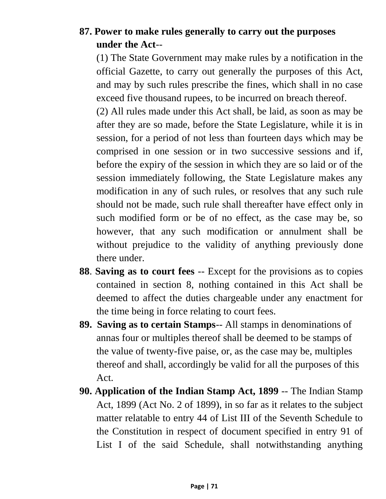## **87. Power to make rules generally to carry out the purposes under the Act**--

(1) The State Government may make rules by a notification in the official Gazette, to carry out generally the purposes of this Act, and may by such rules prescribe the fines, which shall in no case exceed five thousand rupees, to be incurred on breach thereof.

(2) All rules made under this Act shall, be laid, as soon as may be after they are so made, before the State Legislature, while it is in session, for a period of not less than fourteen days which may be comprised in one session or in two successive sessions and if, before the expiry of the session in which they are so laid or of the session immediately following, the State Legislature makes any modification in any of such rules, or resolves that any such rule should not be made, such rule shall thereafter have effect only in such modified form or be of no effect, as the case may be, so however, that any such modification or annulment shall be without prejudice to the validity of anything previously done there under.

- **88**. **Saving as to court fees** -- Except for the provisions as to copies contained in section 8, nothing contained in this Act shall be deemed to affect the duties chargeable under any enactment for the time being in force relating to court fees.
- **89. Saving as to certain Stamps**-- All stamps in denominations of annas four or multiples thereof shall be deemed to be stamps of the value of twenty-five paise, or, as the case may be, multiples thereof and shall, accordingly be valid for all the purposes of this Act.
- **90. Application of the Indian Stamp Act, 1899** -- The Indian Stamp Act, 1899 (Act No. 2 of 1899), in so far as it relates to the subject matter relatable to entry 44 of List III of the Seventh Schedule to the Constitution in respect of document specified in entry 91 of List I of the said Schedule, shall notwithstanding anything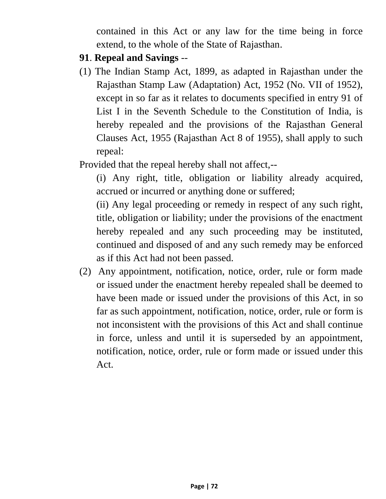contained in this Act or any law for the time being in force extend, to the whole of the State of Rajasthan.

- **91**. **Repeal and Savings** --
- (1) The Indian Stamp Act, 1899, as adapted in Rajasthan under the Rajasthan Stamp Law (Adaptation) Act, 1952 (No. VII of 1952), except in so far as it relates to documents specified in entry 91 of List I in the Seventh Schedule to the Constitution of India, is hereby repealed and the provisions of the Rajasthan General Clauses Act, 1955 (Rajasthan Act 8 of 1955), shall apply to such repeal:
- Provided that the repeal hereby shall not affect,--

(i) Any right, title, obligation or liability already acquired, accrued or incurred or anything done or suffered;

(ii) Any legal proceeding or remedy in respect of any such right, title, obligation or liability; under the provisions of the enactment hereby repealed and any such proceeding may be instituted, continued and disposed of and any such remedy may be enforced as if this Act had not been passed.

(2) Any appointment, notification, notice, order, rule or form made or issued under the enactment hereby repealed shall be deemed to have been made or issued under the provisions of this Act, in so far as such appointment, notification, notice, order, rule or form is not inconsistent with the provisions of this Act and shall continue in force, unless and until it is superseded by an appointment, notification, notice, order, rule or form made or issued under this Act.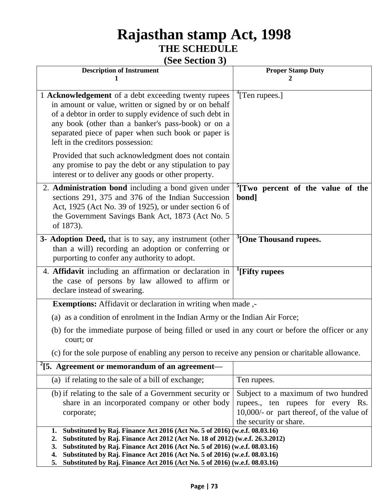## **Rajasthan stamp Act, 1998 THE SCHEDULE**

## **(See Section 3)**

| <b>Description of Instrument</b>                                                                                                                                                                                                                                                                                                                                                                                                   | <b>Proper Stamp Duty</b>                                                                                                                        |
|------------------------------------------------------------------------------------------------------------------------------------------------------------------------------------------------------------------------------------------------------------------------------------------------------------------------------------------------------------------------------------------------------------------------------------|-------------------------------------------------------------------------------------------------------------------------------------------------|
|                                                                                                                                                                                                                                                                                                                                                                                                                                    |                                                                                                                                                 |
| 1 Acknowledgement of a debt exceeding twenty rupees<br>in amount or value, written or signed by or on behalf<br>of a debtor in order to supply evidence of such debt in<br>any book (other than a banker's pass-book) or on a<br>separated piece of paper when such book or paper is<br>left in the creditors possession:                                                                                                          | $\rm ^4$ [Ten rupees.]                                                                                                                          |
| Provided that such acknowledgment does not contain<br>any promise to pay the debt or any stipulation to pay<br>interest or to deliver any goods or other property.                                                                                                                                                                                                                                                                 |                                                                                                                                                 |
| 2. Administration bond including a bond given under<br>sections 291, 375 and 376 of the Indian Succession<br>Act, 1925 (Act No. 39 of 1925), or under section 6 of<br>the Government Savings Bank Act, 1873 (Act No. 5)<br>of 1873).                                                                                                                                                                                               | <sup>2</sup> [Two percent of the value of the<br>bond]                                                                                          |
| 3- Adoption Deed, that is to say, any instrument (other<br>than a will) recording an adoption or conferring or<br>purporting to confer any authority to adopt.                                                                                                                                                                                                                                                                     | <sup>3</sup> [One Thousand rupees.                                                                                                              |
| 4. Affidavit including an affirmation or declaration in<br>the case of persons by law allowed to affirm or<br>declare instead of swearing.                                                                                                                                                                                                                                                                                         | <sup>1</sup> [Fifty rupees]                                                                                                                     |
| Exemptions: Affidavit or declaration in writing when made,-                                                                                                                                                                                                                                                                                                                                                                        |                                                                                                                                                 |
| (a) as a condition of enrolment in the Indian Army or the Indian Air Force;                                                                                                                                                                                                                                                                                                                                                        |                                                                                                                                                 |
| (b) for the immediate purpose of being filled or used in any court or before the officer or any<br>court; or                                                                                                                                                                                                                                                                                                                       |                                                                                                                                                 |
| (c) for the sole purpose of enabling any person to receive any pension or charitable allowance.                                                                                                                                                                                                                                                                                                                                    |                                                                                                                                                 |
| $2$ [5. Agreement or memorandum of an agreement—                                                                                                                                                                                                                                                                                                                                                                                   |                                                                                                                                                 |
| (a) if relating to the sale of a bill of exchange;                                                                                                                                                                                                                                                                                                                                                                                 | Ten rupees.                                                                                                                                     |
| (b) if relating to the sale of a Government security or<br>share in an incorporated company or other body<br>corporate;                                                                                                                                                                                                                                                                                                            | Subject to a maximum of two hundred<br>rupees., ten rupees for every Rs.<br>10,000/- or part thereof, of the value of<br>the security or share. |
| Substituted by Raj. Finance Act 2016 (Act No. 5 of 2016) (w.e.f. 08.03.16)<br>1.<br>Substituted by Raj. Finance Act 2012 (Act No. 18 of 2012) (w.e.f. 26.3.2012)<br>2.<br>Substituted by Raj. Finance Act 2016 (Act No. 5 of 2016) (w.e.f. 08.03.16)<br>3.<br>Substituted by Raj. Finance Act 2016 (Act No. 5 of 2016) (w.e.f. 08.03.16)<br>4.<br>Substituted by Raj. Finance Act 2016 (Act No. 5 of 2016) (w.e.f. 08.03.16)<br>5. |                                                                                                                                                 |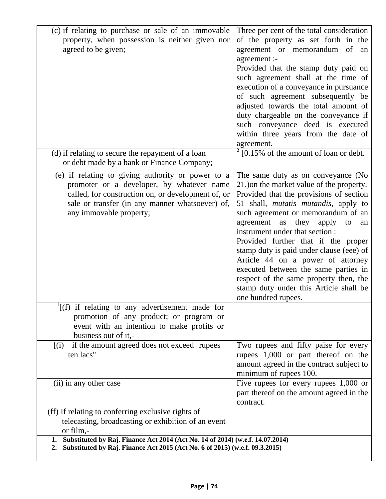| (c) if relating to purchase or sale of an immovable<br>property, when possession is neither given nor<br>agreed to be given;                                                                                                       | Three per cent of the total consideration<br>of the property as set forth in the<br>agreement or memorandum of<br>an<br>agreement :-<br>Provided that the stamp duty paid on<br>such agreement shall at the time of<br>execution of a conveyance in pursuance<br>of such agreement subsequently be<br>adjusted towards the total amount of<br>duty chargeable on the conveyance if<br>such conveyance deed is executed<br>within three years from the date of                                                                                                                  |
|------------------------------------------------------------------------------------------------------------------------------------------------------------------------------------------------------------------------------------|--------------------------------------------------------------------------------------------------------------------------------------------------------------------------------------------------------------------------------------------------------------------------------------------------------------------------------------------------------------------------------------------------------------------------------------------------------------------------------------------------------------------------------------------------------------------------------|
| (d) if relating to secure the repayment of a loan<br>or debt made by a bank or Finance Company;                                                                                                                                    | agreement.<br>$2$ [0.15% of the amount of loan or debt.                                                                                                                                                                                                                                                                                                                                                                                                                                                                                                                        |
| (e) if relating to giving authority or power to a<br>promoter or a developer, by whatever name<br>called, for construction on, or development of, or<br>sale or transfer (in any manner whatsoever) of,<br>any immovable property; | The same duty as on conveyance (No<br>21.) on the market value of the property.<br>Provided that the provisions of section<br>51 shall, <i>mutatis mutandis</i> , apply to<br>such agreement or memorandum of an<br>agreement<br>they<br>as<br>apply<br>to<br>an<br>instrument under that section :<br>Provided further that if the proper<br>stamp duty is paid under clause (eee) of<br>Article 44 on a power of attorney<br>executed between the same parties in<br>respect of the same property then, the<br>stamp duty under this Article shall be<br>one hundred rupees. |
| $\frac{1}{1}$ (f) if relating to any advertisement made for<br>promotion of any product; or program or<br>event with an intention to make profits or<br>business out of it,-                                                       |                                                                                                                                                                                                                                                                                                                                                                                                                                                                                                                                                                                |
| if the amount agreed does not exceed rupees<br>[(i)]<br>ten lacs"                                                                                                                                                                  | Two rupees and fifty paise for every<br>rupees 1,000 or part thereof on the<br>amount agreed in the contract subject to<br>minimum of rupees 100.                                                                                                                                                                                                                                                                                                                                                                                                                              |
| (ii) in any other case                                                                                                                                                                                                             | Five rupees for every rupees 1,000 or<br>part thereof on the amount agreed in the<br>contract.                                                                                                                                                                                                                                                                                                                                                                                                                                                                                 |
| (ff) If relating to conferring exclusive rights of<br>telecasting, broadcasting or exhibition of an event<br>or film,-                                                                                                             |                                                                                                                                                                                                                                                                                                                                                                                                                                                                                                                                                                                |
| Substituted by Raj. Finance Act 2014 (Act No. 14 of 2014) (w.e.f. 14.07.2014)<br>1.<br>Substituted by Raj. Finance Act 2015 (Act No. 6 of 2015) (w.e.f. 09.3.2015)<br>2.                                                           |                                                                                                                                                                                                                                                                                                                                                                                                                                                                                                                                                                                |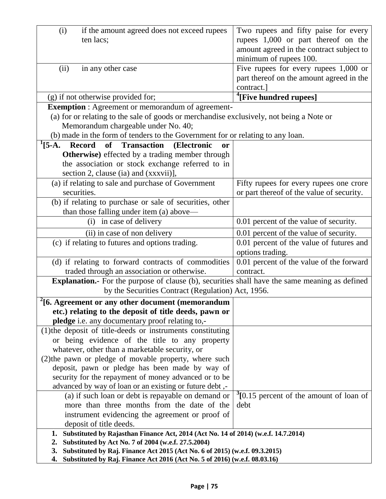| (i)<br>if the amount agreed does not exceed rupees                                                   | Two rupees and fifty paise for every                 |
|------------------------------------------------------------------------------------------------------|------------------------------------------------------|
| ten lacs;                                                                                            | rupees 1,000 or part thereof on the                  |
|                                                                                                      | amount agreed in the contract subject to             |
|                                                                                                      | minimum of rupees 100.                               |
| (ii)<br>in any other case                                                                            | Five rupees for every rupees $1,000$ or              |
|                                                                                                      | part thereof on the amount agreed in the             |
|                                                                                                      | contract.]                                           |
| (g) if not otherwise provided for;                                                                   | <sup>4</sup> [Five hundred rupees]                   |
| <b>Exemption</b> : Agreement or memorandum of agreement-                                             |                                                      |
| (a) for or relating to the sale of goods or merchandise exclusively, not being a Note or             |                                                      |
| Memorandum chargeable under No. 40;                                                                  |                                                      |
| (b) made in the form of tenders to the Government for or relating to any loan.                       |                                                      |
| $^{1}[5-A.$<br><b>Record</b><br>of<br><b>Transaction</b><br>(Electronic<br>or                        |                                                      |
| <b>Otherwise</b> ) effected by a trading member through                                              |                                                      |
| the association or stock exchange referred to in                                                     |                                                      |
| section 2, clause (ia) and (xxxvii)],                                                                |                                                      |
| (a) if relating to sale and purchase of Government                                                   | Fifty rupees for every rupees one crore              |
| securities.                                                                                          | or part thereof of the value of security.            |
| (b) if relating to purchase or sale of securities, other                                             |                                                      |
| than those falling under item (a) above—                                                             |                                                      |
| in case of delivery<br>(i)                                                                           | 0.01 percent of the value of security.               |
| (ii) in case of non delivery                                                                         | 0.01 percent of the value of security.               |
| (c) if relating to futures and options trading.                                                      | 0.01 percent of the value of futures and             |
|                                                                                                      | options trading.                                     |
| (d) if relating to forward contracts of commodities                                                  | 0.01 percent of the value of the forward             |
| traded through an association or otherwise.                                                          | contract.                                            |
| <b>Explanation.</b> For the purpose of clause (b), securities shall have the same meaning as defined |                                                      |
| by the Securities Contract (Regulation) Act, 1956.                                                   |                                                      |
| $2$ [6. Agreement or any other document (memorandum)                                                 |                                                      |
| etc.) relating to the deposit of title deeds, pawn or                                                |                                                      |
| pledge i.e. any documentary proof relating to,-                                                      |                                                      |
| (1) the deposit of title-deeds or instruments constituting                                           |                                                      |
| or being evidence of the title to any property                                                       |                                                      |
| whatever, other than a marketable security, or                                                       |                                                      |
| (2) the pawn or pledge of movable property, where such                                               |                                                      |
| deposit, pawn or pledge has been made by way of                                                      |                                                      |
| security for the repayment of money advanced or to be                                                |                                                      |
| advanced by way of loan or an existing or future debt,-                                              |                                                      |
| (a) if such loan or debt is repayable on demand or                                                   | $\frac{3}{2}$ [0.15 percent of the amount of loan of |
| more than three months from the date of the                                                          | debt                                                 |
| instrument evidencing the agreement or proof of                                                      |                                                      |
| deposit of title deeds.                                                                              |                                                      |
| Substituted by Rajasthan Finance Act, 2014 (Act No. 14 of 2014) (w.e.f. 14.7.2014)<br>1.             |                                                      |
| Substituted by Act No. 7 of 2004 (w.e.f. 27.5.2004)<br>2.                                            |                                                      |
| Substituted by Raj. Finance Act 2015 (Act No. 6 of 2015) (w.e.f. 09.3.2015)<br>3.                    |                                                      |
| 4.<br>Substituted by Raj. Finance Act 2016 (Act No. 5 of 2016) (w.e.f. 08.03.16)                     |                                                      |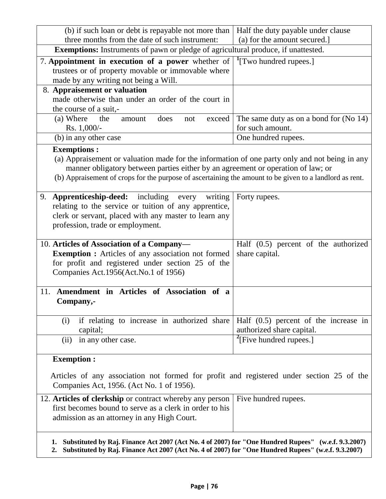| (b) if such loan or debt is repayable not more than   Half the duty payable under clause                                                                                                                                                                                                     |                                                                      |  |
|----------------------------------------------------------------------------------------------------------------------------------------------------------------------------------------------------------------------------------------------------------------------------------------------|----------------------------------------------------------------------|--|
| three months from the date of such instrument:                                                                                                                                                                                                                                               | (a) for the amount secured.                                          |  |
| Exemptions: Instruments of pawn or pledge of agricultural produce, if unattested.                                                                                                                                                                                                            |                                                                      |  |
| 7. Appointment in execution of a power whether of $\vert$ <sup>1</sup> [Two hundred rupees.]<br>trustees or of property movable or immovable where<br>made by any writing not being a Will.                                                                                                  |                                                                      |  |
| 8. Appraisement or valuation                                                                                                                                                                                                                                                                 |                                                                      |  |
| made otherwise than under an order of the court in<br>the course of a suit,-                                                                                                                                                                                                                 |                                                                      |  |
| (a) Where<br>does<br>the<br>exceed<br>amount<br>not                                                                                                                                                                                                                                          | The same duty as on a bond for (No 14)                               |  |
| Rs. 1,000/-                                                                                                                                                                                                                                                                                  | for such amount.                                                     |  |
| (b) in any other case                                                                                                                                                                                                                                                                        | One hundred rupees.                                                  |  |
| <b>Exemptions:</b>                                                                                                                                                                                                                                                                           |                                                                      |  |
| (a) Appraisement or valuation made for the information of one party only and not being in any<br>manner obligatory between parties either by an agreement or operation of law; or<br>(b) Appraisement of crops for the purpose of ascertaining the amount to be given to a landlord as rent. |                                                                      |  |
| 9. <b>Apprenticeship-deed:</b> including every<br>writing<br>relating to the service or tuition of any apprentice,<br>clerk or servant, placed with any master to learn any<br>profession, trade or employment.                                                                              | Forty rupees.                                                        |  |
| 10. Articles of Association of a Company-<br><b>Exemption :</b> Articles of any association not formed<br>for profit and registered under section 25 of the<br>Companies Act.1956(Act.No.1 of 1956)                                                                                          | Half $(0.5)$ percent of the authorized<br>share capital.             |  |
| Amendment in Articles of Association of a<br>11.<br>Company,-                                                                                                                                                                                                                                |                                                                      |  |
| if relating to increase in authorized share<br>(i)<br>capital;                                                                                                                                                                                                                               | Half $(0.5)$ percent of the increase in<br>authorized share capital. |  |
| in any other case.<br>(ii)                                                                                                                                                                                                                                                                   | $\textsuperscript{2}$ [Five hundred rupees.]                         |  |
| <b>Exemption:</b>                                                                                                                                                                                                                                                                            |                                                                      |  |
| Articles of any association not formed for profit and registered under section 25 of the<br>Companies Act, 1956. (Act No. 1 of 1956).                                                                                                                                                        |                                                                      |  |
| 12. Articles of clerkship or contract whereby any person<br>first becomes bound to serve as a clerk in order to his<br>admission as an attorney in any High Court.                                                                                                                           | Five hundred rupees.                                                 |  |
| Substituted by Raj. Finance Act 2007 (Act No. 4 of 2007) for "One Hundred Rupees" (w.e.f. 9.3.2007)<br>1.<br>Substituted by Raj. Finance Act 2007 (Act No. 4 of 2007) for "One Hundred Rupees" (w.e.f. 9.3.2007)<br>2.                                                                       |                                                                      |  |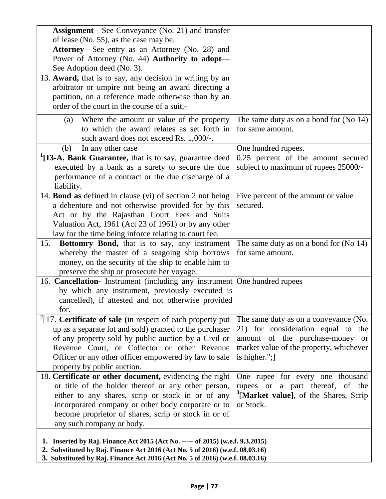| <b>Assignment</b> —See Conveyance (No. 21) and transfer                                                                                                         |                                                   |
|-----------------------------------------------------------------------------------------------------------------------------------------------------------------|---------------------------------------------------|
| of lease (No. 55), as the case may be.                                                                                                                          |                                                   |
| Attorney—See entry as an Attorney (No. 28) and                                                                                                                  |                                                   |
| Power of Attorney (No. 44) Authority to adopt-                                                                                                                  |                                                   |
| See Adoption deed (No. 3).                                                                                                                                      |                                                   |
| 13. Award, that is to say, any decision in writing by an                                                                                                        |                                                   |
| arbitrator or umpire not being an award directing a                                                                                                             |                                                   |
| partition, on a reference made otherwise than by an                                                                                                             |                                                   |
| order of the court in the course of a suit,-                                                                                                                    |                                                   |
| Where the amount or value of the property<br>(a)                                                                                                                | The same duty as on a bond for $(No 14)$          |
| to which the award relates as set forth in                                                                                                                      | for same amount.                                  |
| such award does not exceed Rs. 1,000/-.                                                                                                                         |                                                   |
| In any other case<br>(b)                                                                                                                                        | One hundred rupees.                               |
| <sup>1</sup> [13-A. Bank Guarantee, that is to say, guarantee deed                                                                                              | 0.25 percent of the amount secured                |
| executed by a bank as a surety to secure the due                                                                                                                | subject to maximum of rupees 25000/-              |
| performance of a contract or the due discharge of a                                                                                                             |                                                   |
| liability.                                                                                                                                                      |                                                   |
| 14. Bond as defined in clause (vi) of section 2 not being                                                                                                       | Five percent of the amount or value               |
| a debenture and not otherwise provided for by this                                                                                                              | secured.                                          |
| Act or by the Rajasthan Court Fees and Suits                                                                                                                    |                                                   |
| Valuation Act, 1961 (Act 23 of 1961) or by any other                                                                                                            |                                                   |
| law for the time being inforce relating to court fee.                                                                                                           |                                                   |
| Bottomry Bond, that is to say, any instrument<br>15.                                                                                                            | The same duty as on a bond for (No 14)            |
| whereby the master of a seagoing ship borrows                                                                                                                   | for same amount.                                  |
| money, on the security of the ship to enable him to                                                                                                             |                                                   |
| preserve the ship or prosecute her voyage.                                                                                                                      |                                                   |
| 16. Cancellation- Instrument (including any instrument One hundred rupees                                                                                       |                                                   |
| by which any instrument, previously executed is                                                                                                                 |                                                   |
| cancelled), if attested and not otherwise provided                                                                                                              |                                                   |
| for.                                                                                                                                                            |                                                   |
| $2$ [17. Certificate of sale (in respect of each property put                                                                                                   | The same duty as on a conveyance (No.             |
| up as a separate lot and sold) granted to the purchaser                                                                                                         | 21) for consideration equal to the                |
| of any property sold by public auction by a Civil or                                                                                                            | amount of the purchase-money or                   |
| Revenue Court, or Collector or other Revenue                                                                                                                    | market value of the property, whichever           |
| Officer or any other officer empowered by law to sale                                                                                                           | is higher.";]                                     |
| property by public auction.                                                                                                                                     |                                                   |
| 18. Certificate or other document, evidencing the right                                                                                                         | One rupee for every one thousand                  |
| or title of the holder thereof or any other person,                                                                                                             | rupees or a part thereof, of the                  |
| either to any shares, scrip or stock in or of any                                                                                                               | <sup>5</sup> [Market value], of the Shares, Scrip |
| incorporated company or other body corporate or to                                                                                                              | or Stock.                                         |
| become proprietor of shares, scrip or stock in or of                                                                                                            |                                                   |
| any such company or body.                                                                                                                                       |                                                   |
| 1. Inserted by Raj. Finance Act 2015 (Act No. ----- of 2015) (w.e.f. 9.3.2015)<br>2. Substituted by Raj. Finance Act 2016 (Act No. 5 of 2016) (w.e.f. 08.03.16) |                                                   |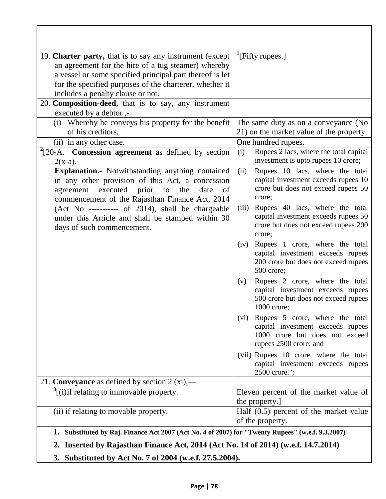| 19. <b>Charter party,</b> that is to say any instrument (except $\vert$ <sup>1</sup> [Fifty rupees.]<br>an agreement for the hire of a tug steamer) whereby<br>a vessel or some specified principal part thereof is let<br>for the specified purposes of the charterer, whether it<br>includes a penalty clause or not.<br>20. Composition-deed, that is to say, any instrument |                                                                                                                                       |
|---------------------------------------------------------------------------------------------------------------------------------------------------------------------------------------------------------------------------------------------------------------------------------------------------------------------------------------------------------------------------------|---------------------------------------------------------------------------------------------------------------------------------------|
| executed by a debtor,-                                                                                                                                                                                                                                                                                                                                                          |                                                                                                                                       |
| (i) Whereby he conveys his property for the benefit<br>of his creditors.                                                                                                                                                                                                                                                                                                        | The same duty as on a conveyance (No<br>21) on the market value of the property.                                                      |
| (ii) in any other case.                                                                                                                                                                                                                                                                                                                                                         | One hundred rupees.                                                                                                                   |
| $20-A$ . Concession agreement as defined by section<br>$2(x-a)$ .                                                                                                                                                                                                                                                                                                               | Rupees 2 lacs, where the total capital<br>(i)<br>investment is upto rupees 10 crore;                                                  |
| <b>Explanation.</b> Notwithstanding anything contained<br>in any other provision of this Act, a concession<br>agreement executed prior to the<br>date<br>of<br>commencement of the Rajasthan Finance Act, 2014                                                                                                                                                                  | Rupees 10 lacs, where the total<br>(ii)<br>capital investment exceeds rupees 10<br>crore but does not exceed rupees 50<br>crore;      |
| (Act No ----------- of 2014), shall be chargeable<br>under this Article and shall be stamped within 30<br>days of such commencement.                                                                                                                                                                                                                                            | Rupees 40 lacs, where the total<br>(iii)<br>capital investment exceeds rupees 50<br>crore but does not exceed rupees 200<br>crore;    |
|                                                                                                                                                                                                                                                                                                                                                                                 | Rupees 1 crore, where the total<br>(iv)<br>capital investment exceeds rupees<br>200 crore but does not exceed rupees<br>500 crore;    |
|                                                                                                                                                                                                                                                                                                                                                                                 | Rupees 2 crore, where the total<br>(v)<br>capital investment exceeds rupees<br>500 crore but does not exceed rupees<br>1000 crore;    |
|                                                                                                                                                                                                                                                                                                                                                                                 | (vi) Rupees 5 crore, where the total<br>capital investment exceeds rupees<br>1000 crore but does not exceed<br>rupees 2500 crore; and |
|                                                                                                                                                                                                                                                                                                                                                                                 | (vii) Rupees 10 crore, where the total<br>capital investment exceeds rupees<br>2500 crore.";                                          |
| 21. Conveyance as defined by section $2 (xi)$ ,—                                                                                                                                                                                                                                                                                                                                |                                                                                                                                       |
| $\frac{3}{1}$ [(i) if relating to immovable property.                                                                                                                                                                                                                                                                                                                           | Eleven percent of the market value of<br>the property.]                                                                               |
| (ii) if relating to movable property.                                                                                                                                                                                                                                                                                                                                           | Half $(0.5)$ percent of the market value<br>of the property.                                                                          |
| 1. Substituted by Raj. Finance Act 2007 (Act No. 4 of 2007) for "Twenty Rupees" (w.e.f. 9.3.2007)                                                                                                                                                                                                                                                                               |                                                                                                                                       |
| Inserted by Rajasthan Finance Act, 2014 (Act No. 14 of 2014) (w.e.f. 14.7.2014)<br>2.                                                                                                                                                                                                                                                                                           |                                                                                                                                       |
| 3. Substituted by Act No. 7 of 2004 (w.e.f. 27.5.2004).                                                                                                                                                                                                                                                                                                                         |                                                                                                                                       |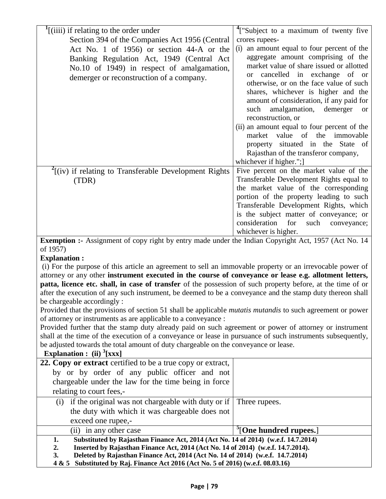| $\int$ [(iiii) if relating to the order under                                                               | <sup>4</sup> ["Subject to a maximum of twenty five                                     |
|-------------------------------------------------------------------------------------------------------------|----------------------------------------------------------------------------------------|
| Section 394 of the Companies Act 1956 (Central                                                              | crores rupees-                                                                         |
| Act No. 1 of 1956) or section 44-A or the                                                                   | an amount equal to four percent of the<br>(i)                                          |
| Banking Regulation Act, 1949 (Central Act                                                                   | aggregate amount comprising of the                                                     |
| No.10 of 1949) in respect of amalgamation,                                                                  | market value of share issued or allotted                                               |
| demerger or reconstruction of a company.                                                                    | or cancelled in exchange of or                                                         |
|                                                                                                             | otherwise, or on the face value of such                                                |
|                                                                                                             | shares, whichever is higher and the                                                    |
|                                                                                                             | amount of consideration, if any paid for                                               |
|                                                                                                             | such<br>amalgamation,<br>demerger<br><b>or</b><br>reconstruction, or                   |
|                                                                                                             | (ii) an amount equal to four percent of the                                            |
|                                                                                                             | market value of the immovable                                                          |
|                                                                                                             | property situated in the State of                                                      |
|                                                                                                             | Rajasthan of the transferor company,                                                   |
|                                                                                                             | whichever if higher.";                                                                 |
| $2$ [(iv) if relating to Transferable Development Rights                                                    | Five percent on the market value of the                                                |
| (TDR)                                                                                                       | Transferable Development Rights equal to                                               |
|                                                                                                             | the market value of the corresponding                                                  |
|                                                                                                             | portion of the property leading to such                                                |
|                                                                                                             | Transferable Development Rights, which                                                 |
|                                                                                                             | is the subject matter of conveyance; or<br>consideration<br>for<br>such<br>conveyance; |
|                                                                                                             | whichever is higher.                                                                   |
| Exemption :- Assignment of copy right by entry made under the Indian Copyright Act, 1957 (Act No. 14        |                                                                                        |
| of 1957)                                                                                                    |                                                                                        |
| <b>Explanation:</b>                                                                                         |                                                                                        |
| (i) For the purpose of this article an agreement to sell an immovable property or an irrevocable power of   |                                                                                        |
| attorney or any other instrument executed in the course of conveyance or lease e.g. allotment letters,      |                                                                                        |
| patta, licence etc. shall, in case of transfer of the possession of such property before, at the time of or |                                                                                        |
| after the execution of any such instrument, be deemed to be a conveyance and the stamp duty thereon shall   |                                                                                        |
| be chargeable accordingly :                                                                                 |                                                                                        |
| Provided that the provisions of section 51 shall be applicable mutatis mutandis to such agreement or power  |                                                                                        |
| of attorney or instruments as are applicable to a conveyance :                                              |                                                                                        |
| Provided further that the stamp duty already paid on such agreement or power of attorney or instrument      |                                                                                        |
| shall at the time of the execution of a conveyance or lease in pursuance of such instruments subsequently,  |                                                                                        |
| be adjusted towards the total amount of duty chargeable on the conveyance or lease.                         |                                                                                        |
| Explanation : (ii) $\frac{3}{2}$ [xxx]                                                                      |                                                                                        |
| 22. Copy or extract certified to be a true copy or extract,                                                 |                                                                                        |
| by or by order of any public officer and not                                                                |                                                                                        |
| chargeable under the law for the time being in force                                                        |                                                                                        |
| relating to court fees,-                                                                                    |                                                                                        |
| (i) if the original was not chargeable with duty or if                                                      | Three rupees.                                                                          |

the duty with which it was chargeable does not exceed one rupee,- (ii) in any other case **<sup>5</sup>** [**One hundred rupees.**] **1. Substituted by Rajasthan Finance Act, 2014 (Act No. 14 of 2014) (w.e.f. 14.7.2014) 2. Inserted by Rajasthan Finance Act, 2014 (Act No. 14 of 2014) (w.e.f. 14.7.2014). 3. Deleted by Rajasthan Finance Act, 2014 (Act No. 14 of 2014) (w.e.f. 14.7.2014)**

**4 & 5 Substituted by Raj. Finance Act 2016 (Act No. 5 of 2016) (w.e.f. 08.03.16)**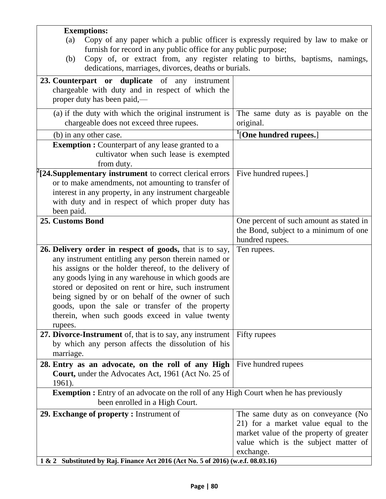| <b>Exemptions:</b>                                                                           |                                         |  |
|----------------------------------------------------------------------------------------------|-----------------------------------------|--|
| Copy of any paper which a public officer is expressly required by law to make or<br>(a)      |                                         |  |
| furnish for record in any public office for any public purpose;                              |                                         |  |
| Copy of, or extract from, any register relating to births, baptisms, namings,<br>(b)         |                                         |  |
| dedications, marriages, divorces, deaths or burials.                                         |                                         |  |
|                                                                                              |                                         |  |
| 23. Counterpart or duplicate of any instrument                                               |                                         |  |
| chargeable with duty and in respect of which the                                             |                                         |  |
| proper duty has been paid,—                                                                  |                                         |  |
|                                                                                              |                                         |  |
| (a) if the duty with which the original instrument is                                        | The same duty as is payable on the      |  |
| chargeable does not exceed three rupees.                                                     | original.                               |  |
| (b) in any other case.                                                                       | <sup>1</sup> [One hundred rupees.]      |  |
| <b>Exemption :</b> Counterpart of any lease granted to a                                     |                                         |  |
| cultivator when such lease is exempted                                                       |                                         |  |
| from duty.                                                                                   |                                         |  |
| $f[24. \text{Supplementary instrument to correct clerical errors}]$                          | Five hundred rupees.                    |  |
|                                                                                              |                                         |  |
| or to make amendments, not amounting to transfer of                                          |                                         |  |
| interest in any property, in any instrument chargeable                                       |                                         |  |
| with duty and in respect of which proper duty has                                            |                                         |  |
| been paid.                                                                                   |                                         |  |
| 25. Customs Bond                                                                             | One percent of such amount as stated in |  |
|                                                                                              | the Bond, subject to a minimum of one   |  |
|                                                                                              | hundred rupees.                         |  |
| 26. Delivery order in respect of goods, that is to say,                                      | Ten rupees.                             |  |
| any instrument entitling any person therein named or                                         |                                         |  |
| his assigns or the holder thereof, to the delivery of                                        |                                         |  |
| any goods lying in any warehouse in which goods are                                          |                                         |  |
|                                                                                              |                                         |  |
| stored or deposited on rent or hire, such instrument                                         |                                         |  |
| being signed by or on behalf of the owner of such                                            |                                         |  |
| goods, upon the sale or transfer of the property                                             |                                         |  |
| therein, when such goods exceed in value twenty                                              |                                         |  |
| rupees.                                                                                      |                                         |  |
| 27. Divorce-Instrument of, that is to say, any instrument                                    | Fifty rupees                            |  |
| by which any person affects the dissolution of his                                           |                                         |  |
| marriage.                                                                                    |                                         |  |
| 28. Entry as an advocate, on the roll of any High                                            | Five hundred rupees                     |  |
| <b>Court, under the Advocates Act, 1961 (Act No. 25 of</b>                                   |                                         |  |
| 1961).                                                                                       |                                         |  |
| <b>Exemption :</b> Entry of an advocate on the roll of any High Court when he has previously |                                         |  |
|                                                                                              |                                         |  |
| been enrolled in a High Court.                                                               |                                         |  |
| 29. Exchange of property: Instrument of                                                      | The same duty as on conveyance (No      |  |
|                                                                                              | 21) for a market value equal to the     |  |
|                                                                                              | market value of the property of greater |  |
|                                                                                              | value which is the subject matter of    |  |
|                                                                                              | exchange.                               |  |
| 1 & 2 Substituted by Raj. Finance Act 2016 (Act No. 5 of 2016) (w.e.f. 08.03.16)             |                                         |  |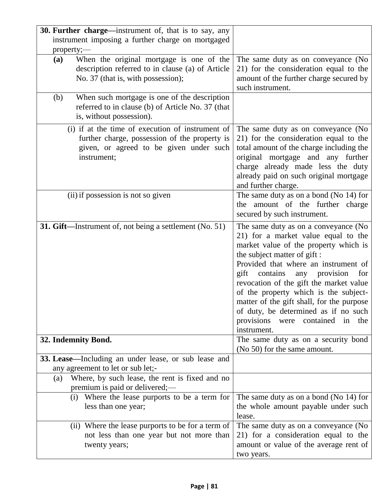| 30. Further charge—instrument of, that is to say, any                                                                                                                                                                                                                                           |                                                                                                                                                                                                                                                                                                                                                                                                                                                                                  |
|-------------------------------------------------------------------------------------------------------------------------------------------------------------------------------------------------------------------------------------------------------------------------------------------------|----------------------------------------------------------------------------------------------------------------------------------------------------------------------------------------------------------------------------------------------------------------------------------------------------------------------------------------------------------------------------------------------------------------------------------------------------------------------------------|
| instrument imposing a further charge on mortgaged                                                                                                                                                                                                                                               |                                                                                                                                                                                                                                                                                                                                                                                                                                                                                  |
| property;-<br>When the original mortgage is one of the<br>(a)<br>description referred to in clause (a) of Article<br>No. 37 (that is, with possession);<br>When such mortgage is one of the description<br>(b)<br>referred to in clause (b) of Article No. 37 (that<br>is, without possession). | The same duty as on conveyance (No<br>21) for the consideration equal to the<br>amount of the further charge secured by<br>such instrument.                                                                                                                                                                                                                                                                                                                                      |
| (i) if at the time of execution of instrument of<br>further charge, possession of the property is<br>given, or agreed to be given under such<br>instrument;                                                                                                                                     | The same duty as on conveyance (No<br>21) for the consideration equal to the<br>total amount of the charge including the<br>original mortgage and any further<br>charge already made less the duty<br>already paid on such original mortgage<br>and further charge.                                                                                                                                                                                                              |
| (ii) if possession is not so given                                                                                                                                                                                                                                                              | The same duty as on a bond (No $14$ ) for<br>the amount of the further charge<br>secured by such instrument.                                                                                                                                                                                                                                                                                                                                                                     |
| 31. Gift—Instrument of, not being a settlement (No. 51)                                                                                                                                                                                                                                         | The same duty as on a conveyance (No<br>21) for a market value equal to the<br>market value of the property which is<br>the subject matter of gift :<br>Provided that where an instrument of<br>gift contains<br>provision<br>any<br>for<br>revocation of the gift the market value<br>of the property which is the subject-<br>matter of the gift shall, for the purpose<br>of duty, be determined as if no such<br>provisions<br>contained<br>were<br>the<br>in<br>instrument. |
| 32. Indemnity Bond.                                                                                                                                                                                                                                                                             | The same duty as on a security bond<br>(No 50) for the same amount.                                                                                                                                                                                                                                                                                                                                                                                                              |
| 33. Lease—Including an under lease, or sub lease and<br>any agreement to let or sub let;-<br>Where, by such lease, the rent is fixed and no<br>(a)<br>premium is paid or delivered;—                                                                                                            |                                                                                                                                                                                                                                                                                                                                                                                                                                                                                  |
| (i) Where the lease purports to be a term for<br>less than one year;                                                                                                                                                                                                                            | The same duty as on a bond (No $14$ ) for<br>the whole amount payable under such<br>lease.                                                                                                                                                                                                                                                                                                                                                                                       |
| (ii) Where the lease purports to be for a term of<br>not less than one year but not more than<br>twenty years;                                                                                                                                                                                  | The same duty as on a conveyance (No<br>21) for a consideration equal to the<br>amount or value of the average rent of<br>two years.                                                                                                                                                                                                                                                                                                                                             |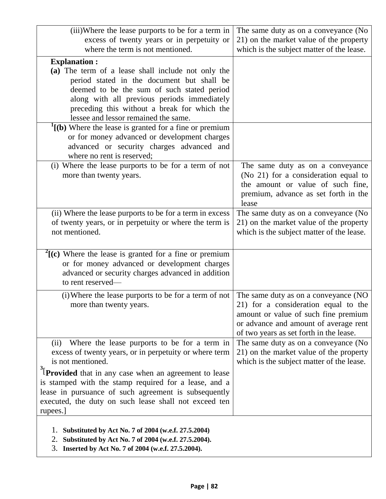| (iii)Where the lease purports to be for a term in                                                                                                                                                                                                                                     | The same duty as on a conveyance (No                                                                                                                                                                     |
|---------------------------------------------------------------------------------------------------------------------------------------------------------------------------------------------------------------------------------------------------------------------------------------|----------------------------------------------------------------------------------------------------------------------------------------------------------------------------------------------------------|
| excess of twenty years or in perpetuity or<br>where the term is not mentioned.                                                                                                                                                                                                        | 21) on the market value of the property<br>which is the subject matter of the lease.                                                                                                                     |
| <b>Explanation:</b>                                                                                                                                                                                                                                                                   |                                                                                                                                                                                                          |
| (a) The term of a lease shall include not only the<br>period stated in the document but shall be<br>deemed to be the sum of such stated period<br>along with all previous periods immediately<br>preceding this without a break for which the<br>lessee and lessor remained the same. |                                                                                                                                                                                                          |
| $\binom{1}{b}$ Where the lease is granted for a fine or premium<br>or for money advanced or development charges<br>advanced or security charges advanced and<br>where no rent is reserved;                                                                                            |                                                                                                                                                                                                          |
| (i) Where the lease purports to be for a term of not<br>more than twenty years.                                                                                                                                                                                                       | The same duty as on a conveyance<br>(No 21) for a consideration equal to<br>the amount or value of such fine,<br>premium, advance as set forth in the<br>lease                                           |
| (ii) Where the lease purports to be for a term in excess<br>of twenty years, or in perpetuity or where the term is<br>not mentioned.                                                                                                                                                  | The same duty as on a conveyance (No<br>21) on the market value of the property<br>which is the subject matter of the lease.                                                                             |
| $\binom{2}{k}$ (c) Where the lease is granted for a fine or premium<br>or for money advanced or development charges<br>advanced or security charges advanced in addition<br>to rent reserved-                                                                                         |                                                                                                                                                                                                          |
| (i) Where the lease purports to be for a term of not<br>more than twenty years.                                                                                                                                                                                                       | The same duty as on a conveyance (NO<br>21) for a consideration equal to the<br>amount or value of such fine premium<br>or advance and amount of average rent<br>of two years as set forth in the lease. |
| (ii) Where the lease purports to be for a term in<br>excess of twenty years, or in perpetuity or where term<br>is not mentioned.                                                                                                                                                      | The same duty as on a conveyance (No<br>21) on the market value of the property<br>which is the subject matter of the lease.                                                                             |
| $\frac{3}{2}$ [ <b>Provided</b> that in any case when an agreement to lease<br>is stamped with the stamp required for a lease, and a<br>lease in pursuance of such agreement is subsequently<br>executed, the duty on such lease shall not exceed ten<br>rupees.]                     |                                                                                                                                                                                                          |
| 1. Substituted by Act No. 7 of 2004 (w.e.f. 27.5.2004)<br>Substituted by Act No. 7 of 2004 (w.e.f. 27.5.2004).<br>2.<br>3. Inserted by Act No. 7 of 2004 (w.e.f. 27.5.2004).                                                                                                          |                                                                                                                                                                                                          |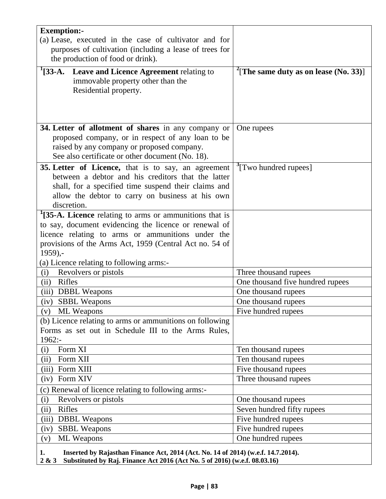| <b>Exemption:-</b>                                                                               |                                                   |
|--------------------------------------------------------------------------------------------------|---------------------------------------------------|
| (a) Lease, executed in the case of cultivator and for                                            |                                                   |
| purposes of cultivation (including a lease of trees for                                          |                                                   |
| the production of food or drink).                                                                |                                                   |
| <sup>1</sup> [33-A. Leave and Licence Agreement relating to<br>immovable property other than the | <sup>2</sup> [The same duty as on lease (No. 33)] |
| Residential property.                                                                            |                                                   |
|                                                                                                  |                                                   |
|                                                                                                  |                                                   |
|                                                                                                  |                                                   |
| 34. Letter of allotment of shares in any company or                                              | One rupees                                        |
| proposed company, or in respect of any loan to be                                                |                                                   |
| raised by any company or proposed company.                                                       |                                                   |
| See also certificate or other document (No. 18).                                                 |                                                   |
| 35. Letter of Licence, that is to say, an agreement                                              | <sup>3</sup> [Two hundred rupees]                 |
| between a debtor and his creditors that the latter                                               |                                                   |
| shall, for a specified time suspend their claims and                                             |                                                   |
| allow the debtor to carry on business at his own                                                 |                                                   |
| discretion.                                                                                      |                                                   |
| <sup>1</sup> [35-A. Licence relating to arms or ammunitions that is                              |                                                   |
| to say, document evidencing the licence or renewal of                                            |                                                   |
| licence relating to arms or ammunitions under the                                                |                                                   |
| provisions of the Arms Act, 1959 (Central Act no. 54 of                                          |                                                   |
| $1959$ ,-                                                                                        |                                                   |
| (a) Licence relating to following arms:-                                                         |                                                   |
| Revolvers or pistols<br>(i)                                                                      | Three thousand rupees                             |
| Rifles<br>(ii)                                                                                   | One thousand five hundred rupees                  |
| (iii)<br><b>DBBL</b> Weapons                                                                     | One thousand rupees                               |
| (iv)<br><b>SBBL</b> Weapons                                                                      | One thousand rupees                               |
| <b>ML</b> Weapons<br>(v)<br>(b) Licence relating to arms or ammunitions on following             | Five hundred rupees                               |
| Forms as set out in Schedule III to the Arms Rules,                                              |                                                   |
| 1962:-                                                                                           |                                                   |
| Form XI<br>(i)                                                                                   | Ten thousand rupees                               |
| (ii)<br>Form XII                                                                                 | Ten thousand rupees                               |
| (iii)<br>Form XIII                                                                               | Five thousand rupees                              |
| Form XIV<br>(iv)                                                                                 | Three thousand rupees                             |
| (c) Renewal of licence relating to following arms:-                                              |                                                   |
| (i)<br>Revolvers or pistols                                                                      | One thousand rupees                               |
| Rifles<br>(ii)                                                                                   | Seven hundred fifty rupees                        |
| (iii)<br><b>DBBL</b> Weapons                                                                     | Five hundred rupees                               |
| <b>SBBL Weapons</b><br>(iv)                                                                      | Five hundred rupees                               |
| <b>ML</b> Weapons<br>(v)                                                                         | One hundred rupees                                |
|                                                                                                  |                                                   |

**1. Inserted by Rajasthan Finance Act, 2014 (Act. No. 14 of 2014) (w.e.f. 14.7.2014). 2 & 3 Substituted by Raj. Finance Act 2016 (Act No. 5 of 2016) (w.e.f. 08.03.16)**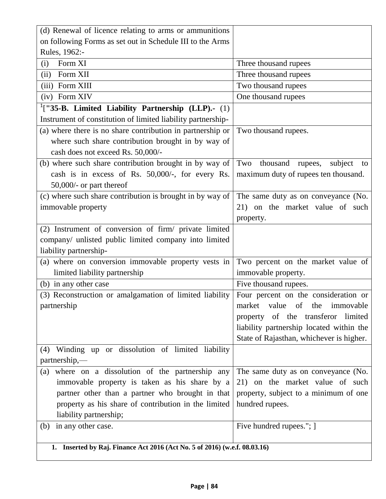| (d) Renewal of licence relating to arms or ammunitions                     |                                          |
|----------------------------------------------------------------------------|------------------------------------------|
| on following Forms as set out in Schedule III to the Arms                  |                                          |
| Rules, 1962:-                                                              |                                          |
| Form XI<br>(i)                                                             | Three thousand rupees                    |
| Form XII<br>(ii)                                                           | Three thousand rupees                    |
| (iii) Form XIII                                                            | Two thousand rupees                      |
| (iv) Form XIV                                                              | One thousand rupees                      |
| $1$ ["35-B. Limited Liability Partnership (LLP).- (1)                      |                                          |
| Instrument of constitution of limited liability partnership-               |                                          |
| (a) where there is no share contribution in partnership or                 | Two thousand rupees.                     |
| where such share contribution brought in by way of                         |                                          |
| cash does not exceed Rs. 50,000/-                                          |                                          |
| (b) where such share contribution brought in by way of                     | Two<br>thousand rupees,<br>subject<br>to |
| cash is in excess of Rs. 50,000/-, for every Rs.                           | maximum duty of rupees ten thousand.     |
| $50,000/$ - or part thereof                                                |                                          |
| (c) where such share contribution is brought in by way of                  | The same duty as on conveyance (No.      |
| immovable property                                                         | 21) on the market value of such          |
|                                                                            | property.                                |
| (2) Instrument of conversion of firm/ private limited                      |                                          |
| company/ unlisted public limited company into limited                      |                                          |
| liability partnership-                                                     |                                          |
| (a) where on conversion immovable property vests in                        | Two percent on the market value of       |
| limited liability partnership                                              | immovable property.                      |
| (b) in any other case                                                      | Five thousand rupees.                    |
| (3) Reconstruction or amalgamation of limited liability                    | Four percent on the consideration or     |
| partnership                                                                | market value of the immovable            |
|                                                                            | property of the transferor limited       |
|                                                                            | liability partnership located within the |
|                                                                            | State of Rajasthan, whichever is higher. |
| Winding up or dissolution of limited liability<br>(4)                      |                                          |
| partnership,—                                                              |                                          |
| where on a dissolution of the partnership any<br>(a)                       | The same duty as on conveyance (No.      |
| immovable property is taken as his share by a                              | 21) on the market value of such          |
| partner other than a partner who brought in that                           | property, subject to a minimum of one    |
| property as his share of contribution in the limited                       | hundred rupees.                          |
| liability partnership;                                                     |                                          |
| in any other case.<br>(b)                                                  | Five hundred rupees."; ]                 |
|                                                                            |                                          |
| 1. Inserted by Raj. Finance Act 2016 (Act No. 5 of 2016) (w.e.f. 08.03.16) |                                          |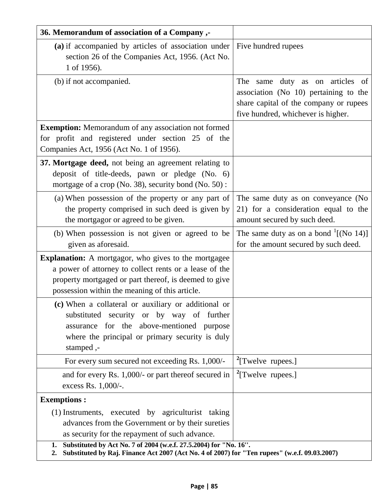| 36. Memorandum of association of a Company ,-                                                                                                                                                                                       |                                                                                                                                                                |
|-------------------------------------------------------------------------------------------------------------------------------------------------------------------------------------------------------------------------------------|----------------------------------------------------------------------------------------------------------------------------------------------------------------|
| (a) if accompanied by articles of association under $\vert$<br>section 26 of the Companies Act, 1956. (Act No.<br>1 of 1956).                                                                                                       | Five hundred rupees                                                                                                                                            |
| (b) if not accompanied.                                                                                                                                                                                                             | The<br>duty as on articles of<br>same<br>association (No 10) pertaining to the<br>share capital of the company or rupees<br>five hundred, whichever is higher. |
| <b>Exemption:</b> Memorandum of any association not formed<br>for profit and registered under section 25 of the<br>Companies Act, 1956 (Act No. 1 of 1956).                                                                         |                                                                                                                                                                |
| 37. Mortgage deed, not being an agreement relating to<br>deposit of title-deeds, pawn or pledge (No. 6)<br>mortgage of a crop (No. 38), security bond (No. 50):                                                                     |                                                                                                                                                                |
| (a) When possession of the property or any part of<br>the property comprised in such deed is given by<br>the mortgagor or agreed to be given.                                                                                       | The same duty as on conveyance (No<br>21) for a consideration equal to the<br>amount secured by such deed.                                                     |
| (b) When possession is not given or agreed to be<br>given as aforesaid.                                                                                                                                                             | The same duty as on a bond $1$ [(No 14)]<br>for the amount secured by such deed.                                                                               |
| <b>Explanation:</b> A mortgagor, who gives to the mortgagee<br>a power of attorney to collect rents or a lease of the<br>property mortgaged or part thereof, is deemed to give<br>possession within the meaning of this article.    |                                                                                                                                                                |
| (c) When a collateral or auxiliary or additional or<br>substituted security or by way of further<br>assurance for the above-mentioned purpose<br>where the principal or primary security is duly<br>stamped,-                       |                                                                                                                                                                |
| For every sum secured not exceeding Rs. 1,000/-                                                                                                                                                                                     | $\rm{^{2}[Twelve\ rupees.]}$                                                                                                                                   |
| and for every Rs. 1,000/- or part thereof secured in<br>excess Rs. 1,000/-.                                                                                                                                                         | $\rm{^{2}[Twelve\ rupees.]}$                                                                                                                                   |
| <b>Exemptions:</b>                                                                                                                                                                                                                  |                                                                                                                                                                |
| (1) Instruments, executed by agriculturist taking<br>advances from the Government or by their sureties<br>as security for the repayment of such advance.<br>Substituted by Act No. 7 of 2004 (w.e.f. 27.5.2004) for "No. 16".<br>1. |                                                                                                                                                                |
| Substituted by Raj. Finance Act 2007 (Act No. 4 of 2007) for "Ten rupees" (w.e.f. 09.03.2007)<br>2.                                                                                                                                 |                                                                                                                                                                |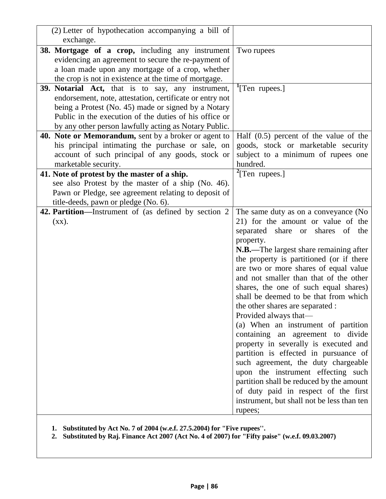| (2) Letter of hypothecation accompanying a bill of<br>exchange.                                                                                                                                                                                                                                |                                                                                                                                                                                                                                                                                                                                                                                                                                                                                                                                                                                                                                                                                                                                                                                                                                                |
|------------------------------------------------------------------------------------------------------------------------------------------------------------------------------------------------------------------------------------------------------------------------------------------------|------------------------------------------------------------------------------------------------------------------------------------------------------------------------------------------------------------------------------------------------------------------------------------------------------------------------------------------------------------------------------------------------------------------------------------------------------------------------------------------------------------------------------------------------------------------------------------------------------------------------------------------------------------------------------------------------------------------------------------------------------------------------------------------------------------------------------------------------|
| 38. Mortgage of a crop, including any instrument<br>evidencing an agreement to secure the re-payment of<br>a loan made upon any mortgage of a crop, whether                                                                                                                                    | Two rupees                                                                                                                                                                                                                                                                                                                                                                                                                                                                                                                                                                                                                                                                                                                                                                                                                                     |
| the crop is not in existence at the time of mortgage.                                                                                                                                                                                                                                          |                                                                                                                                                                                                                                                                                                                                                                                                                                                                                                                                                                                                                                                                                                                                                                                                                                                |
| <b>39. Notarial Act,</b> that is to say, any instrument,<br>endorsement, note, attestation, certificate or entry not<br>being a Protest (No. 45) made or signed by a Notary<br>Public in the execution of the duties of his office or<br>by any other person lawfully acting as Notary Public. | <sup>1</sup> [Ten rupees.]                                                                                                                                                                                                                                                                                                                                                                                                                                                                                                                                                                                                                                                                                                                                                                                                                     |
| 40. Note or Memorandum, sent by a broker or agent to                                                                                                                                                                                                                                           | Half $(0.5)$ percent of the value of the                                                                                                                                                                                                                                                                                                                                                                                                                                                                                                                                                                                                                                                                                                                                                                                                       |
| his principal intimating the purchase or sale, on                                                                                                                                                                                                                                              | goods, stock or marketable security                                                                                                                                                                                                                                                                                                                                                                                                                                                                                                                                                                                                                                                                                                                                                                                                            |
| account of such principal of any goods, stock or                                                                                                                                                                                                                                               | subject to a minimum of rupees one                                                                                                                                                                                                                                                                                                                                                                                                                                                                                                                                                                                                                                                                                                                                                                                                             |
| marketable security.                                                                                                                                                                                                                                                                           | hundred.                                                                                                                                                                                                                                                                                                                                                                                                                                                                                                                                                                                                                                                                                                                                                                                                                                       |
| 41. Note of protest by the master of a ship.                                                                                                                                                                                                                                                   | $2$ [Ten rupees.]                                                                                                                                                                                                                                                                                                                                                                                                                                                                                                                                                                                                                                                                                                                                                                                                                              |
| see also Protest by the master of a ship (No. 46).                                                                                                                                                                                                                                             |                                                                                                                                                                                                                                                                                                                                                                                                                                                                                                                                                                                                                                                                                                                                                                                                                                                |
| Pawn or Pledge, see agreement relating to deposit of                                                                                                                                                                                                                                           |                                                                                                                                                                                                                                                                                                                                                                                                                                                                                                                                                                                                                                                                                                                                                                                                                                                |
| title-deeds, pawn or pledge (No. 6).                                                                                                                                                                                                                                                           |                                                                                                                                                                                                                                                                                                                                                                                                                                                                                                                                                                                                                                                                                                                                                                                                                                                |
| 42. Partition—Instrument of (as defined by section 2<br>(XX).                                                                                                                                                                                                                                  | The same duty as on a conveyance (No<br>21) for the amount or value of the<br>separated share or shares of<br>the<br>property.<br>N.B.—The largest share remaining after<br>the property is partitioned (or if there<br>are two or more shares of equal value<br>and not smaller than that of the other<br>shares, the one of such equal shares)<br>shall be deemed to be that from which<br>the other shares are separated :<br>Provided always that—<br>(a) When an instrument of partition<br>containing an agreement to divide<br>property in severally is executed and<br>partition is effected in pursuance of<br>such agreement, the duty chargeable<br>upon the instrument effecting such<br>partition shall be reduced by the amount<br>of duty paid in respect of the first<br>instrument, but shall not be less than ten<br>rupees; |

**1. Substituted by Act No. 7 of 2004 (w.e.f. 27.5.2004) for "Five rupees''.**

**2. Substituted by Raj. Finance Act 2007 (Act No. 4 of 2007) for "Fifty paise" (w.e.f. 09.03.2007)**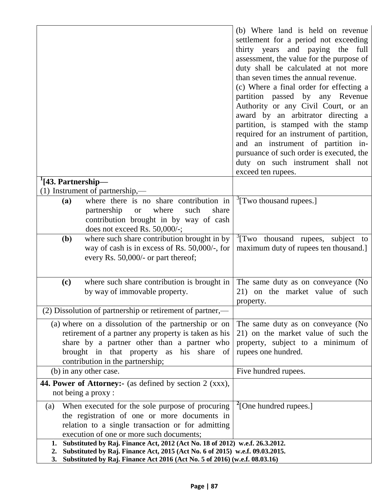|                                                                                    |                                                                | (b) Where land is held on revenue             |
|------------------------------------------------------------------------------------|----------------------------------------------------------------|-----------------------------------------------|
|                                                                                    |                                                                | settlement for a period not exceeding         |
|                                                                                    |                                                                | thirty years and paying the full              |
|                                                                                    |                                                                | assessment, the value for the purpose of      |
|                                                                                    |                                                                | duty shall be calculated at not more          |
|                                                                                    |                                                                | than seven times the annual revenue.          |
|                                                                                    |                                                                | (c) Where a final order for effecting a       |
|                                                                                    |                                                                | partition passed by any Revenue               |
|                                                                                    |                                                                | Authority or any Civil Court, or an           |
|                                                                                    |                                                                | award by an arbitrator directing a            |
|                                                                                    |                                                                | partition, is stamped with the stamp          |
|                                                                                    |                                                                | required for an instrument of partition,      |
|                                                                                    |                                                                | and an instrument of partition in-            |
|                                                                                    |                                                                | pursuance of such order is executed, the      |
|                                                                                    |                                                                | duty on such instrument shall not             |
|                                                                                    |                                                                | exceed ten rupees.                            |
| $\frac{1}{43}$ . Partnership—                                                      |                                                                |                                               |
|                                                                                    | (1) Instrument of partnership,—                                |                                               |
| (a)                                                                                | where there is no share contribution in                        | $\frac{3}{2}$ [Two thousand rupees.]          |
|                                                                                    | partnership<br>where<br>such<br>share<br><b>or</b>             |                                               |
|                                                                                    | contribution brought in by way of cash                         |                                               |
|                                                                                    | does not exceed Rs. 50,000/-;                                  |                                               |
| (b)                                                                                | where such share contribution brought in by                    | <sup>3</sup> [Two thousand rupees, subject to |
|                                                                                    | way of cash is in excess of Rs. 50,000/-, for                  | maximum duty of rupees ten thousand.]         |
|                                                                                    | every Rs. 50,000/- or part thereof;                            |                                               |
|                                                                                    |                                                                |                                               |
| (c)                                                                                | where such share contribution is brought in                    | The same duty as on conveyance (No            |
|                                                                                    | by way of immovable property.                                  | 21) on the market value of such               |
|                                                                                    |                                                                | property.                                     |
|                                                                                    | (2) Dissolution of partnership or retirement of partner,—      |                                               |
|                                                                                    | (a) where on a dissolution of the partnership or on            | The same duty as on conveyance (No            |
|                                                                                    | retirement of a partner any property is taken as his           | 21) on the market value of such the           |
|                                                                                    | share by a partner other than a partner who                    | property, subject to a minimum of             |
|                                                                                    | brought in that property as his share of                       | rupees one hundred.                           |
|                                                                                    | contribution in the partnership;                               |                                               |
|                                                                                    | (b) in any other case.                                         | Five hundred rupees.                          |
|                                                                                    | <b>44. Power of Attorney:-</b> (as defined by section 2 (xxx), |                                               |
|                                                                                    | not being a proxy:                                             |                                               |
| $\left( a\right)$                                                                  | When executed for the sole purpose of procuring                | <sup>2</sup> [One hundred rupees.]            |
|                                                                                    | the registration of one or more documents in                   |                                               |
|                                                                                    | relation to a single transaction or for admitting              |                                               |
|                                                                                    | execution of one or more such documents;                       |                                               |
| Substituted by Raj. Finance Act, 2012 (Act No. 18 of 2012) w.e.f. 26.3.2012.<br>1. |                                                                |                                               |
| Substituted by Raj. Finance Act, 2015 (Act No. 6 of 2015) w.e.f. 09.03.2015.<br>2. |                                                                |                                               |
| Substituted by Raj. Finance Act 2016 (Act No. 5 of 2016) (w.e.f. 08.03.16)<br>3.   |                                                                |                                               |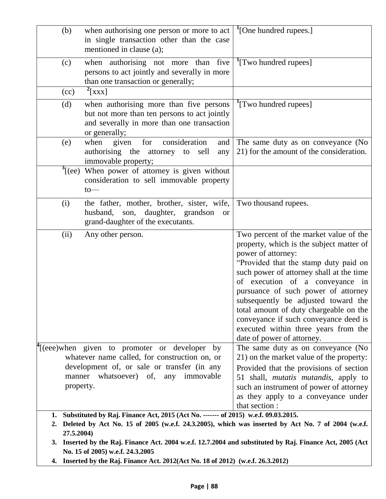| (b)                                                                                                                                                                                                                                                                                                                      | when authorising one person or more to act<br>in single transaction other than the case                                                                | <sup>1</sup> [One hundred rupees.]                                                                                                                                                                                                                                                                                                                                                                                                                                                                                                                        |
|--------------------------------------------------------------------------------------------------------------------------------------------------------------------------------------------------------------------------------------------------------------------------------------------------------------------------|--------------------------------------------------------------------------------------------------------------------------------------------------------|-----------------------------------------------------------------------------------------------------------------------------------------------------------------------------------------------------------------------------------------------------------------------------------------------------------------------------------------------------------------------------------------------------------------------------------------------------------------------------------------------------------------------------------------------------------|
|                                                                                                                                                                                                                                                                                                                          | mentioned in clause (a);                                                                                                                               |                                                                                                                                                                                                                                                                                                                                                                                                                                                                                                                                                           |
| (c)                                                                                                                                                                                                                                                                                                                      | when authorising not more than five<br>persons to act jointly and severally in more<br>than one transaction or generally;                              | <sup>1</sup> [Two hundred rupees]                                                                                                                                                                                                                                                                                                                                                                                                                                                                                                                         |
| (cc)                                                                                                                                                                                                                                                                                                                     | $^{2}[XXX]$                                                                                                                                            |                                                                                                                                                                                                                                                                                                                                                                                                                                                                                                                                                           |
| (d)                                                                                                                                                                                                                                                                                                                      | when authorising more than five persons<br>but not more than ten persons to act jointly<br>and severally in more than one transaction<br>or generally; | <sup>1</sup> [Two hundred rupees]                                                                                                                                                                                                                                                                                                                                                                                                                                                                                                                         |
| (e)                                                                                                                                                                                                                                                                                                                      | consideration<br>when<br>for<br>and<br>given<br>authorising the<br>attorney to sell<br>any<br>immovable property;                                      | The same duty as on conveyance (No<br>21) for the amount of the consideration.                                                                                                                                                                                                                                                                                                                                                                                                                                                                            |
| $\mathcal{I}$ [(ee)                                                                                                                                                                                                                                                                                                      | When power of attorney is given without<br>consideration to sell immovable property<br>to                                                              |                                                                                                                                                                                                                                                                                                                                                                                                                                                                                                                                                           |
| (i)                                                                                                                                                                                                                                                                                                                      | the father, mother, brother, sister, wife,<br>daughter, grandson<br>husband,<br>son,<br><b>or</b><br>grand-daughter of the executants.                 | Two thousand rupees.                                                                                                                                                                                                                                                                                                                                                                                                                                                                                                                                      |
| (ii)                                                                                                                                                                                                                                                                                                                     | Any other person.<br>(eee)when given to promoter or developer by<br>whatever name called, for construction on, or                                      | Two percent of the market value of the<br>property, which is the subject matter of<br>power of attorney:<br>"Provided that the stamp duty paid on<br>such power of attorney shall at the time<br>of execution of a conveyance in<br>pursuance of such power of attorney<br>subsequently be adjusted toward the<br>total amount of duty chargeable on the<br>conveyance if such conveyance deed is<br>executed within three years from the<br>date of power of attorney.<br>The same duty as on conveyance (No<br>21) on the market value of the property: |
| manner<br>property.                                                                                                                                                                                                                                                                                                      | development of, or sale or transfer (in any<br>whatsoever) of,<br>any immovable                                                                        | Provided that the provisions of section<br>51 shall, <i>mutatis mutandis</i> , apply to<br>such an instrument of power of attorney<br>as they apply to a conveyance under<br>that section :                                                                                                                                                                                                                                                                                                                                                               |
| 1. Substituted by Raj. Finance Act, 2015 (Act No. ------- of 2015) w.e.f. 09.03.2015.<br>2. Deleted by Act No. 15 of 2005 (w.e.f. 24.3.2005), which was inserted by Act No. 7 of 2004 (w.e.f.<br>27.5.2004)<br>3. Inserted by the Raj. Finance Act. 2004 w.e.f. 12.7.2004 and substituted by Raj. Finance Act, 2005 (Act |                                                                                                                                                        |                                                                                                                                                                                                                                                                                                                                                                                                                                                                                                                                                           |

**No. 15 of 2005) w.e.f. 24.3.2005**

**4. Inserted by the Raj. Finance Act. 2012(Act No. 18 of 2012) (w.e.f. 26.3.2012)**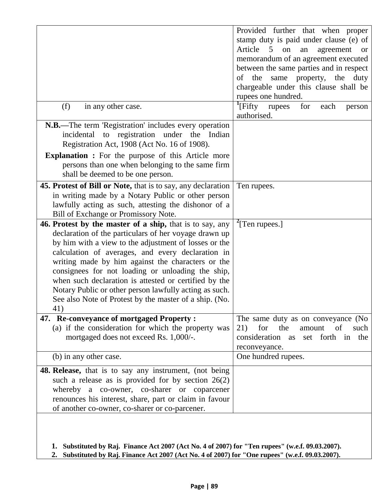|                                                                                                                                                                                                                                                                                                                                                                                                                                                                                                                               | Provided further that when proper<br>stamp duty is paid under clause (e) of<br>Article<br>$5\overline{)}$<br>on<br>agreement<br>an<br><b>or</b><br>memorandum of an agreement executed<br>between the same parties and in respect |
|-------------------------------------------------------------------------------------------------------------------------------------------------------------------------------------------------------------------------------------------------------------------------------------------------------------------------------------------------------------------------------------------------------------------------------------------------------------------------------------------------------------------------------|-----------------------------------------------------------------------------------------------------------------------------------------------------------------------------------------------------------------------------------|
|                                                                                                                                                                                                                                                                                                                                                                                                                                                                                                                               | of the same property, the<br>duty<br>chargeable under this clause shall be<br>rupees one hundred.                                                                                                                                 |
| (f)<br>in any other case.                                                                                                                                                                                                                                                                                                                                                                                                                                                                                                     | $\frac{1}{2}$ [Fifty rupees]<br>for<br>each<br>person<br>authorised.                                                                                                                                                              |
| N.B.—The term 'Registration' includes every operation<br>incidental to registration under the Indian<br>Registration Act, 1908 (Act No. 16 of 1908).                                                                                                                                                                                                                                                                                                                                                                          |                                                                                                                                                                                                                                   |
| <b>Explanation :</b> For the purpose of this Article more<br>persons than one when belonging to the same firm<br>shall be deemed to be one person.                                                                                                                                                                                                                                                                                                                                                                            |                                                                                                                                                                                                                                   |
| 45. Protest of Bill or Note, that is to say, any declaration<br>in writing made by a Notary Public or other person<br>lawfully acting as such, attesting the dishonor of a<br>Bill of Exchange or Promissory Note.                                                                                                                                                                                                                                                                                                            | Ten rupees.                                                                                                                                                                                                                       |
| 46. Protest by the master of a ship, that is to say, any<br>declaration of the particulars of her voyage drawn up<br>by him with a view to the adjustment of losses or the<br>calculation of averages, and every declaration in<br>writing made by him against the characters or the<br>consignees for not loading or unloading the ship,<br>when such declaration is attested or certified by the<br>Notary Public or other person lawfully acting as such.<br>See also Note of Protest by the master of a ship. (No.<br>41) | $\frac{2}{2}$ [Ten rupees.]                                                                                                                                                                                                       |
| 47. Re-conveyance of mortgaged Property:<br>(a) if the consideration for which the property was<br>mortgaged does not exceed Rs. 1,000/-.                                                                                                                                                                                                                                                                                                                                                                                     | The same duty as on conveyance (No<br>the<br>for<br><sub>of</sub><br>21)<br>amount<br>such<br>consideration as set forth in the<br>reconveyance.                                                                                  |
| (b) in any other case.                                                                                                                                                                                                                                                                                                                                                                                                                                                                                                        | One hundred rupees.                                                                                                                                                                                                               |
| <b>48. Release,</b> that is to say any instrument, (not being<br>such a release as is provided for by section $26(2)$<br>whereby a co-owner, co-sharer or coparcener<br>renounces his interest, share, part or claim in favour<br>of another co-owner, co-sharer or co-parcener.                                                                                                                                                                                                                                              |                                                                                                                                                                                                                                   |
| 1. Substituted by Raj. Finance Act 2007 (Act No. 4 of 2007) for "Ten rupees" (w.e.f. 09.03.2007).                                                                                                                                                                                                                                                                                                                                                                                                                             |                                                                                                                                                                                                                                   |

**2. Substituted by Raj. Finance Act 2007 (Act No. 4 of 2007) for "One rupees" (w.e.f. 09.03.2007).**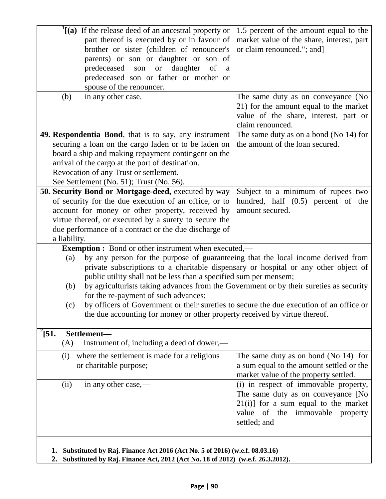| $\frac{1}{2}$ (a) If the release deed of an ancestral property or<br>part thereof is executed by or in favour of                                                                                                                                                                                                                                                                                                                                                                                                                                                                                                                            | 1.5 percent of the amount equal to the<br>market value of the share, interest, part |
|---------------------------------------------------------------------------------------------------------------------------------------------------------------------------------------------------------------------------------------------------------------------------------------------------------------------------------------------------------------------------------------------------------------------------------------------------------------------------------------------------------------------------------------------------------------------------------------------------------------------------------------------|-------------------------------------------------------------------------------------|
| brother or sister (children of renouncer's                                                                                                                                                                                                                                                                                                                                                                                                                                                                                                                                                                                                  | or claim renounced."; and]                                                          |
| parents) or son or daughter or son of<br>predeceased son<br>- of                                                                                                                                                                                                                                                                                                                                                                                                                                                                                                                                                                            |                                                                                     |
| or daughter<br>a<br>predeceased son or father or mother or                                                                                                                                                                                                                                                                                                                                                                                                                                                                                                                                                                                  |                                                                                     |
| spouse of the renouncer.                                                                                                                                                                                                                                                                                                                                                                                                                                                                                                                                                                                                                    |                                                                                     |
| (b)<br>in any other case.                                                                                                                                                                                                                                                                                                                                                                                                                                                                                                                                                                                                                   | The same duty as on conveyance (No                                                  |
|                                                                                                                                                                                                                                                                                                                                                                                                                                                                                                                                                                                                                                             | 21) for the amount equal to the market                                              |
|                                                                                                                                                                                                                                                                                                                                                                                                                                                                                                                                                                                                                                             | value of the share, interest, part or                                               |
|                                                                                                                                                                                                                                                                                                                                                                                                                                                                                                                                                                                                                                             | claim renounced.                                                                    |
| 49. Respondentia Bond, that is to say, any instrument                                                                                                                                                                                                                                                                                                                                                                                                                                                                                                                                                                                       | The same duty as on a bond (No $14$ ) for                                           |
| securing a loan on the cargo laden or to be laden on                                                                                                                                                                                                                                                                                                                                                                                                                                                                                                                                                                                        | the amount of the loan secured.                                                     |
| board a ship and making repayment contingent on the                                                                                                                                                                                                                                                                                                                                                                                                                                                                                                                                                                                         |                                                                                     |
| arrival of the cargo at the port of destination.                                                                                                                                                                                                                                                                                                                                                                                                                                                                                                                                                                                            |                                                                                     |
| Revocation of any Trust or settlement.                                                                                                                                                                                                                                                                                                                                                                                                                                                                                                                                                                                                      |                                                                                     |
| See Settlement (No. 51); Trust (No. 56).                                                                                                                                                                                                                                                                                                                                                                                                                                                                                                                                                                                                    |                                                                                     |
| 50. Security Bond or Mortgage-deed, executed by way                                                                                                                                                                                                                                                                                                                                                                                                                                                                                                                                                                                         | Subject to a minimum of rupees two                                                  |
| of security for the due execution of an office, or to                                                                                                                                                                                                                                                                                                                                                                                                                                                                                                                                                                                       | hundred, half (0.5) percent of the                                                  |
| account for money or other property, received by                                                                                                                                                                                                                                                                                                                                                                                                                                                                                                                                                                                            | amount secured.                                                                     |
| virtue thereof, or executed by a surety to secure the                                                                                                                                                                                                                                                                                                                                                                                                                                                                                                                                                                                       |                                                                                     |
| due performance of a contract or the due discharge of                                                                                                                                                                                                                                                                                                                                                                                                                                                                                                                                                                                       |                                                                                     |
| a liability.                                                                                                                                                                                                                                                                                                                                                                                                                                                                                                                                                                                                                                |                                                                                     |
| <b>Exemption :</b> Bond or other instrument when executed,—<br>by any person for the purpose of guaranteeing that the local income derived from<br>(a)<br>private subscriptions to a charitable dispensary or hospital or any other object of<br>public utility shall not be less than a specified sum per mensem;<br>by agriculturists taking advances from the Government or by their sureties as security<br>(b)<br>for the re-payment of such advances;<br>by officers of Government or their sureties to secure the due execution of an office or<br>(c)<br>the due accounting for money or other property received by virtue thereof. |                                                                                     |
| $^{2}$ [51.<br>Settlement-                                                                                                                                                                                                                                                                                                                                                                                                                                                                                                                                                                                                                  |                                                                                     |
| Instrument of, including a deed of dower,—<br>(A)                                                                                                                                                                                                                                                                                                                                                                                                                                                                                                                                                                                           |                                                                                     |
| where the settlement is made for a religious<br>(i)                                                                                                                                                                                                                                                                                                                                                                                                                                                                                                                                                                                         | The same duty as on bond (No $14$ ) for                                             |
| or charitable purpose;                                                                                                                                                                                                                                                                                                                                                                                                                                                                                                                                                                                                                      | a sum equal to the amount settled or the                                            |
|                                                                                                                                                                                                                                                                                                                                                                                                                                                                                                                                                                                                                                             | market value of the property settled.                                               |
| (ii)<br>in any other case,—                                                                                                                                                                                                                                                                                                                                                                                                                                                                                                                                                                                                                 | (i) in respect of immovable property,                                               |
|                                                                                                                                                                                                                                                                                                                                                                                                                                                                                                                                                                                                                                             | The same duty as on conveyance [No                                                  |
|                                                                                                                                                                                                                                                                                                                                                                                                                                                                                                                                                                                                                                             | $21(i)$ ] for a sum equal to the market                                             |
|                                                                                                                                                                                                                                                                                                                                                                                                                                                                                                                                                                                                                                             | value of the immovable property<br>settled; and                                     |
|                                                                                                                                                                                                                                                                                                                                                                                                                                                                                                                                                                                                                                             |                                                                                     |
|                                                                                                                                                                                                                                                                                                                                                                                                                                                                                                                                                                                                                                             |                                                                                     |
| Substituted by Raj. Finance Act 2016 (Act No. 5 of 2016) (w.e.f. 08.03.16)<br>1.                                                                                                                                                                                                                                                                                                                                                                                                                                                                                                                                                            |                                                                                     |
| Substituted by Raj. Finance Act, 2012 (Act No. 18 of 2012) (w.e.f. 26.3.2012).<br>2.                                                                                                                                                                                                                                                                                                                                                                                                                                                                                                                                                        |                                                                                     |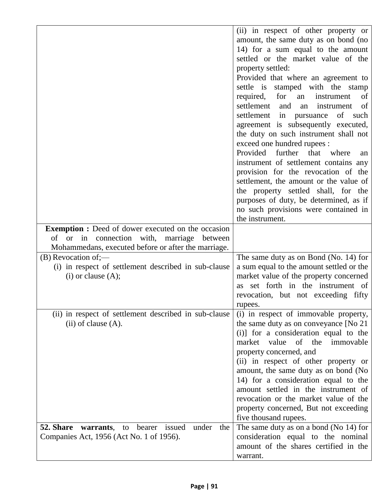|                                                            | (ii) in respect of other property or        |
|------------------------------------------------------------|---------------------------------------------|
|                                                            | amount, the same duty as on bond (no        |
|                                                            | 14) for a sum equal to the amount           |
|                                                            | settled or the market value of the          |
|                                                            | property settled:                           |
|                                                            | Provided that where an agreement to         |
|                                                            | settle is stamped with the stamp            |
|                                                            | for<br>required,<br>of<br>instrument<br>an  |
|                                                            | settlement<br>and<br>instrument<br>of<br>an |
|                                                            | settlement<br>in pursuance<br>of<br>such    |
|                                                            | agreement is subsequently executed,         |
|                                                            | the duty on such instrument shall not       |
|                                                            | exceed one hundred rupees :                 |
|                                                            | Provided further that where<br>an           |
|                                                            | instrument of settlement contains any       |
|                                                            | provision for the revocation of the         |
|                                                            | settlement, the amount or the value of      |
|                                                            | the property settled shall, for the         |
|                                                            | purposes of duty, be determined, as if      |
|                                                            | no such provisions were contained in        |
|                                                            | the instrument.                             |
| <b>Exemption :</b> Deed of dower executed on the occasion  |                                             |
| connection with,<br>marriage<br>or in<br>between<br>of     |                                             |
| Mohammedans, executed before or after the marriage.        |                                             |
| $(B)$ Revocation of;—                                      | The same duty as on Bond (No. 14) for       |
| (i) in respect of settlement described in sub-clause       | a sum equal to the amount settled or the    |
| $(i)$ or clause $(A)$ ;                                    | market value of the property concerned      |
|                                                            | as set forth in the instrument of           |
|                                                            | revocation, but not exceeding fifty         |
|                                                            | rupees.                                     |
| (ii) in respect of settlement described in sub-clause      | (i) in respect of immovable property,       |
| $(ii)$ of clause $(A)$ .                                   | the same duty as on conveyance [No 21]      |
|                                                            | (i)] for a consideration equal to the       |
|                                                            | value of the immovable<br>market            |
|                                                            | property concerned, and                     |
|                                                            | (ii) in respect of other property or        |
|                                                            | amount, the same duty as on bond (No        |
|                                                            | 14) for a consideration equal to the        |
|                                                            | amount settled in the instrument of         |
|                                                            | revocation or the market value of the       |
|                                                            | property concerned, But not exceeding       |
|                                                            | five thousand rupees.                       |
| 52. Share<br>under<br>bearer issued<br>warrants, to<br>the | The same duty as on a bond (No 14) for      |
| Companies Act, 1956 (Act No. 1 of 1956).                   | consideration equal to the nominal          |
|                                                            | amount of the shares certified in the       |
|                                                            | warrant.                                    |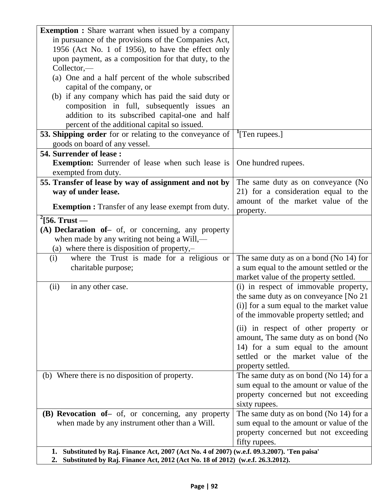| <b>Exemption :</b> Share warrant when issued by a company                                                                                                                            |                                           |
|--------------------------------------------------------------------------------------------------------------------------------------------------------------------------------------|-------------------------------------------|
| in pursuance of the provisions of the Companies Act,                                                                                                                                 |                                           |
| 1956 (Act No. 1 of 1956), to have the effect only                                                                                                                                    |                                           |
| upon payment, as a composition for that duty, to the                                                                                                                                 |                                           |
| $Collector, -$                                                                                                                                                                       |                                           |
| (a) One and a half percent of the whole subscribed                                                                                                                                   |                                           |
| capital of the company, or                                                                                                                                                           |                                           |
| (b) if any company which has paid the said duty or                                                                                                                                   |                                           |
| composition in full, subsequently issues an                                                                                                                                          |                                           |
| addition to its subscribed capital-one and half                                                                                                                                      |                                           |
| percent of the additional capital so issued.                                                                                                                                         |                                           |
| <b>53. Shipping order</b> for or relating to the conveyance of                                                                                                                       | <sup>1</sup> [Ten rupees.]                |
| goods on board of any vessel.                                                                                                                                                        |                                           |
| 54. Surrender of lease:                                                                                                                                                              |                                           |
| <b>Exemption:</b> Surrender of lease when such lease is                                                                                                                              | One hundred rupees.                       |
| exempted from duty.                                                                                                                                                                  |                                           |
| 55. Transfer of lease by way of assignment and not by                                                                                                                                | The same duty as on conveyance (No        |
| way of under lease.                                                                                                                                                                  | 21) for a consideration equal to the      |
| <b>Exemption :</b> Transfer of any lease exempt from duty.                                                                                                                           | amount of the market value of the         |
|                                                                                                                                                                                      | property.                                 |
| $\frac{2}{56}$ . Trust —                                                                                                                                                             |                                           |
| (A) Declaration of - of, or concerning, any property                                                                                                                                 |                                           |
| when made by any writing not being a Will,—                                                                                                                                          |                                           |
| (a) where there is disposition of property, $-$                                                                                                                                      |                                           |
| where the Trust is made for a religious or<br>(i)                                                                                                                                    | The same duty as on a bond (No 14) for    |
| charitable purpose;                                                                                                                                                                  | a sum equal to the amount settled or the  |
|                                                                                                                                                                                      | market value of the property settled.     |
| (ii)<br>in any other case.                                                                                                                                                           | (i) in respect of immovable property,     |
|                                                                                                                                                                                      | the same duty as on conveyance [No 21     |
|                                                                                                                                                                                      | (i)] for a sum equal to the market value  |
|                                                                                                                                                                                      | of the immovable property settled; and    |
|                                                                                                                                                                                      | (ii) in respect of other property or      |
|                                                                                                                                                                                      | amount, The same duty as on bond (No      |
|                                                                                                                                                                                      | 14) for a sum equal to the amount         |
|                                                                                                                                                                                      | settled or the market value of the        |
|                                                                                                                                                                                      | property settled.                         |
| (b) Where there is no disposition of property.                                                                                                                                       | The same duty as on bond (No $14$ ) for a |
|                                                                                                                                                                                      | sum equal to the amount or value of the   |
|                                                                                                                                                                                      | property concerned but not exceeding      |
|                                                                                                                                                                                      | sixty rupees.                             |
| (B) Revocation of – of, or concerning, any property                                                                                                                                  | The same duty as on bond (No $14$ ) for a |
| when made by any instrument other than a Will.                                                                                                                                       | sum equal to the amount or value of the   |
|                                                                                                                                                                                      | property concerned but not exceeding      |
|                                                                                                                                                                                      | fifty rupees.                             |
| Substituted by Raj. Finance Act, 2007 (Act No. 4 of 2007) (w.e.f. 09.3.2007). 'Ten paisa'<br>1.<br>2. Substituted by Raj. Finance Act, 2012 (Act No. 18 of 2012) (w.e.f. 26.3.2012). |                                           |